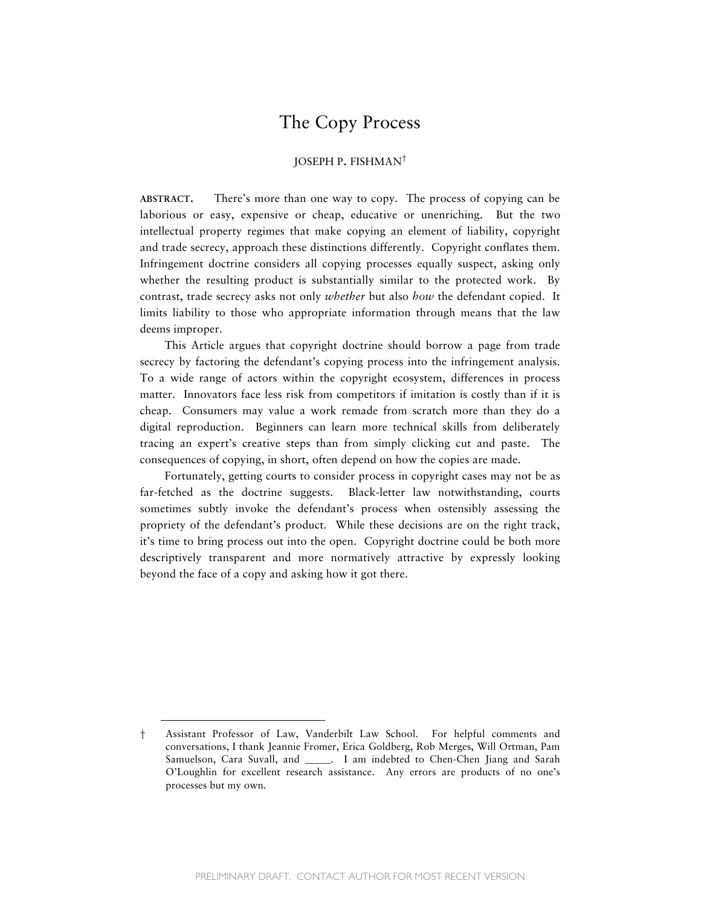# The Copy Process

# JOSEPH P. FISHMAN†

**ABSTRACT.** There's more than one way to copy. The process of copying can be laborious or easy, expensive or cheap, educative or unenriching. But the two intellectual property regimes that make copying an element of liability, copyright and trade secrecy, approach these distinctions differently. Copyright conflates them. Infringement doctrine considers all copying processes equally suspect, asking only whether the resulting product is substantially similar to the protected work. By contrast, trade secrecy asks not only *whether* but also *how* the defendant copied. It limits liability to those who appropriate information through means that the law deems improper.

This Article argues that copyright doctrine should borrow a page from trade secrecy by factoring the defendant's copying process into the infringement analysis. To a wide range of actors within the copyright ecosystem, differences in process matter. Innovators face less risk from competitors if imitation is costly than if it is cheap. Consumers may value a work remade from scratch more than they do a digital reproduction. Beginners can learn more technical skills from deliberately tracing an expert's creative steps than from simply clicking cut and paste. The consequences of copying, in short, often depend on how the copies are made.

Fortunately, getting courts to consider process in copyright cases may not be as far-fetched as the doctrine suggests. Black-letter law notwithstanding, courts sometimes subtly invoke the defendant's process when ostensibly assessing the propriety of the defendant's product. While these decisions are on the right track, it's time to bring process out into the open. Copyright doctrine could be both more descriptively transparent and more normatively attractive by expressly looking beyond the face of a copy and asking how it got there.

<sup>†</sup> Assistant Professor of Law, Vanderbilt Law School. For helpful comments and conversations, I thank Jeannie Fromer, Erica Goldberg, Rob Merges, Will Ortman, Pam Samuelson, Cara Suvall, and \_\_\_\_\_. I am indebted to Chen-Chen Jiang and Sarah O'Loughlin for excellent research assistance. Any errors are products of no one's processes but my own.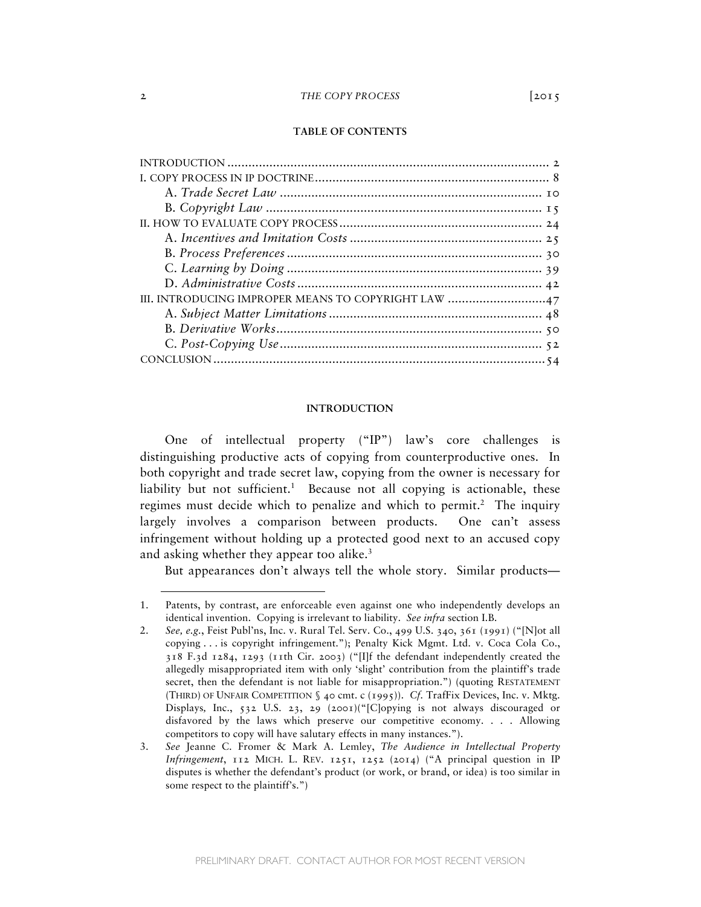# **TABLE OF CONTENTS**

| III. INTRODUCING IMPROPER MEANS TO COPYRIGHT LAW 47 |
|-----------------------------------------------------|
|                                                     |
|                                                     |
|                                                     |
|                                                     |

### **INTRODUCTION**

One of intellectual property ("IP") law's core challenges is distinguishing productive acts of copying from counterproductive ones. In both copyright and trade secret law, copying from the owner is necessary for liability but not sufficient.<sup>1</sup> Because not all copying is actionable, these regimes must decide which to penalize and which to permit.<sup>2</sup> The inquiry largely involves a comparison between products. One can't assess infringement without holding up a protected good next to an accused copy and asking whether they appear too alike. $3$ 

But appearances don't always tell the whole story. Similar products—

<sup>1.</sup> Patents, by contrast, are enforceable even against one who independently develops an identical invention. Copying is irrelevant to liability. *See infra* section I.B.

<sup>2.</sup> *See, e.g.*, Feist Publ'ns, Inc. v. Rural Tel. Serv. Co., 499 U.S. 340, 361 (1991) ("[N]ot all copying . . . is copyright infringement."); Penalty Kick Mgmt. Ltd. v. Coca Cola Co., 318 F.3d 1284, 1293 (11th Cir. 2003) ("[I]f the defendant independently created the allegedly misappropriated item with only 'slight' contribution from the plaintiff's trade secret, then the defendant is not liable for misappropriation.") (quoting RESTATEMENT (THIRD) OF UNFAIR COMPETITION § 40 cmt. c (1995)). *Cf.* TrafFix Devices, Inc. v. Mktg. Displays*,* Inc., 532 U.S. 23, 29 (2001)("[C]opying is not always discouraged or disfavored by the laws which preserve our competitive economy. . . . Allowing competitors to copy will have salutary effects in many instances.").

<sup>3.</sup> *See* Jeanne C. Fromer & Mark A. Lemley, *The Audience in Intellectual Property Infringement*,  $112$  MICH. L. REV.  $1251$ ,  $1252$  (2014) ("A principal question in IP disputes is whether the defendant's product (or work, or brand, or idea) is too similar in some respect to the plaintiff's.")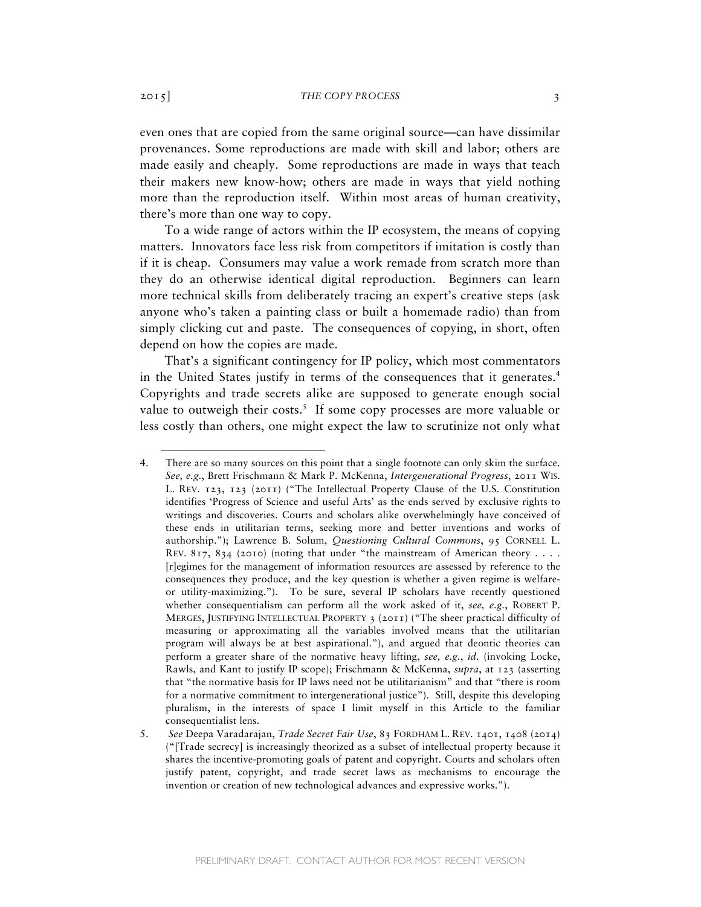even ones that are copied from the same original source—can have dissimilar provenances. Some reproductions are made with skill and labor; others are made easily and cheaply. Some reproductions are made in ways that teach their makers new know-how; others are made in ways that yield nothing more than the reproduction itself. Within most areas of human creativity, there's more than one way to copy.

To a wide range of actors within the IP ecosystem, the means of copying matters. Innovators face less risk from competitors if imitation is costly than if it is cheap. Consumers may value a work remade from scratch more than they do an otherwise identical digital reproduction. Beginners can learn more technical skills from deliberately tracing an expert's creative steps (ask anyone who's taken a painting class or built a homemade radio) than from simply clicking cut and paste. The consequences of copying, in short, often depend on how the copies are made.

That's a significant contingency for IP policy, which most commentators in the United States justify in terms of the consequences that it generates.<sup>4</sup> Copyrights and trade secrets alike are supposed to generate enough social value to outweigh their costs.<sup>5</sup> If some copy processes are more valuable or less costly than others, one might expect the law to scrutinize not only what

<sup>4.</sup> There are so many sources on this point that a single footnote can only skim the surface. *See, e.g.*, Brett Frischmann & Mark P. McKenna, *Intergenerational Progress*, 2011 WIS. L. REV. 123, 123 (2011) ("The Intellectual Property Clause of the U.S. Constitution identifies 'Progress of Science and useful Arts' as the ends served by exclusive rights to writings and discoveries. Courts and scholars alike overwhelmingly have conceived of these ends in utilitarian terms, seeking more and better inventions and works of authorship."); Lawrence B. Solum, *Questioning Cultural Commons*, 95 CORNELL L. REV. 817, 834 (2010) (noting that under "the mainstream of American theory . . . . [r]egimes for the management of information resources are assessed by reference to the consequences they produce, and the key question is whether a given regime is welfareor utility-maximizing."). To be sure, several IP scholars have recently questioned whether consequentialism can perform all the work asked of it, *see, e.g.*, ROBERT P. MERGES, JUSTIFYING INTELLECTUAL PROPERTY 3 (2011) ("The sheer practical difficulty of measuring or approximating all the variables involved means that the utilitarian program will always be at best aspirational."), and argued that deontic theories can perform a greater share of the normative heavy lifting, *see, e.g.*, *id.* (invoking Locke, Rawls, and Kant to justify IP scope); Frischmann & McKenna, *supra*, at 123 (asserting that "the normative basis for IP laws need not be utilitarianism" and that "there is room for a normative commitment to intergenerational justice"). Still, despite this developing pluralism, in the interests of space I limit myself in this Article to the familiar consequentialist lens.

<sup>5.</sup> *See* Deepa Varadarajan, *Trade Secret Fair Use*, 83 FORDHAM L. REV. 1401, 1408 (2014) ("[Trade secrecy] is increasingly theorized as a subset of intellectual property because it shares the incentive-promoting goals of patent and copyright. Courts and scholars often justify patent, copyright, and trade secret laws as mechanisms to encourage the invention or creation of new technological advances and expressive works.").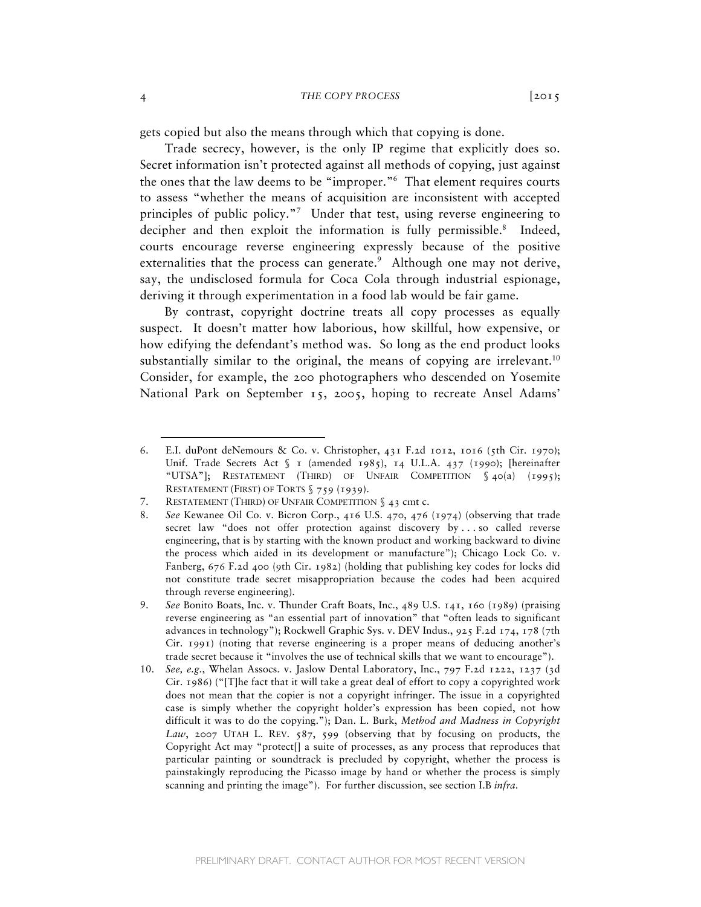gets copied but also the means through which that copying is done.

Trade secrecy, however, is the only IP regime that explicitly does so. Secret information isn't protected against all methods of copying, just against the ones that the law deems to be "improper."6 That element requires courts to assess "whether the means of acquisition are inconsistent with accepted principles of public policy."7 Under that test, using reverse engineering to decipher and then exploit the information is fully permissible.<sup>8</sup> Indeed, courts encourage reverse engineering expressly because of the positive externalities that the process can generate. $\degree$  Although one may not derive, say, the undisclosed formula for Coca Cola through industrial espionage, deriving it through experimentation in a food lab would be fair game.

By contrast, copyright doctrine treats all copy processes as equally suspect. It doesn't matter how laborious, how skillful, how expensive, or how edifying the defendant's method was. So long as the end product looks substantially similar to the original, the means of copying are irrelevant.<sup>10</sup> Consider, for example, the 200 photographers who descended on Yosemite National Park on September 15, 2005, hoping to recreate Ansel Adams'

<sup>6.</sup> E.I. duPont deNemours & Co. v. Christopher,  $431$  F.2d 1012, 1016 (5th Cir. 1970); Unif. Trade Secrets Act § 1 (amended 1985), 14 U.L.A. 437 (1990); [hereinafter "UTSA"]; RESTATEMENT (THIRD) OF UNFAIR COMPETITION § 40(a) (1995); RESTATEMENT (FIRST) OF TORTS § 759 (1939).

<sup>7.</sup> RESTATEMENT (THIRD) OF UNFAIR COMPETITION § 43 cmt c.

<sup>8.</sup> *See* Kewanee Oil Co. v. Bicron Corp., 416 U.S. 470, 476 (1974) (observing that trade secret law "does not offer protection against discovery by . . . so called reverse engineering, that is by starting with the known product and working backward to divine the process which aided in its development or manufacture"); Chicago Lock Co. v. Fanberg, 676 F.2d 400 (9th Cir. 1982) (holding that publishing key codes for locks did not constitute trade secret misappropriation because the codes had been acquired through reverse engineering).

<sup>9.</sup> *See* Bonito Boats, Inc. v. Thunder Craft Boats, Inc., 489 U.S. 141, 160 (1989) (praising reverse engineering as "an essential part of innovation" that "often leads to significant advances in technology"); Rockwell Graphic Sys. v. DEV Indus., 925 F.2d 174, 178 (7th Cir. 1991) (noting that reverse engineering is a proper means of deducing another's trade secret because it "involves the use of technical skills that we want to encourage").

<sup>10.</sup> *See, e.g.*, Whelan Assocs. v. Jaslow Dental Laboratory, Inc., 797 F.2d 1222, 1237 (3d Cir. 1986) ("[T]he fact that it will take a great deal of effort to copy a copyrighted work does not mean that the copier is not a copyright infringer. The issue in a copyrighted case is simply whether the copyright holder's expression has been copied, not how difficult it was to do the copying."); Dan. L. Burk, *Method and Madness in Copyright Law*, 2007 UTAH L. REV. 587, 599 (observing that by focusing on products, the Copyright Act may "protect[] a suite of processes, as any process that reproduces that particular painting or soundtrack is precluded by copyright, whether the process is painstakingly reproducing the Picasso image by hand or whether the process is simply scanning and printing the image"). For further discussion, see section I.B *infra*.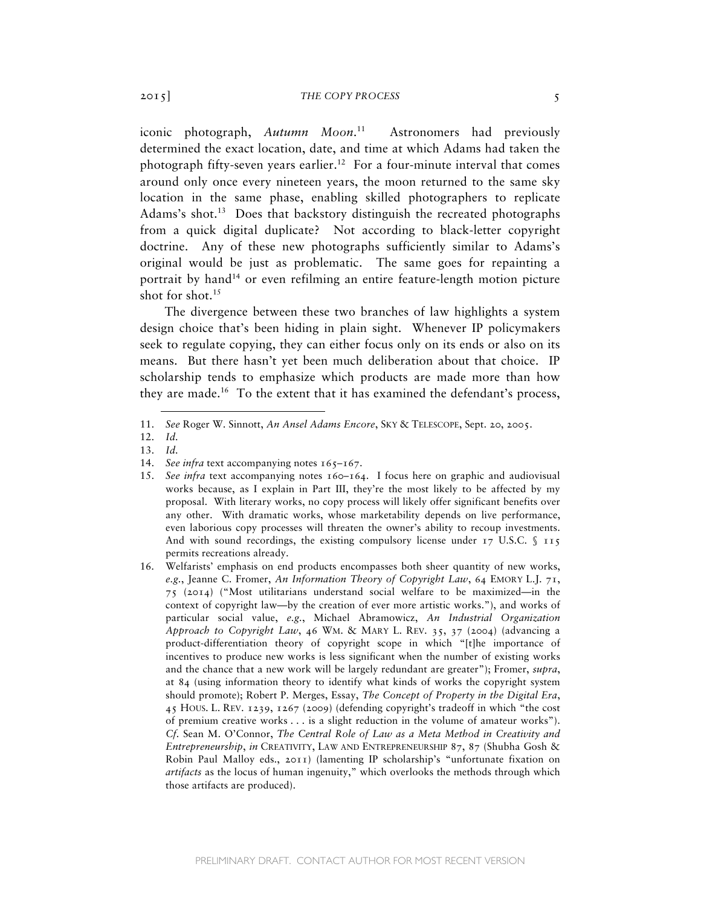iconic photograph, *Autumn Moon*. Astronomers had previously determined the exact location, date, and time at which Adams had taken the photograph fifty-seven years earlier.<sup>12</sup> For a four-minute interval that comes around only once every nineteen years, the moon returned to the same sky location in the same phase, enabling skilled photographers to replicate Adams's shot.<sup>13</sup> Does that backstory distinguish the recreated photographs from a quick digital duplicate? Not according to black-letter copyright doctrine. Any of these new photographs sufficiently similar to Adams's original would be just as problematic. The same goes for repainting a portrait by hand<sup>14</sup> or even refilming an entire feature-length motion picture shot for shot.<sup>15</sup>

The divergence between these two branches of law highlights a system design choice that's been hiding in plain sight. Whenever IP policymakers seek to regulate copying, they can either focus only on its ends or also on its means. But there hasn't yet been much deliberation about that choice. IP scholarship tends to emphasize which products are made more than how they are made.16 To the extent that it has examined the defendant's process,

<sup>11.</sup> *See* Roger W. Sinnott, *An Ansel Adams Encore*, SKY & TELESCOPE, Sept. 20, 2005.

<sup>12.</sup> *Id.*

<sup>13.</sup> *Id.*

<sup>14.</sup> *See infra* text accompanying notes 165–167.

<sup>15.</sup> *See infra* text accompanying notes 160–164. I focus here on graphic and audiovisual works because, as I explain in Part III, they're the most likely to be affected by my proposal. With literary works, no copy process will likely offer significant benefits over any other. With dramatic works, whose marketability depends on live performance, even laborious copy processes will threaten the owner's ability to recoup investments. And with sound recordings, the existing compulsory license under  $17 \text{ U.S.C. }$  \$  $115$ permits recreations already.

<sup>16.</sup> Welfarists' emphasis on end products encompasses both sheer quantity of new works, *e.g.*, Jeanne C. Fromer, *An Information Theory of Copyright Law*, 64 EMORY L.J. 71, 75 (2014) ("Most utilitarians understand social welfare to be maximized—in the context of copyright law—by the creation of ever more artistic works."), and works of particular social value, *e.g.*, Michael Abramowicz, *An Industrial Organization Approach to Copyright Law*, 46 WM. & MARY L. REV. 35, 37 (2004) (advancing a product-differentiation theory of copyright scope in which "[t]he importance of incentives to produce new works is less significant when the number of existing works and the chance that a new work will be largely redundant are greater"); Fromer, *supra*, at 84 (using information theory to identify what kinds of works the copyright system should promote); Robert P. Merges, Essay, *The Concept of Property in the Digital Era*, 45 HOUS. L. REV. 1239, 1267 (2009) (defending copyright's tradeoff in which "the cost of premium creative works . . . is a slight reduction in the volume of amateur works"). *Cf.* Sean M. O'Connor, *The Central Role of Law as a Meta Method in Creativity and Entrepreneurship*, *in* CREATIVITY, LAW AND ENTREPRENEURSHIP 87, 87 (Shubha Gosh & Robin Paul Malloy eds., 2011) (lamenting IP scholarship's "unfortunate fixation on *artifacts* as the locus of human ingenuity," which overlooks the methods through which those artifacts are produced).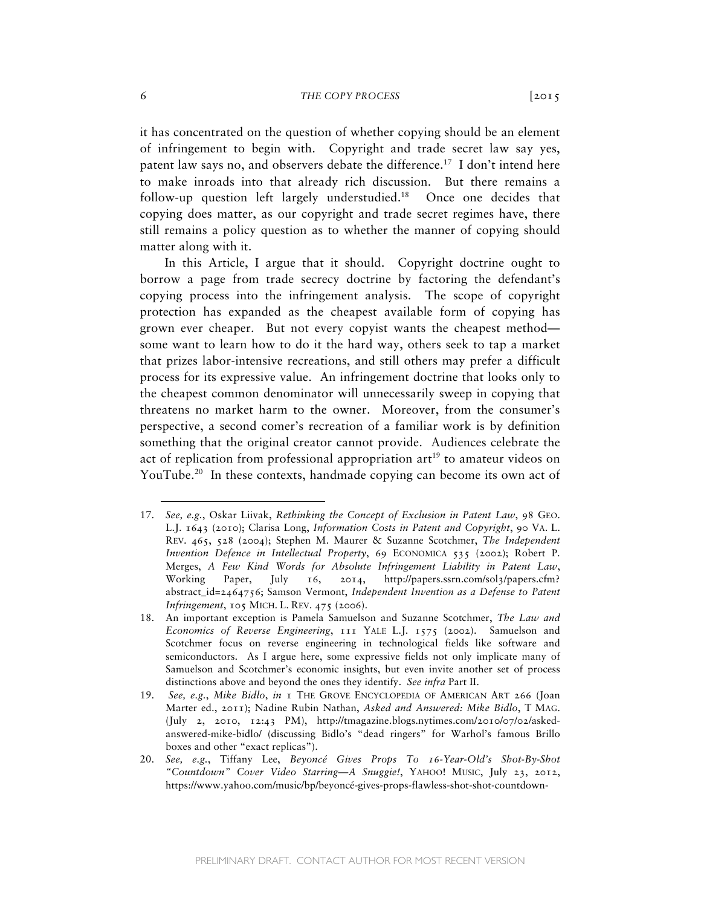it has concentrated on the question of whether copying should be an element of infringement to begin with. Copyright and trade secret law say yes, patent law says no, and observers debate the difference.17 I don't intend here to make inroads into that already rich discussion. But there remains a follow-up question left largely understudied.<sup>18</sup> Once one decides that copying does matter, as our copyright and trade secret regimes have, there still remains a policy question as to whether the manner of copying should matter along with it.

In this Article, I argue that it should. Copyright doctrine ought to borrow a page from trade secrecy doctrine by factoring the defendant's copying process into the infringement analysis. The scope of copyright protection has expanded as the cheapest available form of copying has grown ever cheaper. But not every copyist wants the cheapest method some want to learn how to do it the hard way, others seek to tap a market that prizes labor-intensive recreations, and still others may prefer a difficult process for its expressive value. An infringement doctrine that looks only to the cheapest common denominator will unnecessarily sweep in copying that threatens no market harm to the owner. Moreover, from the consumer's perspective, a second comer's recreation of a familiar work is by definition something that the original creator cannot provide. Audiences celebrate the act of replication from professional appropriation  $art<sup>19</sup>$  to amateur videos on YouTube.<sup>20</sup> In these contexts, handmade copying can become its own act of

<sup>17.</sup> *See, e.g.*, Oskar Liivak, *Rethinking the Concept of Exclusion in Patent Law*, 98 GEO. L.J. 1643 (2010); Clarisa Long, *Information Costs in Patent and Copyright*, 90 VA. L. REV. 465, 528 (2004); Stephen M. Maurer & Suzanne Scotchmer, *The Independent Invention Defence in Intellectual Property*, 69 ECONOMICA 535 (2002); Robert P. Merges, *A Few Kind Words for Absolute Infringement Liability in Patent Law*, Working Paper, July 16, 2014, http://papers.ssrn.com/sol3/papers.cfm? abstract\_id=2464756; Samson Vermont, *Independent Invention as a Defense to Patent Infringement*, 105 MICH. L. REV. 475 (2006).

<sup>18.</sup> An important exception is Pamela Samuelson and Suzanne Scotchmer, *The Law and Economics of Reverse Engineering*, 111 YALE L.J. 1575 (2002). Samuelson and Scotchmer focus on reverse engineering in technological fields like software and semiconductors. As I argue here, some expressive fields not only implicate many of Samuelson and Scotchmer's economic insights, but even invite another set of process distinctions above and beyond the ones they identify. *See infra* Part II.

<sup>19.</sup> *See, e.g.*, *Mike Bidlo*, *in* 1 THE GROVE ENCYCLOPEDIA OF AMERICAN ART 266 (Joan Marter ed., 2011); Nadine Rubin Nathan, *Asked and Answered: Mike Bidlo*, T MAG. (July 2, 2010, 12:43 PM), http://tmagazine.blogs.nytimes.com/2010/07/02/askedanswered-mike-bidlo/ (discussing Bidlo's "dead ringers" for Warhol's famous Brillo boxes and other "exact replicas").

<sup>20.</sup> *See, e.g.*, Tiffany Lee, *Beyoncé Gives Props To 16-Year-Old's Shot-By-Shot "Countdown" Cover Video Starring—A Snuggie!*, YAHOO! MUSIC, July 23, 2012, https://www.yahoo.com/music/bp/beyoncé-gives-props-flawless-shot-shot-countdown-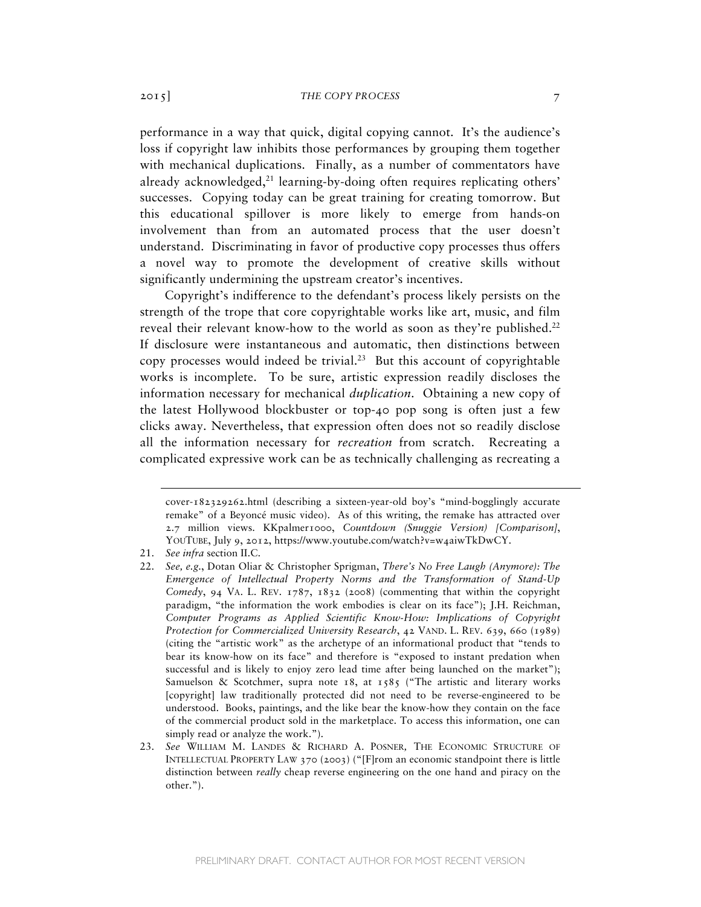performance in a way that quick, digital copying cannot. It's the audience's loss if copyright law inhibits those performances by grouping them together with mechanical duplications. Finally, as a number of commentators have already acknowledged,<sup>21</sup> learning-by-doing often requires replicating others' successes. Copying today can be great training for creating tomorrow. But this educational spillover is more likely to emerge from hands-on involvement than from an automated process that the user doesn't understand. Discriminating in favor of productive copy processes thus offers a novel way to promote the development of creative skills without significantly undermining the upstream creator's incentives.

Copyright's indifference to the defendant's process likely persists on the strength of the trope that core copyrightable works like art, music, and film reveal their relevant know-how to the world as soon as they're published.<sup>22</sup> If disclosure were instantaneous and automatic, then distinctions between copy processes would indeed be trivial.<sup>23</sup> But this account of copyrightable works is incomplete. To be sure, artistic expression readily discloses the information necessary for mechanical *duplication*. Obtaining a new copy of the latest Hollywood blockbuster or top-40 pop song is often just a few clicks away. Nevertheless, that expression often does not so readily disclose all the information necessary for *recreation* from scratch. Recreating a complicated expressive work can be as technically challenging as recreating a

cover-182329262.html (describing a sixteen-year-old boy's "mind-bogglingly accurate remake" of a Beyoncé music video). As of this writing, the remake has attracted over 2.7 million views. KKpalmer1000, *Countdown (Snuggie Version) [Comparison]*, YOUTUBE, July 9, 2012, https://www.youtube.com/watch?v=w4aiwTkDwCY.

<sup>21.</sup> *See infra* section II.C.

<sup>22.</sup> *See, e.g.*, Dotan Oliar & Christopher Sprigman, *There's No Free Laugh (Anymore): The Emergence of Intellectual Property Norms and the Transformation of Stand-Up Comedy*, 94 VA. L. REV. 1787, 1832 (2008) (commenting that within the copyright paradigm, "the information the work embodies is clear on its face"); J.H. Reichman, *Computer Programs as Applied Scientific Know-How: Implications of Copyright Protection for Commercialized University Research*, 42 VAND. L. REV. 639, 660 (1989) (citing the "artistic work" as the archetype of an informational product that "tends to bear its know-how on its face" and therefore is "exposed to instant predation when successful and is likely to enjoy zero lead time after being launched on the market"); Samuelson & Scotchmer, supra note  $18$ , at  $1585$  ("The artistic and literary works [copyright] law traditionally protected did not need to be reverse-engineered to be understood. Books, paintings, and the like bear the know-how they contain on the face of the commercial product sold in the marketplace. To access this information, one can simply read or analyze the work.").

<sup>23.</sup> *See* WILLIAM M. LANDES & RICHARD A. POSNER*,* THE ECONOMIC STRUCTURE OF INTELLECTUAL PROPERTY LAW 370 (2003) ("[F]rom an economic standpoint there is little distinction between *really* cheap reverse engineering on the one hand and piracy on the other.").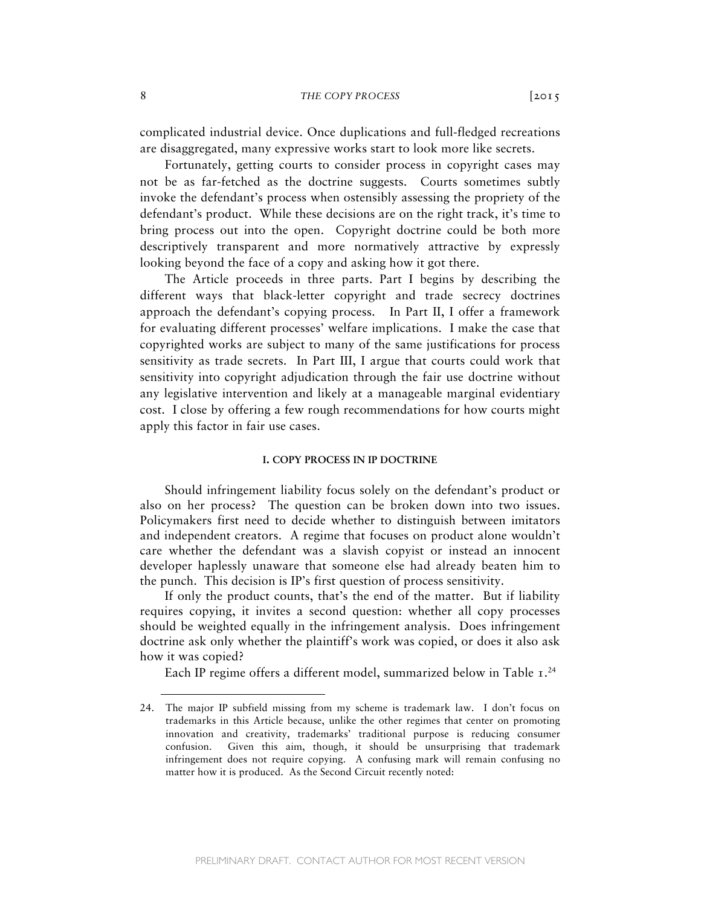complicated industrial device. Once duplications and full-fledged recreations are disaggregated, many expressive works start to look more like secrets.

Fortunately, getting courts to consider process in copyright cases may not be as far-fetched as the doctrine suggests. Courts sometimes subtly invoke the defendant's process when ostensibly assessing the propriety of the defendant's product. While these decisions are on the right track, it's time to bring process out into the open. Copyright doctrine could be both more descriptively transparent and more normatively attractive by expressly looking beyond the face of a copy and asking how it got there.

The Article proceeds in three parts. Part I begins by describing the different ways that black-letter copyright and trade secrecy doctrines approach the defendant's copying process. In Part II, I offer a framework for evaluating different processes' welfare implications. I make the case that copyrighted works are subject to many of the same justifications for process sensitivity as trade secrets. In Part III, I argue that courts could work that sensitivity into copyright adjudication through the fair use doctrine without any legislative intervention and likely at a manageable marginal evidentiary cost. I close by offering a few rough recommendations for how courts might apply this factor in fair use cases.

### **I. COPY PROCESS IN IP DOCTRINE**

Should infringement liability focus solely on the defendant's product or also on her process? The question can be broken down into two issues. Policymakers first need to decide whether to distinguish between imitators and independent creators. A regime that focuses on product alone wouldn't care whether the defendant was a slavish copyist or instead an innocent developer haplessly unaware that someone else had already beaten him to the punch. This decision is IP's first question of process sensitivity.

If only the product counts, that's the end of the matter. But if liability requires copying, it invites a second question: whether all copy processes should be weighted equally in the infringement analysis. Does infringement doctrine ask only whether the plaintiff's work was copied, or does it also ask how it was copied?

Each IP regime offers a different model, summarized below in Table  $I.A$ 

<sup>24.</sup> The major IP subfield missing from my scheme is trademark law. I don't focus on trademarks in this Article because, unlike the other regimes that center on promoting innovation and creativity, trademarks' traditional purpose is reducing consumer confusion. Given this aim, though, it should be unsurprising that trademark infringement does not require copying. A confusing mark will remain confusing no matter how it is produced. As the Second Circuit recently noted: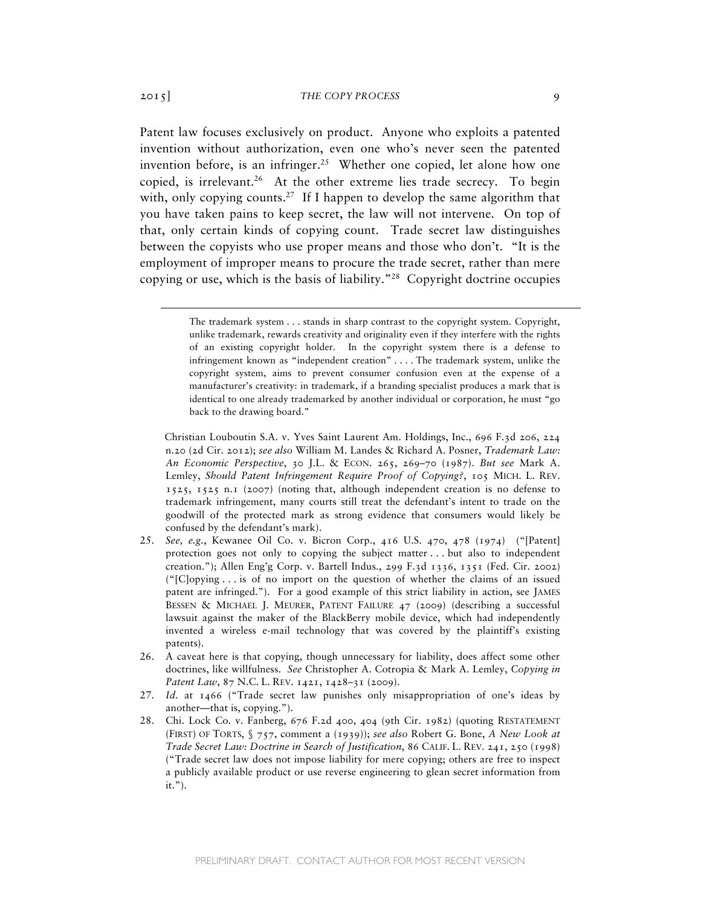Patent law focuses exclusively on product. Anyone who exploits a patented invention without authorization, even one who's never seen the patented invention before, is an infringer.<sup>25</sup> Whether one copied, let alone how one copied, is irrelevant.<sup>26</sup> At the other extreme lies trade secrecy. To begin with, only copying counts.<sup>27</sup> If I happen to develop the same algorithm that you have taken pains to keep secret, the law will not intervene. On top of that, only certain kinds of copying count. Trade secret law distinguishes between the copyists who use proper means and those who don't. "It is the employment of improper means to procure the trade secret, rather than mere copying or use, which is the basis of liability."28 Copyright doctrine occupies

- 25. *See, e.g.*, Kewanee Oil Co. v. Bicron Corp., 416 U.S. 470, 478 (1974) ("[Patent] protection goes not only to copying the subject matter . . . but also to independent creation."); Allen Eng'g Corp. v. Bartell Indus., 299 F.3d 1336, 1351 (Fed. Cir. 2002) ("[C]opying . . . is of no import on the question of whether the claims of an issued patent are infringed."). For a good example of this strict liability in action, see JAMES BESSEN & MICHAEL J. MEURER, PATENT FAILURE 47 (2009) (describing a successful lawsuit against the maker of the BlackBerry mobile device, which had independently invented a wireless e-mail technology that was covered by the plaintiff's existing patents).
- 26. A caveat here is that copying, though unnecessary for liability, does affect some other doctrines, like willfulness. *See* Christopher A. Cotropia & Mark A. Lemley, *Copying in*  Patent Law, 87 N.C. L. REV. 1421, 1428-31 (2009).
- 27. *Id.* at 1466 ("Trade secret law punishes only misappropriation of one's ideas by another—that is, copying.").
- 28. Chi. Lock Co. v. Fanberg, 676 F.2d 400, 404 (9th Cir. 1982) (quoting RESTATEMENT (FIRST) OF TORTS, § 757, comment a (1939)); *see also* Robert G. Bone, *A New Look at Trade Secret Law: Doctrine in Search of Justification*, 86 CALIF. L. REV. 241, 250 (1998) ("Trade secret law does not impose liability for mere copying; others are free to inspect a publicly available product or use reverse engineering to glean secret information from it.").

The trademark system . . . stands in sharp contrast to the copyright system. Copyright, unlike trademark, rewards creativity and originality even if they interfere with the rights of an existing copyright holder. In the copyright system there is a defense to infringement known as "independent creation" . . . . The trademark system, unlike the copyright system, aims to prevent consumer confusion even at the expense of a manufacturer's creativity: in trademark, if a branding specialist produces a mark that is identical to one already trademarked by another individual or corporation, he must "go back to the drawing board."

Christian Louboutin S.A. v. Yves Saint Laurent Am. Holdings, Inc., 696 F.3d 206, 224 n.20 (2d Cir. 2012); *see also* William M. Landes & Richard A. Posner, *Trademark Law: An Economic Perspective*, 30 J.L. & ECON. 265, 269–70 (1987). *But see* Mark A. Lemley, *Should Patent Infringement Require Proof of Copying?*, 105 MICH. L. REV. 1525, 1525 n.1 (2007) (noting that, although independent creation is no defense to trademark infringement, many courts still treat the defendant's intent to trade on the goodwill of the protected mark as strong evidence that consumers would likely be confused by the defendant's mark).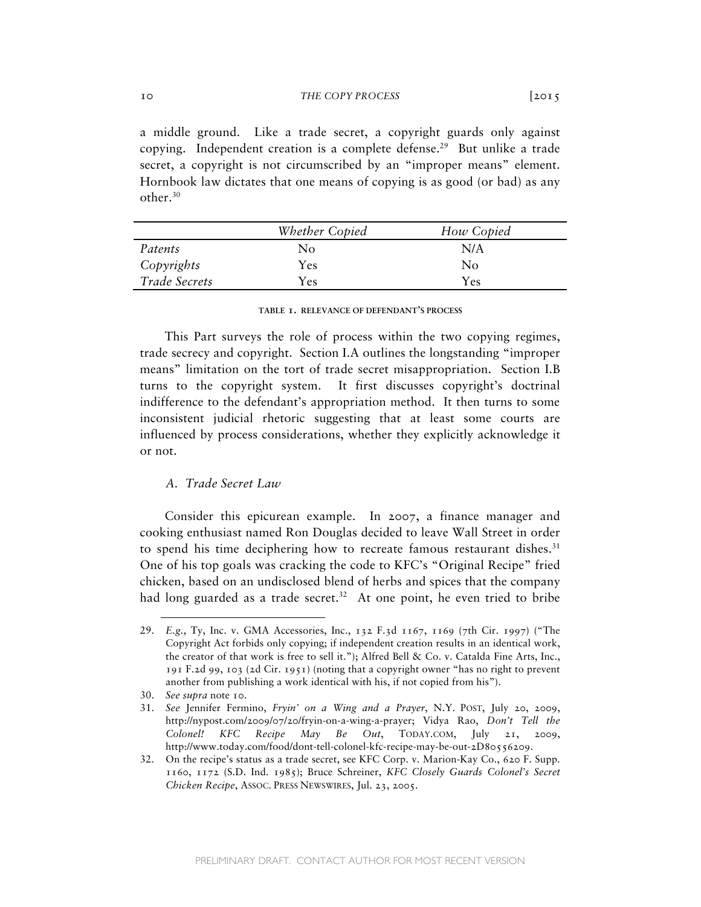a middle ground. Like a trade secret, a copyright guards only against copying. Independent creation is a complete defense.<sup>29</sup> But unlike a trade secret, a copyright is not circumscribed by an "improper means" element. Hornbook law dictates that one means of copying is as good (or bad) as any

|               | Whether Copied | How Copied |  |
|---------------|----------------|------------|--|
| Patents       | No             | N/A        |  |
| Copyrights    | Yes            | No         |  |
| Trade Secrets | Yes            | Yes.       |  |

#### **TABLE 1. RELEVANCE OF DEFENDANT'S PROCESS**

This Part surveys the role of process within the two copying regimes, trade secrecy and copyright. Section I.A outlines the longstanding "improper means" limitation on the tort of trade secret misappropriation. Section I.B turns to the copyright system. It first discusses copyright's doctrinal indifference to the defendant's appropriation method. It then turns to some inconsistent judicial rhetoric suggesting that at least some courts are influenced by process considerations, whether they explicitly acknowledge it or not.

# *A. Trade Secret Law*

Consider this epicurean example. In 2007, a finance manager and cooking enthusiast named Ron Douglas decided to leave Wall Street in order to spend his time deciphering how to recreate famous restaurant dishes. $31$ One of his top goals was cracking the code to KFC's "Original Recipe" fried chicken, based on an undisclosed blend of herbs and spices that the company had long guarded as a trade secret.<sup>32</sup> At one point, he even tried to bribe

 $\overline{a}$ 

other.30

<sup>29.</sup> *E.g.*, Ty, Inc. v. GMA Accessories, Inc., 132 F.3d 1167, 1169 (7th Cir. 1997) ("The Copyright Act forbids only copying; if independent creation results in an identical work, the creator of that work is free to sell it."); Alfred Bell & Co. v. Catalda Fine Arts, Inc., 191 F.2d 99, 103 (2d Cir. 1951) (noting that a copyright owner "has no right to prevent another from publishing a work identical with his, if not copied from his").

<sup>30.</sup> *See supra* note 10.

<sup>31.</sup> *See* Jennifer Fermino, *Fryin' on a Wing and a Prayer*, N.Y. POST, July 20, 2009, http://nypost.com/2009/07/20/fryin-on-a-wing-a-prayer; Vidya Rao, *Don't Tell the Colonel! KFC Recipe May Be Out*, TODAY.COM, July 21, 2009, http://www.today.com/food/dont-tell-colonel-kfc-recipe-may-be-out-2D80556209.

<sup>32.</sup> On the recipe's status as a trade secret, see KFC Corp. v. Marion-Kay Co., 620 F. Supp. 1160, 1172 (S.D. Ind. 1985); Bruce Schreiner, *KFC Closely Guards Colonel's Secret Chicken Recipe*, ASSOC. PRESS NEWSWIRES, Jul. 23, 2005.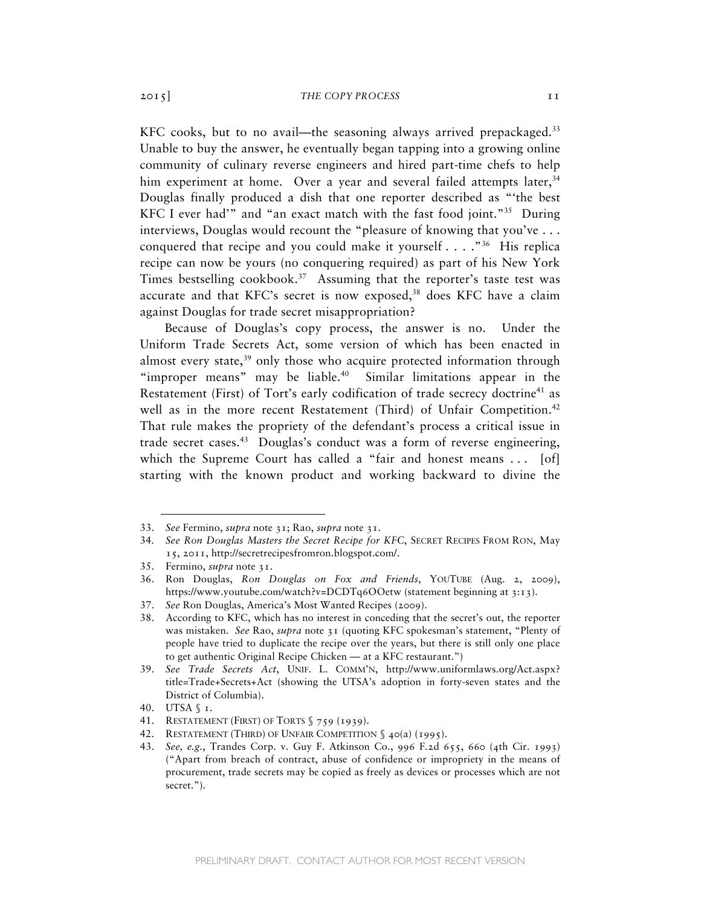KFC cooks, but to no avail—the seasoning always arrived prepackaged.<sup>33</sup> Unable to buy the answer, he eventually began tapping into a growing online community of culinary reverse engineers and hired part-time chefs to help him experiment at home. Over a year and several failed attempts later,<sup>34</sup> Douglas finally produced a dish that one reporter described as "'the best KFC I ever had'" and "an exact match with the fast food joint."<sup>35</sup> During interviews, Douglas would recount the "pleasure of knowing that you've . . . conquered that recipe and you could make it yourself  $\ldots$ ."<sup>36</sup> His replica recipe can now be yours (no conquering required) as part of his New York Times bestselling cookbook.<sup>37</sup> Assuming that the reporter's taste test was accurate and that KFC's secret is now exposed,<sup>38</sup> does KFC have a claim against Douglas for trade secret misappropriation?

Because of Douglas's copy process, the answer is no. Under the Uniform Trade Secrets Act, some version of which has been enacted in almost every state,<sup>39</sup> only those who acquire protected information through "improper means" may be liable. $40$  Similar limitations appear in the Restatement (First) of Tort's early codification of trade secrecy doctrine<sup>41</sup> as well as in the more recent Restatement (Third) of Unfair Competition.<sup>42</sup> That rule makes the propriety of the defendant's process a critical issue in trade secret cases.<sup>43</sup> Douglas's conduct was a form of reverse engineering, which the Supreme Court has called a "fair and honest means . . . [of] starting with the known product and working backward to divine the

<sup>33.</sup> *See* Fermino, *supra* note 31; Rao, *supra* note 31.

<sup>34</sup>*. See Ron Douglas Masters the Secret Recipe for KFC*, SECRET RECIPES FROM RON, May 15, 2011, http://secretrecipesfromron.blogspot.com/.

<sup>35.</sup> Fermino, *supra* note 31.

<sup>36.</sup> Ron Douglas, *Ron Douglas on Fox and Friends*, YOUTUBE (Aug. 2, 2009), https://www.youtube.com/watch?v=DCDTq6OOetw (statement beginning at 3:13).

<sup>37.</sup> *See* Ron Douglas, America's Most Wanted Recipes (2009).

<sup>38.</sup> According to KFC, which has no interest in conceding that the secret's out, the reporter was mistaken. *See* Rao, *supra* note 31 (quoting KFC spokesman's statement, "Plenty of people have tried to duplicate the recipe over the years, but there is still only one place to get authentic Original Recipe Chicken — at a KFC restaurant.")

<sup>39.</sup> *See Trade Secrets Act*, UNIF. L. COMM'N, http://www.uniformlaws.org/Act.aspx? title=Trade+Secrets+Act (showing the UTSA's adoption in forty-seven states and the District of Columbia).

<sup>40.</sup> UTSA § 1.

<sup>41.</sup> RESTATEMENT (FIRST) OF TORTS § 759 (1939).

<sup>42.</sup> RESTATEMENT (THIRD) OF UNFAIR COMPETITION § 40(a) (1995).

<sup>43.</sup> *See, e.g.*, Trandes Corp. v. Guy F. Atkinson Co., 996 F.2d 655, 660 (4th Cir. 1993) ("Apart from breach of contract, abuse of confidence or impropriety in the means of procurement, trade secrets may be copied as freely as devices or processes which are not secret.").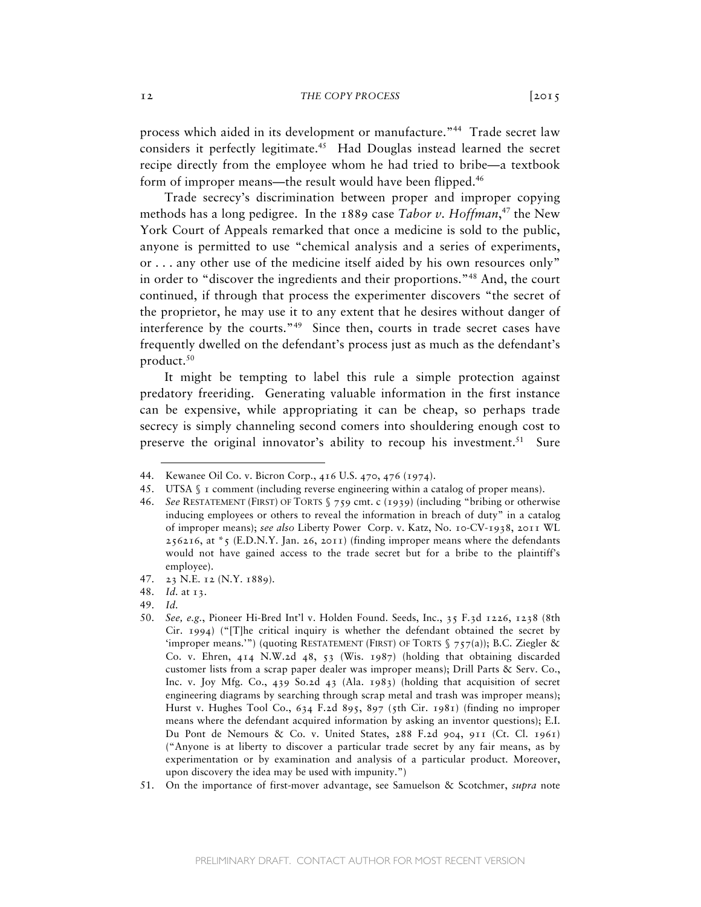process which aided in its development or manufacture."<sup>44</sup> Trade secret law considers it perfectly legitimate.<sup>45</sup> Had Douglas instead learned the secret recipe directly from the employee whom he had tried to bribe—a textbook form of improper means—the result would have been flipped.<sup>46</sup>

Trade secrecy's discrimination between proper and improper copying methods has a long pedigree. In the 1889 case *Tabor v. Hoffman*, 47 the New York Court of Appeals remarked that once a medicine is sold to the public, anyone is permitted to use "chemical analysis and a series of experiments, or . . . any other use of the medicine itself aided by his own resources only" in order to "discover the ingredients and their proportions."48 And, the court continued, if through that process the experimenter discovers "the secret of the proprietor, he may use it to any extent that he desires without danger of interference by the courts."49Since then, courts in trade secret cases have frequently dwelled on the defendant's process just as much as the defendant's product.<sup>50</sup>

It might be tempting to label this rule a simple protection against predatory freeriding. Generating valuable information in the first instance can be expensive, while appropriating it can be cheap, so perhaps trade secrecy is simply channeling second comers into shouldering enough cost to preserve the original innovator's ability to recoup his investment.<sup>51</sup> Sure

49. *Id.*

<sup>44.</sup> Kewanee Oil Co. v. Bicron Corp., 416 U.S. 470, 476 (1974).

<sup>45.</sup> UTSA § 1 comment (including reverse engineering within a catalog of proper means).

<sup>46.</sup> *See* RESTATEMENT (FIRST) OF TORTS § 759 cmt. c (1939) (including "bribing or otherwise inducing employees or others to reveal the information in breach of duty" in a catalog of improper means); *see also* Liberty Power Corp. v. Katz, No. 10-CV-1938, 2011 WL  $256216$ , at  $*_5$  (E.D.N.Y. Jan. 26, 2011) (finding improper means where the defendants would not have gained access to the trade secret but for a bribe to the plaintiff's employee).

<sup>47.</sup> 23 N.E. 12 (N.Y. 1889).

<sup>48.</sup> *Id.* at 13.

<sup>50.</sup> *See, e.g.*, Pioneer Hi-Bred Int'l v. Holden Found. Seeds, Inc., 35 F.3d 1226, 1238 (8th Cir. 1994) ("[T]he critical inquiry is whether the defendant obtained the secret by 'improper means.'") (quoting RESTATEMENT (FIRST) OF TORTS  $\zeta$  757(a)); B.C. Ziegler & Co. v. Ehren, 414 N.W.2d 48, 53 (Wis. 1987) (holding that obtaining discarded customer lists from a scrap paper dealer was improper means); Drill Parts & Serv. Co., Inc. v. Joy Mfg. Co., 439 So.2d 43 (Ala. 1983) (holding that acquisition of secret engineering diagrams by searching through scrap metal and trash was improper means); Hurst v. Hughes Tool Co.,  $634$  F.2d  $895$ ,  $897$  (5th Cir. 1981) (finding no improper means where the defendant acquired information by asking an inventor questions); E.I. Du Pont de Nemours & Co. v. United States, 288 F.2d 904, 911 (Ct. Cl. 1961) ("Anyone is at liberty to discover a particular trade secret by any fair means, as by experimentation or by examination and analysis of a particular product. Moreover, upon discovery the idea may be used with impunity.")

<sup>51.</sup> On the importance of first-mover advantage, see Samuelson & Scotchmer, *supra* note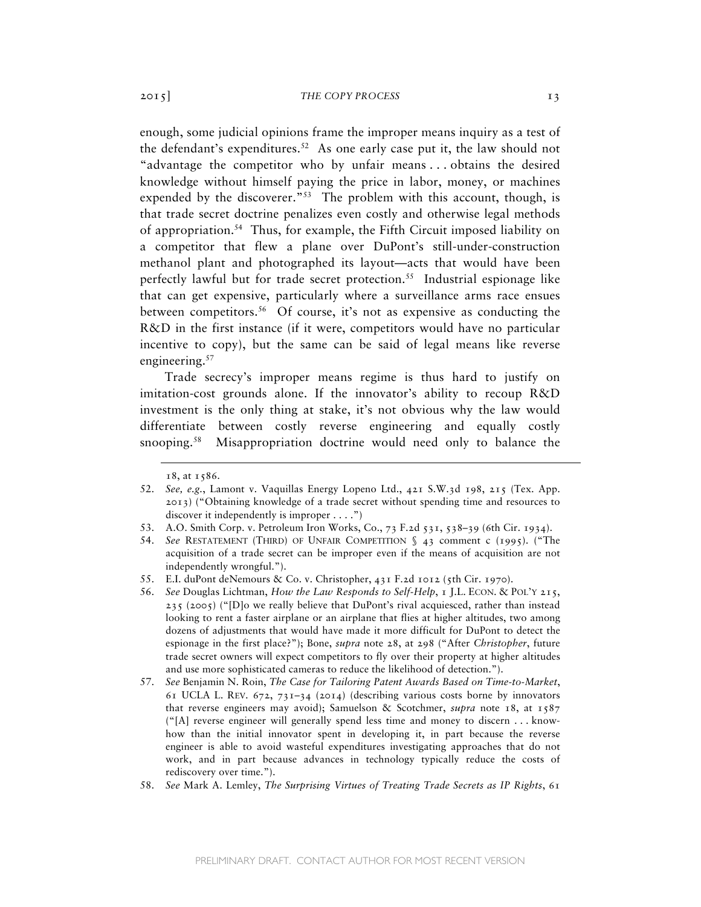enough, some judicial opinions frame the improper means inquiry as a test of the defendant's expenditures.<sup>52</sup> As one early case put it, the law should not "advantage the competitor who by unfair means . . . obtains the desired knowledge without himself paying the price in labor, money, or machines expended by the discoverer.<sup>"53</sup> The problem with this account, though, is that trade secret doctrine penalizes even costly and otherwise legal methods of appropriation.54 Thus, for example, the Fifth Circuit imposed liability on a competitor that flew a plane over DuPont's still-under-construction methanol plant and photographed its layout—acts that would have been perfectly lawful but for trade secret protection.<sup>55</sup> Industrial espionage like that can get expensive, particularly where a surveillance arms race ensues between competitors.<sup>56</sup> Of course, it's not as expensive as conducting the R&D in the first instance (if it were, competitors would have no particular incentive to copy), but the same can be said of legal means like reverse engineering.<sup>57</sup>

Trade secrecy's improper means regime is thus hard to justify on imitation-cost grounds alone. If the innovator's ability to recoup R&D investment is the only thing at stake, it's not obvious why the law would differentiate between costly reverse engineering and equally costly snooping.<sup>58</sup> Misappropriation doctrine would need only to balance the

<sup>18</sup>, at 1586.

<sup>52.</sup> *See, e.g.*, Lamont v. Vaquillas Energy Lopeno Ltd., 421 S.W.3d 198, 215 (Tex. App. 2013) ("Obtaining knowledge of a trade secret without spending time and resources to discover it independently is improper  $\dots$ .")

<sup>53.</sup> A.O. Smith Corp. v. Petroleum Iron Works, Co., 73 F.2d 531, 538–39 (6th Cir. 1934).

<sup>54.</sup> *See* RESTATEMENT (THIRD) OF UNFAIR COMPETITION § 43 comment c (1995). ("The acquisition of a trade secret can be improper even if the means of acquisition are not independently wrongful.").

<sup>55.</sup> E.I. duPont deNemours & Co. v. Christopher, 431 F.2d 1012 (5th Cir. 1970).

<sup>56.</sup> *See* Douglas Lichtman, *How the Law Responds to Self-Help*, 1 J.L. ECON. & POL'Y 215, 235 (2005) ("[D]o we really believe that DuPont's rival acquiesced, rather than instead looking to rent a faster airplane or an airplane that flies at higher altitudes, two among dozens of adjustments that would have made it more difficult for DuPont to detect the espionage in the first place?"); Bone, *supra* note 28, at 298 ("After *Christopher*, future trade secret owners will expect competitors to fly over their property at higher altitudes and use more sophisticated cameras to reduce the likelihood of detection.").

<sup>57.</sup> *See* Benjamin N. Roin, *The Case for Tailoring Patent Awards Based on Time-to-Market*, 61 UCLA L. REV. 672, 731–34 (2014) (describing various costs borne by innovators that reverse engineers may avoid); Samuelson & Scotchmer, *supra* note 18, at 1587 ("[A] reverse engineer will generally spend less time and money to discern . . . knowhow than the initial innovator spent in developing it, in part because the reverse engineer is able to avoid wasteful expenditures investigating approaches that do not work, and in part because advances in technology typically reduce the costs of rediscovery over time.").

<sup>58.</sup> *See* Mark A. Lemley, *The Surprising Virtues of Treating Trade Secrets as IP Rights*, 61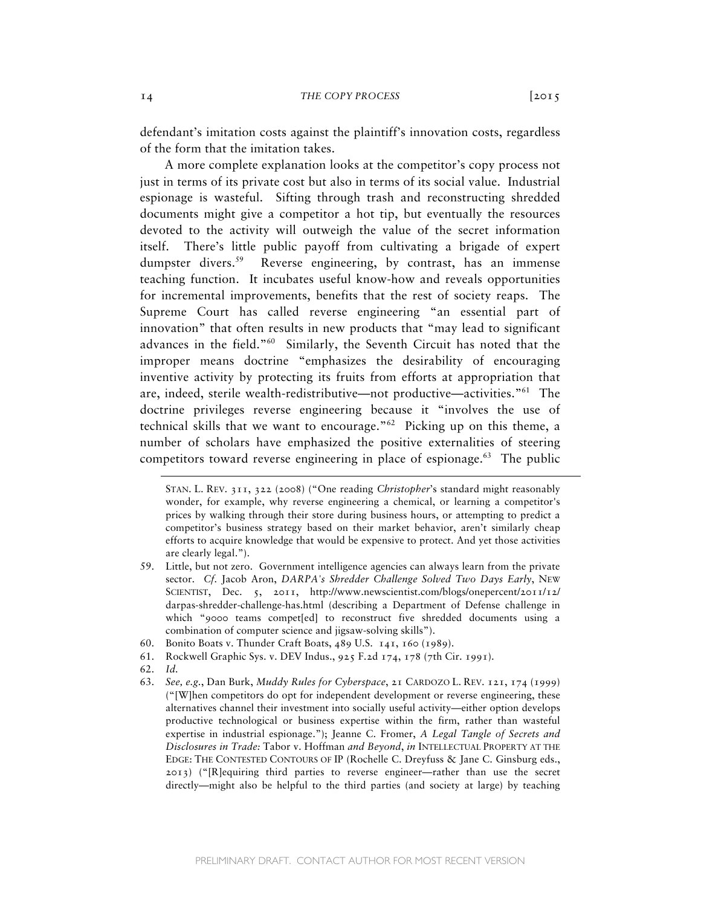defendant's imitation costs against the plaintiff's innovation costs, regardless of the form that the imitation takes.

A more complete explanation looks at the competitor's copy process not just in terms of its private cost but also in terms of its social value. Industrial espionage is wasteful. Sifting through trash and reconstructing shredded documents might give a competitor a hot tip, but eventually the resources devoted to the activity will outweigh the value of the secret information itself. There's little public payoff from cultivating a brigade of expert dumpster divers.<sup>59</sup> Reverse engineering, by contrast, has an immense teaching function. It incubates useful know-how and reveals opportunities for incremental improvements, benefits that the rest of society reaps. The Supreme Court has called reverse engineering "an essential part of innovation" that often results in new products that "may lead to significant advances in the field."60 Similarly, the Seventh Circuit has noted that the improper means doctrine "emphasizes the desirability of encouraging inventive activity by protecting its fruits from efforts at appropriation that are, indeed, sterile wealth-redistributive—not productive—activities."61 The doctrine privileges reverse engineering because it "involves the use of technical skills that we want to encourage."62 Picking up on this theme, a number of scholars have emphasized the positive externalities of steering competitors toward reverse engineering in place of espionage.<sup>63</sup> The public

- 60. Bonito Boats v. Thunder Craft Boats, 489 U.S. 141, 160 (1989).
- 61. Rockwell Graphic Sys. v. DEV Indus., 925 F.2d 174, 178 (7th Cir. 1991).
- 62. *Id.*

 $\overline{a}$ 

63. *See, e.g.*, Dan Burk, *Muddy Rules for Cyberspace*, 21 CARDOZO L. REV. 121, 174 (1999) ("[W]hen competitors do opt for independent development or reverse engineering, these alternatives channel their investment into socially useful activity—either option develops productive technological or business expertise within the firm, rather than wasteful expertise in industrial espionage."); Jeanne C. Fromer, *A Legal Tangle of Secrets and Disclosures in Trade:* Tabor v. Hoffman *and Beyond*, *in* INTELLECTUAL PROPERTY AT THE EDGE: THE CONTESTED CONTOURS OF IP (Rochelle C. Dreyfuss & Jane C. Ginsburg eds., 2013) ("[R]equiring third parties to reverse engineer—rather than use the secret directly—might also be helpful to the third parties (and society at large) by teaching

STAN. L. REV. 311, 322 (2008) ("One reading *Christopher*'s standard might reasonably wonder, for example, why reverse engineering a chemical, or learning a competitor's prices by walking through their store during business hours, or attempting to predict a competitor's business strategy based on their market behavior, aren't similarly cheap efforts to acquire knowledge that would be expensive to protect. And yet those activities are clearly legal.").

<sup>59.</sup> Little, but not zero. Government intelligence agencies can always learn from the private sector. *Cf.* Jacob Aron, *DARPA's Shredder Challenge Solved Two Days Early*, NEW SCIENTIST, Dec. 5, 2011, http://www.newscientist.com/blogs/onepercent/2011/12/ darpas-shredder-challenge-has.html (describing a Department of Defense challenge in which "9000 teams compet[ed] to reconstruct five shredded documents using a combination of computer science and jigsaw-solving skills").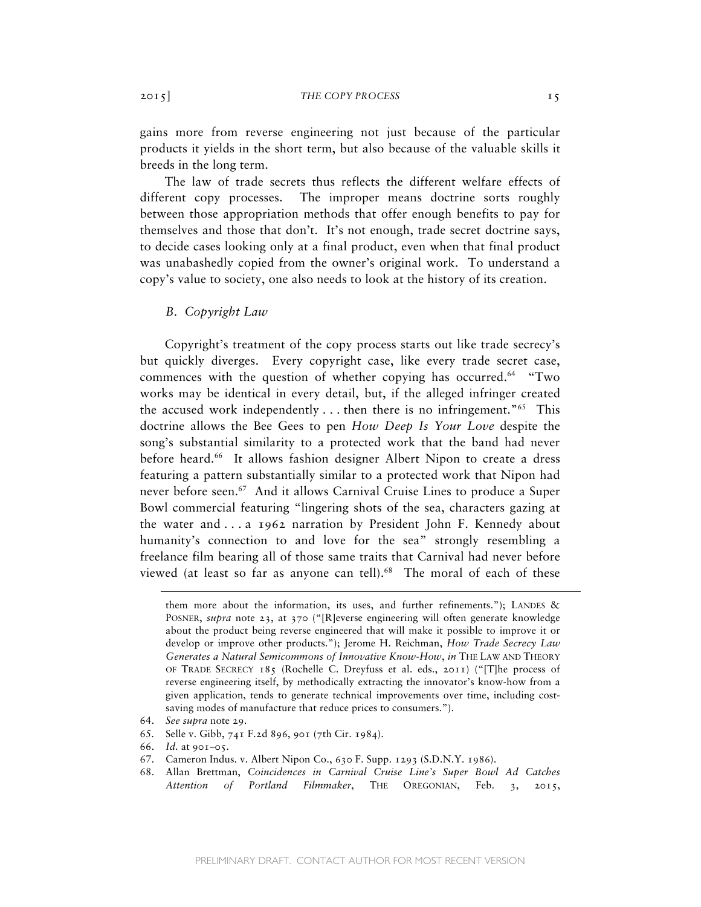gains more from reverse engineering not just because of the particular products it yields in the short term, but also because of the valuable skills it breeds in the long term.

The law of trade secrets thus reflects the different welfare effects of different copy processes. The improper means doctrine sorts roughly between those appropriation methods that offer enough benefits to pay for themselves and those that don't. It's not enough, trade secret doctrine says, to decide cases looking only at a final product, even when that final product was unabashedly copied from the owner's original work. To understand a copy's value to society, one also needs to look at the history of its creation.

# *B. Copyright Law*

Copyright's treatment of the copy process starts out like trade secrecy's but quickly diverges. Every copyright case, like every trade secret case, commences with the question of whether copying has occurred.<sup>64</sup> "Two works may be identical in every detail, but, if the alleged infringer created the accused work independently  $\dots$  then there is no infringement."<sup>65</sup> This doctrine allows the Bee Gees to pen *How Deep Is Your Love* despite the song's substantial similarity to a protected work that the band had never before heard.<sup>66</sup> It allows fashion designer Albert Nipon to create a dress featuring a pattern substantially similar to a protected work that Nipon had never before seen.<sup>67</sup> And it allows Carnival Cruise Lines to produce a Super Bowl commercial featuring "lingering shots of the sea, characters gazing at the water and . . . a 1962 narration by President John F. Kennedy about humanity's connection to and love for the sea" strongly resembling a freelance film bearing all of those same traits that Carnival had never before viewed (at least so far as anyone can tell).<sup>68</sup> The moral of each of these

them more about the information, its uses, and further refinements."); LANDES  $\&$ POSNER, *supra* note 23, at 370 ("[R]everse engineering will often generate knowledge about the product being reverse engineered that will make it possible to improve it or develop or improve other products."); Jerome H. Reichman, *How Trade Secrecy Law Generates a Natural Semicommons of Innovative Know-How*, *in* THE LAW AND THEORY OF TRADE SECRECY 185 (Rochelle C. Dreyfuss et al. eds., 2011) ("[T]he process of reverse engineering itself, by methodically extracting the innovator's know-how from a given application, tends to generate technical improvements over time, including costsaving modes of manufacture that reduce prices to consumers.").

<sup>64.</sup> *See supra* note 29.

<sup>65.</sup> Selle v. Gibb, 741 F.2d 896, 901 (7th Cir. 1984).

<sup>66.</sup> *Id.* at 901–05.

<sup>67.</sup> Cameron Indus. v. Albert Nipon Co., 630 F. Supp. 1293 (S.D.N.Y. 1986).

<sup>68.</sup> Allan Brettman, *Coincidences in Carnival Cruise Line's Super Bowl Ad Catches Attention of Portland Filmmaker*, THE OREGONIAN, Feb. 3, 2015,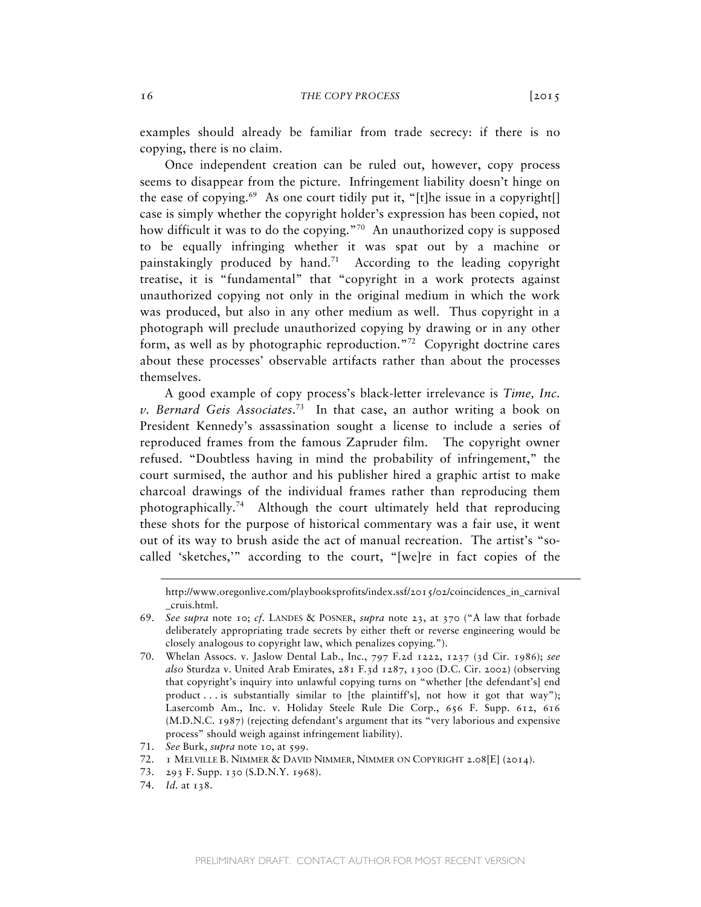examples should already be familiar from trade secrecy: if there is no copying, there is no claim.

Once independent creation can be ruled out, however, copy process seems to disappear from the picture. Infringement liability doesn't hinge on the ease of copying.<sup>69</sup> As one court tidily put it, "[t]he issue in a copyright] case is simply whether the copyright holder's expression has been copied, not how difficult it was to do the copying."<sup>70</sup> An unauthorized copy is supposed to be equally infringing whether it was spat out by a machine or painstakingly produced by hand.<sup>71</sup> According to the leading copyright treatise, it is "fundamental" that "copyright in a work protects against unauthorized copying not only in the original medium in which the work was produced, but also in any other medium as well. Thus copyright in a photograph will preclude unauthorized copying by drawing or in any other form, as well as by photographic reproduction."72 Copyright doctrine cares about these processes' observable artifacts rather than about the processes themselves.

A good example of copy process's black-letter irrelevance is *Time, Inc. v. Bernard Geis Associates*. 73 In that case, an author writing a book on President Kennedy's assassination sought a license to include a series of reproduced frames from the famous Zapruder film. The copyright owner refused. "Doubtless having in mind the probability of infringement," the court surmised, the author and his publisher hired a graphic artist to make charcoal drawings of the individual frames rather than reproducing them photographically.74 Although the court ultimately held that reproducing these shots for the purpose of historical commentary was a fair use, it went out of its way to brush aside the act of manual recreation. The artist's "socalled 'sketches,'" according to the court, "[we]re in fact copies of the

http://www.oregonlive.com/playbooksprofits/index.ssf/2015/02/coincidences\_in\_carnival \_cruis.html.

<sup>69.</sup> *See supra* note 10; *cf.* LANDES & POSNER, *supra* note 23, at 370 ("A law that forbade deliberately appropriating trade secrets by either theft or reverse engineering would be closely analogous to copyright law, which penalizes copying.").

<sup>70.</sup> Whelan Assocs. v. Jaslow Dental Lab., Inc., 797 F.2d 1222, 1237 (3d Cir. 1986); *see also* Sturdza v. United Arab Emirates, 281 F.3d 1287, 1300 (D.C. Cir. 2002) (observing that copyright's inquiry into unlawful copying turns on "whether [the defendant's] end product . . . is substantially similar to [the plaintiff's], not how it got that way"); Lasercomb Am., Inc. v. Holiday Steele Rule Die Corp., 656 F. Supp. 612, 616 (M.D.N.C. 1987) (rejecting defendant's argument that its "very laborious and expensive process" should weigh against infringement liability).

<sup>71.</sup> *See* Burk, *supra* note 10, at 599.

<sup>72.</sup> 1 MELVILLE B. NIMMER & DAVID NIMMER, NIMMER ON COPYRIGHT 2.08[E] (2014).

<sup>73.</sup> 293 F. Supp. 130 (S.D.N.Y. 1968).

<sup>74.</sup> *Id.* at 138.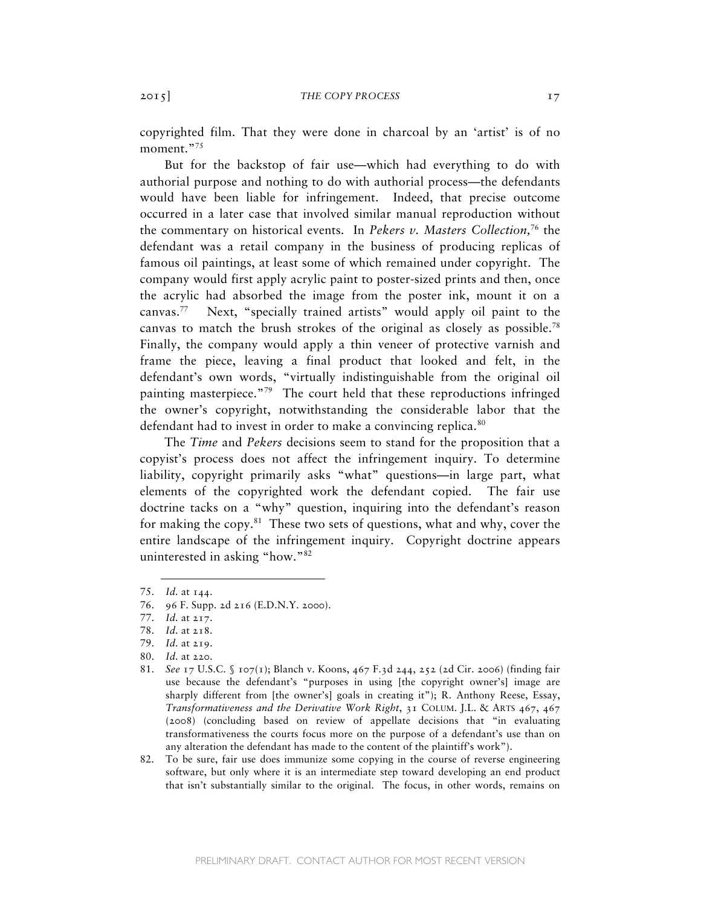copyrighted film. That they were done in charcoal by an 'artist' is of no moment."<sup>75</sup>

But for the backstop of fair use—which had everything to do with authorial purpose and nothing to do with authorial process—the defendants would have been liable for infringement. Indeed, that precise outcome occurred in a later case that involved similar manual reproduction without the commentary on historical events. In *Pekers v. Masters Collection,*76 the defendant was a retail company in the business of producing replicas of famous oil paintings, at least some of which remained under copyright. The company would first apply acrylic paint to poster-sized prints and then, once the acrylic had absorbed the image from the poster ink, mount it on a canvas.77 Next, "specially trained artists" would apply oil paint to the canvas to match the brush strokes of the original as closely as possible.<sup>78</sup> Finally, the company would apply a thin veneer of protective varnish and frame the piece, leaving a final product that looked and felt, in the defendant's own words, "virtually indistinguishable from the original oil painting masterpiece."79 The court held that these reproductions infringed the owner's copyright, notwithstanding the considerable labor that the defendant had to invest in order to make a convincing replica.<sup>80</sup>

The *Time* and *Pekers* decisions seem to stand for the proposition that a copyist's process does not affect the infringement inquiry. To determine liability, copyright primarily asks "what" questions—in large part, what elements of the copyrighted work the defendant copied. The fair use doctrine tacks on a "why" question, inquiring into the defendant's reason for making the copy. $81$  These two sets of questions, what and why, cover the entire landscape of the infringement inquiry. Copyright doctrine appears uninterested in asking "how."82

<sup>75.</sup> *Id.* at 144.

<sup>76.</sup> 96 F. Supp. 2d 216 (E.D.N.Y. 2000).

<sup>77.</sup> *Id.* at 217.

<sup>78.</sup> *Id.* at 218.

<sup>79.</sup> *Id.* at 219.

<sup>80.</sup> *Id.* at 220.

<sup>81.</sup> *See* 17 U.S.C. § 107(1); Blanch v. Koons, 467 F.3d 244, 252 (2d Cir. 2006) (finding fair use because the defendant's "purposes in using [the copyright owner's] image are sharply different from [the owner's] goals in creating it"); R. Anthony Reese, Essay, *Transformativeness and the Derivative Work Right*, 31 COLUM. J.L. & ARTS 467, 467 (2008) (concluding based on review of appellate decisions that "in evaluating transformativeness the courts focus more on the purpose of a defendant's use than on any alteration the defendant has made to the content of the plaintiff's work").

<sup>82.</sup> To be sure, fair use does immunize some copying in the course of reverse engineering software, but only where it is an intermediate step toward developing an end product that isn't substantially similar to the original. The focus, in other words, remains on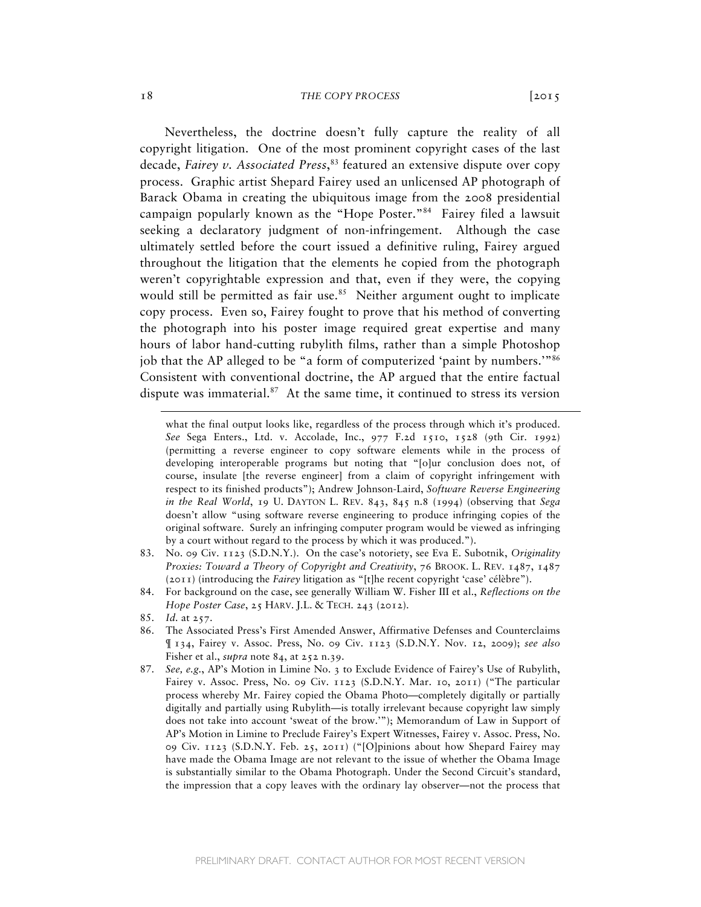Nevertheless, the doctrine doesn't fully capture the reality of all copyright litigation. One of the most prominent copyright cases of the last decade, *Fairey v. Associated Press*, 83 featured an extensive dispute over copy process. Graphic artist Shepard Fairey used an unlicensed AP photograph of Barack Obama in creating the ubiquitous image from the 2008 presidential campaign popularly known as the "Hope Poster."84 Fairey filed a lawsuit seeking a declaratory judgment of non-infringement. Although the case ultimately settled before the court issued a definitive ruling, Fairey argued throughout the litigation that the elements he copied from the photograph weren't copyrightable expression and that, even if they were, the copying would still be permitted as fair use.<sup>85</sup> Neither argument ought to implicate copy process. Even so, Fairey fought to prove that his method of converting the photograph into his poster image required great expertise and many hours of labor hand-cutting rubylith films, rather than a simple Photoshop job that the AP alleged to be "a form of computerized 'paint by numbers.'"86 Consistent with conventional doctrine, the AP argued that the entire factual dispute was immaterial. $87$  At the same time, it continued to stress its version

- 83. No. 09 Civ. 1123 (S.D.N.Y.). On the case's notoriety, see Eva E. Subotnik, *Originality Proxies: Toward a Theory of Copyright and Creativity*, 76 BROOK. L. REV. 1487, 1487 (2011) (introducing the *Fairey* litigation as "[t]he recent copyright 'case' célèbre").
- 84. For background on the case, see generally William W. Fisher III et al., *Reflections on the Hope Poster Case*, 25 HARV. J.L. & TECH. 243 (2012).
- 85. *Id.* at 257.

- 86. The Associated Press's First Amended Answer, Affirmative Defenses and Counterclaims ¶ 134, Fairey v. Assoc. Press, No. 09 Civ. 1123 (S.D.N.Y. Nov. 12, 2009); *see also* Fisher et al., *supra* note 84, at 252 n.39.
- 87. *See, e.g.*, AP's Motion in Limine No. 3 to Exclude Evidence of Fairey's Use of Rubylith, Fairey v. Assoc. Press, No. 09 Civ. 1123 (S.D.N.Y. Mar. 10, 2011) ("The particular process whereby Mr. Fairey copied the Obama Photo—completely digitally or partially digitally and partially using Rubylith—is totally irrelevant because copyright law simply does not take into account 'sweat of the brow.'"); Memorandum of Law in Support of AP's Motion in Limine to Preclude Fairey's Expert Witnesses, Fairey v. Assoc. Press, No. 09 Civ. 1123 (S.D.N.Y. Feb. 25, 2011) ("[O]pinions about how Shepard Fairey may have made the Obama Image are not relevant to the issue of whether the Obama Image is substantially similar to the Obama Photograph. Under the Second Circuit's standard, the impression that a copy leaves with the ordinary lay observer—not the process that

what the final output looks like, regardless of the process through which it's produced. *See* Sega Enters., Ltd. v. Accolade, Inc., 977 F.2d 1510, 1528 (9th Cir. 1992) (permitting a reverse engineer to copy software elements while in the process of developing interoperable programs but noting that "[o]ur conclusion does not, of course, insulate [the reverse engineer] from a claim of copyright infringement with respect to its finished products"); Andrew Johnson-Laird, *Software Reverse Engineering in the Real World*, 19 U. DAYTON L. REV. 843, 845 n.8 (1994) (observing that *Sega* doesn't allow "using software reverse engineering to produce infringing copies of the original software. Surely an infringing computer program would be viewed as infringing by a court without regard to the process by which it was produced.").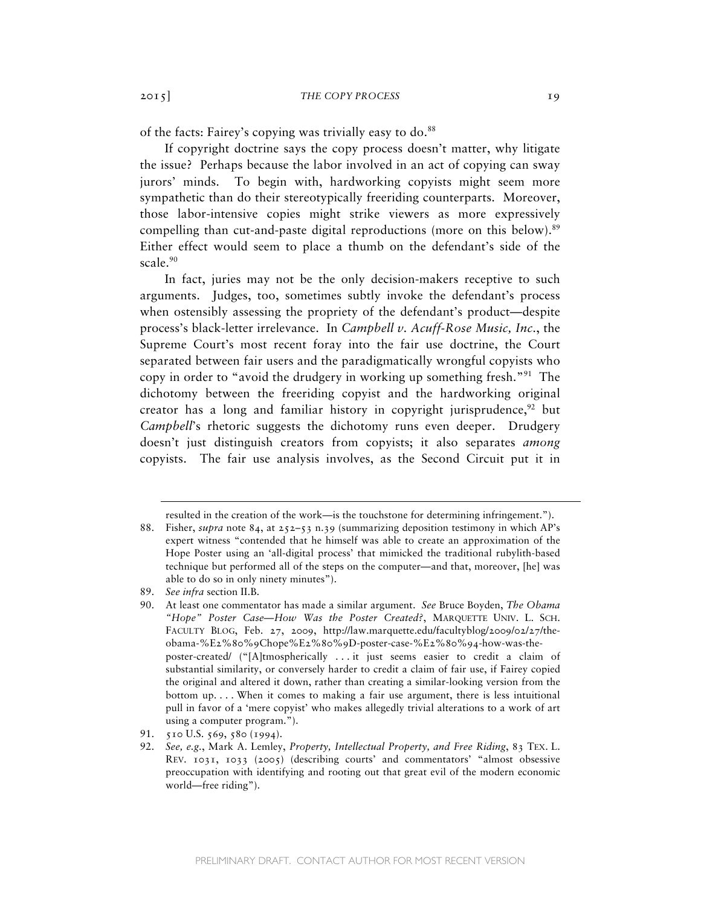of the facts: Fairey's copying was trivially easy to do.<sup>88</sup>

If copyright doctrine says the copy process doesn't matter, why litigate the issue? Perhaps because the labor involved in an act of copying can sway jurors' minds. To begin with, hardworking copyists might seem more sympathetic than do their stereotypically freeriding counterparts. Moreover, those labor-intensive copies might strike viewers as more expressively compelling than cut-and-paste digital reproductions (more on this below).<sup>89</sup> Either effect would seem to place a thumb on the defendant's side of the scale.<sup>90</sup>

In fact, juries may not be the only decision-makers receptive to such arguments. Judges, too, sometimes subtly invoke the defendant's process when ostensibly assessing the propriety of the defendant's product—despite process's black-letter irrelevance. In *Campbell v. Acuff-Rose Music, Inc.*, the Supreme Court's most recent foray into the fair use doctrine, the Court separated between fair users and the paradigmatically wrongful copyists who copy in order to "avoid the drudgery in working up something fresh."<sup>91</sup> The dichotomy between the freeriding copyist and the hardworking original creator has a long and familiar history in copyright jurisprudence, $92$  but *Campbell*'s rhetoric suggests the dichotomy runs even deeper. Drudgery doesn't just distinguish creators from copyists; it also separates *among* copyists. The fair use analysis involves, as the Second Circuit put it in

resulted in the creation of the work—is the touchstone for determining infringement.").

<sup>88.</sup> Fisher, *supra* note 84, at 252–53 n.39 (summarizing deposition testimony in which AP's expert witness "contended that he himself was able to create an approximation of the Hope Poster using an 'all-digital process' that mimicked the traditional rubylith-based technique but performed all of the steps on the computer—and that, moreover, [he] was able to do so in only ninety minutes").

<sup>89.</sup> *See infra* section II.B.

<sup>90.</sup> At least one commentator has made a similar argument. *See* Bruce Boyden, *The Obama "Hope" Poster Case—How Was the Poster Created?*, MARQUETTE UNIV. L. SCH. FACULTY BLOG, Feb. 27, 2009, http://law.marquette.edu/facultyblog/2009/02/27/theobama-%E2%80%9Chope%E2%80%9D-poster-case-%E2%80%94-how-was-theposter-created/ ("[A]tmospherically . . . it just seems easier to credit a claim of substantial similarity, or conversely harder to credit a claim of fair use, if Fairey copied the original and altered it down, rather than creating a similar-looking version from the bottom up. . . . When it comes to making a fair use argument, there is less intuitional pull in favor of a 'mere copyist' who makes allegedly trivial alterations to a work of art using a computer program.").

<sup>91.</sup> 510 U.S. 569, 580 (1994).

<sup>92.</sup> *See, e.g.*, Mark A. Lemley, *Property, Intellectual Property, and Free Riding*, 83 TEX. L. REV. 1031, 1033 (2005) (describing courts' and commentators' "almost obsessive preoccupation with identifying and rooting out that great evil of the modern economic world—free riding").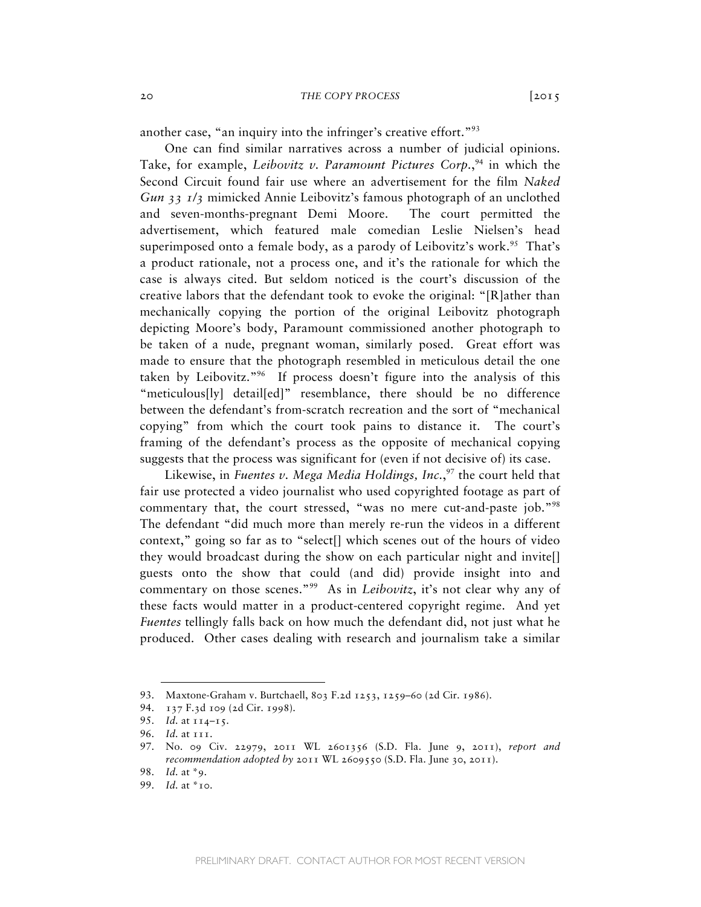another case, "an inquiry into the infringer's creative effort."<sup>93</sup>

One can find similar narratives across a number of judicial opinions. Take, for example, *Leibovitz v. Paramount Pictures Corp*.,<sup>94</sup> in which the Second Circuit found fair use where an advertisement for the film *Naked Gun 33 1/3* mimicked Annie Leibovitz's famous photograph of an unclothed and seven-months-pregnant Demi Moore. The court permitted the advertisement, which featured male comedian Leslie Nielsen's head superimposed onto a female body, as a parody of Leibovitz's work.<sup>95</sup> That's a product rationale, not a process one, and it's the rationale for which the case is always cited. But seldom noticed is the court's discussion of the creative labors that the defendant took to evoke the original: "[R]ather than mechanically copying the portion of the original Leibovitz photograph depicting Moore's body, Paramount commissioned another photograph to be taken of a nude, pregnant woman, similarly posed. Great effort was made to ensure that the photograph resembled in meticulous detail the one taken by Leibovitz."96 If process doesn't figure into the analysis of this "meticulous[ly] detail[ed]" resemblance, there should be no difference between the defendant's from-scratch recreation and the sort of "mechanical copying" from which the court took pains to distance it. The court's framing of the defendant's process as the opposite of mechanical copying suggests that the process was significant for (even if not decisive of) its case.

Likewise, in *Fuentes v. Mega Media Holdings, Inc.*, 97 the court held that fair use protected a video journalist who used copyrighted footage as part of commentary that, the court stressed, "was no mere cut-and-paste job."98 The defendant "did much more than merely re-run the videos in a different context," going so far as to "select[] which scenes out of the hours of video they would broadcast during the show on each particular night and invite[] guests onto the show that could (and did) provide insight into and commentary on those scenes."99 As in *Leibovitz*, it's not clear why any of these facts would matter in a product-centered copyright regime. And yet *Fuentes* tellingly falls back on how much the defendant did, not just what he produced. Other cases dealing with research and journalism take a similar

<sup>93.</sup> Maxtone-Graham v. Burtchaell, 803 F.2d 1253, 1259–60 (2d Cir. 1986).

<sup>94.</sup> 137 F.3d 109 (2d Cir. 1998).

<sup>95.</sup> *Id.* at 114–15.

<sup>96.</sup> *Id.* at 111.

<sup>97.</sup> No. 09 Civ. 22979, 2011 WL 2601356 (S.D. Fla. June 9, 2011), *report and recommendation adopted by* 2011 WL 2609550 (S.D. Fla. June 30, 2011).

<sup>98.</sup> *Id.* at \*9.

<sup>99.</sup> *Id.* at \*10.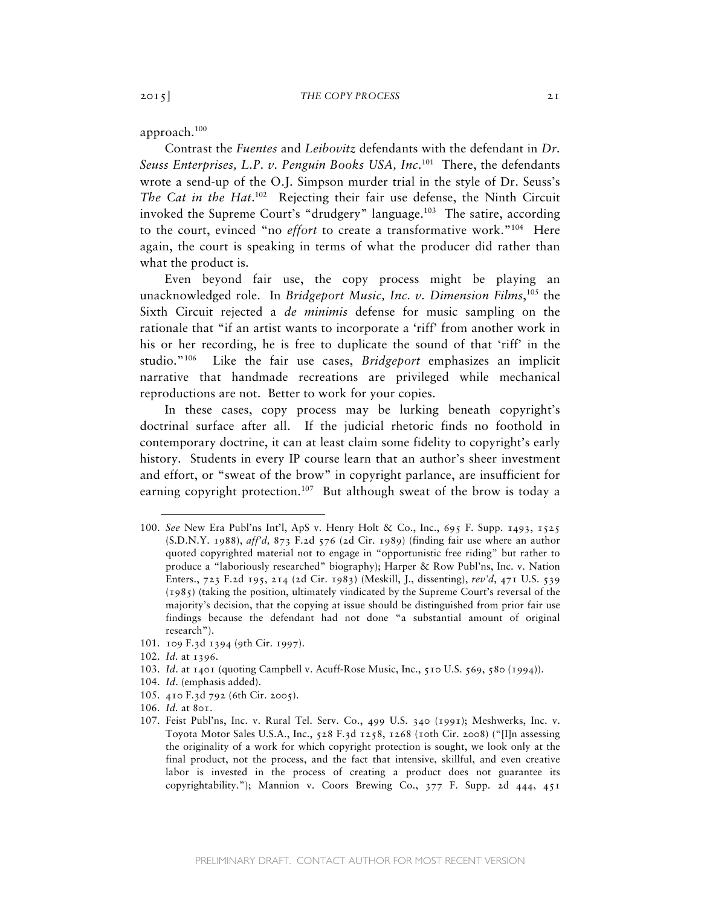approach.100

Contrast the *Fuentes* and *Leibovitz* defendants with the defendant in *Dr. Seuss Enterprises, L.P. v. Penguin Books USA, Inc*. 101 There, the defendants wrote a send-up of the O.J. Simpson murder trial in the style of Dr. Seuss's The Cat in the Hat.<sup>102</sup> Rejecting their fair use defense, the Ninth Circuit invoked the Supreme Court's "drudgery" language.<sup>103</sup> The satire, according to the court, evinced "no *effort* to create a transformative work."104 Here again, the court is speaking in terms of what the producer did rather than what the product is.

Even beyond fair use, the copy process might be playing an unacknowledged role. In *Bridgeport Music, Inc. v. Dimension Films*, 105 the Sixth Circuit rejected a *de minimis* defense for music sampling on the rationale that "if an artist wants to incorporate a 'riff' from another work in his or her recording, he is free to duplicate the sound of that 'riff' in the studio."106 Like the fair use cases, *Bridgeport* emphasizes an implicit narrative that handmade recreations are privileged while mechanical reproductions are not. Better to work for your copies.

In these cases, copy process may be lurking beneath copyright's doctrinal surface after all. If the judicial rhetoric finds no foothold in contemporary doctrine, it can at least claim some fidelity to copyright's early history. Students in every IP course learn that an author's sheer investment and effort, or "sweat of the brow" in copyright parlance, are insufficient for earning copyright protection.<sup>107</sup> But although sweat of the brow is today a

- 103. *Id*. at 1401 (quoting Campbell v. Acuff-Rose Music, Inc., 510 U.S. 569, 580 (1994)).
- 104. *Id*. (emphasis added).
- 105. 410 F.3d 792 (6th Cir. 2005).
- 106. *Id.* at 801.
- 107. Feist Publ'ns, Inc. v. Rural Tel. Serv. Co*.*, 499 U.S. 340 (1991); Meshwerks, Inc. v. Toyota Motor Sales U.S.A., Inc., 528 F.3d 1258, 1268 (10th Cir. 2008) ("[I]n assessing the originality of a work for which copyright protection is sought, we look only at the final product, not the process, and the fact that intensive, skillful, and even creative labor is invested in the process of creating a product does not guarantee its copyrightability."); Mannion v. Coors Brewing Co., 377 F. Supp. 2d 444, 451

<sup>100.</sup> *See* New Era Publ'ns Int'l, ApS v. Henry Holt & Co., Inc., 695 F. Supp. 1493, 1525 (S.D.N.Y. 1988), *aff'd,* 873 F.2d 576 (2d Cir. 1989) (finding fair use where an author quoted copyrighted material not to engage in "opportunistic free riding" but rather to produce a "laboriously researched" biography); Harper & Row Publ'ns, Inc. v. Nation Enters., 723 F.2d 195, 214 (2d Cir. 1983) (Meskill, J., dissenting), *rev'd*, 471 U.S. 539 (1985) (taking the position, ultimately vindicated by the Supreme Court's reversal of the majority's decision, that the copying at issue should be distinguished from prior fair use findings because the defendant had not done "a substantial amount of original research").

<sup>101.</sup> 109 F.3d 1394 (9th Cir. 1997).

<sup>102.</sup> *Id.* at 1396.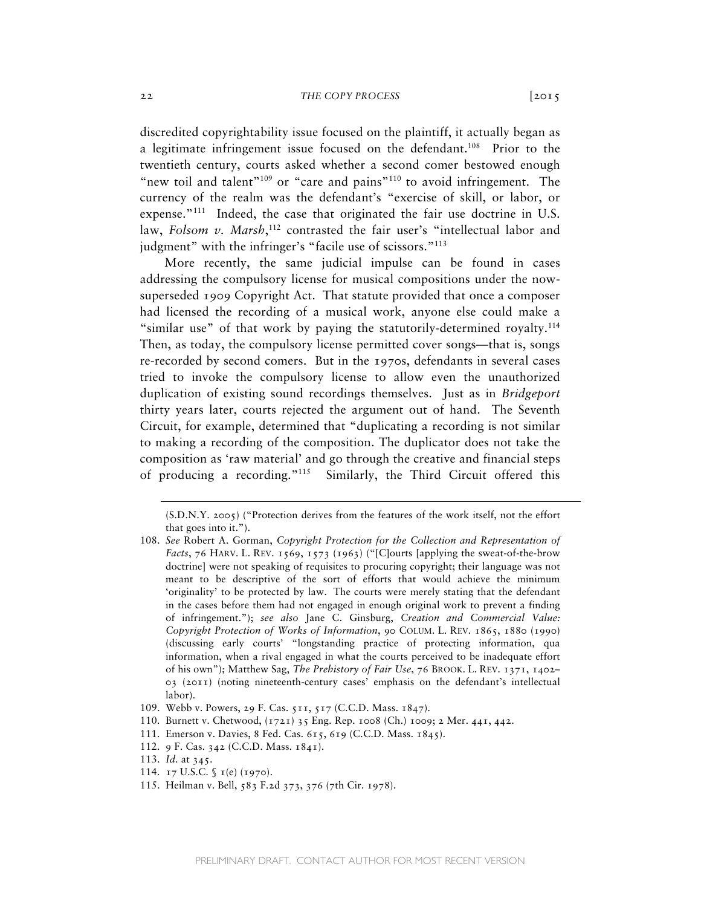discredited copyrightability issue focused on the plaintiff, it actually began as a legitimate infringement issue focused on the defendant.<sup>108</sup> Prior to the twentieth century, courts asked whether a second comer bestowed enough "new toil and talent"<sup>109</sup> or "care and pains"<sup>110</sup> to avoid infringement. The currency of the realm was the defendant's "exercise of skill, or labor, or expense."<sup>111</sup> Indeed, the case that originated the fair use doctrine in U.S. law, *Folsom v. Marsh*, 112 contrasted the fair user's "intellectual labor and judgment" with the infringer's "facile use of scissors."<sup>113</sup>

More recently, the same judicial impulse can be found in cases addressing the compulsory license for musical compositions under the nowsuperseded 1909 Copyright Act. That statute provided that once a composer had licensed the recording of a musical work, anyone else could make a "similar use" of that work by paying the statutorily-determined royalty.<sup>114</sup> Then, as today, the compulsory license permitted cover songs—that is, songs re-recorded by second comers. But in the 1970s, defendants in several cases tried to invoke the compulsory license to allow even the unauthorized duplication of existing sound recordings themselves. Just as in *Bridgeport* thirty years later, courts rejected the argument out of hand. The Seventh Circuit, for example, determined that "duplicating a recording is not similar to making a recording of the composition. The duplicator does not take the composition as 'raw material' and go through the creative and financial steps of producing a recording."115 Similarly, the Third Circuit offered this

<sup>(</sup>S.D.N.Y. 2005) ("Protection derives from the features of the work itself, not the effort that goes into it.").

<sup>108.</sup> *See* Robert A. Gorman, *Copyright Protection for the Collection and Representation of Facts*, 76 HARV. L. REV. 1569, 1573 (1963) ("[C]ourts [applying the sweat-of-the-brow doctrine] were not speaking of requisites to procuring copyright; their language was not meant to be descriptive of the sort of efforts that would achieve the minimum 'originality' to be protected by law. The courts were merely stating that the defendant in the cases before them had not engaged in enough original work to prevent a finding of infringement."); *see also* Jane C. Ginsburg, *Creation and Commercial Value: Copyright Protection of Works of Information*, 90 COLUM. L. REV. 1865, 1880 (1990) (discussing early courts' "longstanding practice of protecting information, qua information, when a rival engaged in what the courts perceived to be inadequate effort of his own"); Matthew Sag, *The Prehistory of Fair Use*, 76 BROOK. L. REV. 1371, 1402– 03 (2011) (noting nineteenth-century cases' emphasis on the defendant's intellectual labor).

<sup>109.</sup> Webb v. Powers, 29 F. Cas. 511, 517 (C.C.D. Mass. 1847).

<sup>110.</sup> Burnett v. Chetwood, (1721) 35 Eng. Rep. 1008 (Ch.) 1009; 2 Mer. 441, 442.

<sup>111.</sup> Emerson v. Davies, 8 Fed. Cas. 615, 619 (C.C.D. Mass. 1845).

<sup>112.</sup> 9 F. Cas. 342 (C.C.D. Mass. 1841).

<sup>113.</sup> *Id.* at 345.

<sup>114.</sup> 17 U.S.C. § 1(e) (1970).

<sup>115.</sup> Heilman v. Bell, 583 F.2d 373, 376 (7th Cir. 1978).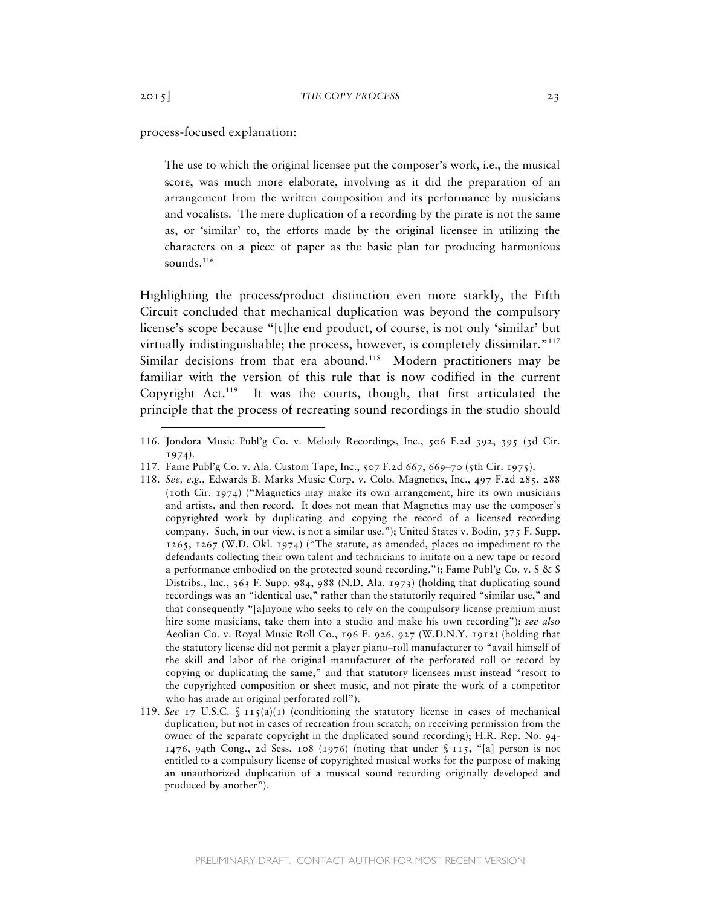### process-focused explanation:

The use to which the original licensee put the composer's work, i.e., the musical score, was much more elaborate, involving as it did the preparation of an arrangement from the written composition and its performance by musicians and vocalists. The mere duplication of a recording by the pirate is not the same as, or 'similar' to, the efforts made by the original licensee in utilizing the characters on a piece of paper as the basic plan for producing harmonious sounds.<sup>116</sup>

Highlighting the process/product distinction even more starkly, the Fifth Circuit concluded that mechanical duplication was beyond the compulsory license's scope because "[t]he end product, of course, is not only 'similar' but virtually indistinguishable; the process, however, is completely dissimilar."117 Similar decisions from that era abound.<sup>118</sup> Modern practitioners may be familiar with the version of this rule that is now codified in the current Copyright Act.<sup>119</sup> It was the courts, though, that first articulated the principle that the process of recreating sound recordings in the studio should

<sup>116.</sup> Jondora Music Publ'g Co. v. Melody Recordings, Inc., 506 F.2d 392, 395 (3d Cir. 1974).

<sup>117.</sup> Fame Publ'g Co. v. Ala. Custom Tape, Inc., 507 F.2d 667, 669–70 (5th Cir. 1975).

<sup>118.</sup> *See, e.g.*, Edwards B. Marks Music Corp. v. Colo. Magnetics, Inc., 497 F.2d 285, 288 (10th Cir. 1974) ("Magnetics may make its own arrangement, hire its own musicians and artists, and then record. It does not mean that Magnetics may use the composer's copyrighted work by duplicating and copying the record of a licensed recording company. Such, in our view, is not a similar use."); United States v. Bodin, 375 F. Supp. 1265, 1267 (W.D. Okl. 1974) ("The statute, as amended, places no impediment to the defendants collecting their own talent and technicians to imitate on a new tape or record a performance embodied on the protected sound recording."); Fame Publ'g Co. v. S & S Distribs., Inc., 363 F. Supp. 984, 988 (N.D. Ala. 1973) (holding that duplicating sound recordings was an "identical use," rather than the statutorily required "similar use," and that consequently "[a]nyone who seeks to rely on the compulsory license premium must hire some musicians, take them into a studio and make his own recording"); *see also* Aeolian Co. v. Royal Music Roll Co., 196 F. 926, 927 (W.D.N.Y. 1912) (holding that the statutory license did not permit a player piano–roll manufacturer to "avail himself of the skill and labor of the original manufacturer of the perforated roll or record by copying or duplicating the same," and that statutory licensees must instead "resort to the copyrighted composition or sheet music, and not pirate the work of a competitor who has made an original perforated roll").

<sup>119.</sup> *See* 17 U.S.C.  $\int \pi f(a)(1)$  (conditioning the statutory license in cases of mechanical duplication, but not in cases of recreation from scratch, on receiving permission from the owner of the separate copyright in the duplicated sound recording); H.R. Rep. No. 94- 1476, 94th Cong., 2d Sess. 108 (1976) (noting that under  $\S$  115, "[a] person is not entitled to a compulsory license of copyrighted musical works for the purpose of making an unauthorized duplication of a musical sound recording originally developed and produced by another").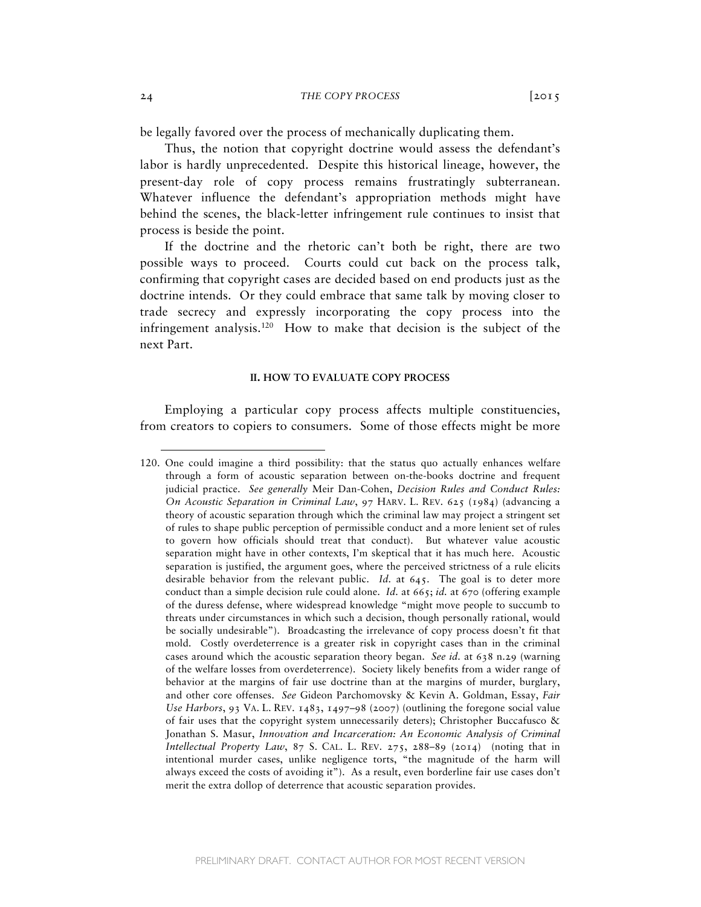be legally favored over the process of mechanically duplicating them.

Thus, the notion that copyright doctrine would assess the defendant's labor is hardly unprecedented. Despite this historical lineage, however, the present-day role of copy process remains frustratingly subterranean. Whatever influence the defendant's appropriation methods might have behind the scenes, the black-letter infringement rule continues to insist that process is beside the point.

If the doctrine and the rhetoric can't both be right, there are two possible ways to proceed. Courts could cut back on the process talk, confirming that copyright cases are decided based on end products just as the doctrine intends. Or they could embrace that same talk by moving closer to trade secrecy and expressly incorporating the copy process into the infringement analysis.120 How to make that decision is the subject of the next Part.

### **II. HOW TO EVALUATE COPY PROCESS**

Employing a particular copy process affects multiple constituencies, from creators to copiers to consumers. Some of those effects might be more

<sup>120.</sup> One could imagine a third possibility: that the status quo actually enhances welfare through a form of acoustic separation between on-the-books doctrine and frequent judicial practice. *See generally* Meir Dan-Cohen, *Decision Rules and Conduct Rules: On Acoustic Separation in Criminal Law*, 97 HARV. L. REV. 625 (1984) (advancing a theory of acoustic separation through which the criminal law may project a stringent set of rules to shape public perception of permissible conduct and a more lenient set of rules to govern how officials should treat that conduct). But whatever value acoustic separation might have in other contexts, I'm skeptical that it has much here. Acoustic separation is justified, the argument goes, where the perceived strictness of a rule elicits desirable behavior from the relevant public. *Id.* at 645. The goal is to deter more conduct than a simple decision rule could alone. *Id.* at 665; *id.* at 670 (offering example of the duress defense, where widespread knowledge "might move people to succumb to threats under circumstances in which such a decision, though personally rational, would be socially undesirable"). Broadcasting the irrelevance of copy process doesn't fit that mold. Costly overdeterrence is a greater risk in copyright cases than in the criminal cases around which the acoustic separation theory began. *See id.* at 638 n.29 (warning of the welfare losses from overdeterrence). Society likely benefits from a wider range of behavior at the margins of fair use doctrine than at the margins of murder, burglary, and other core offenses. *See* Gideon Parchomovsky & Kevin A. Goldman, Essay, *Fair Use Harbors*, 93 VA. L. REV. 1483, 1497–98 (2007) (outlining the foregone social value of fair uses that the copyright system unnecessarily deters); Christopher Buccafusco & Jonathan S. Masur, *Innovation and Incarceration: An Economic Analysis of Criminal Intellectual Property Law*, 87 S. CAL. L. REV. 275, 288–89 (2014) (noting that in intentional murder cases, unlike negligence torts, "the magnitude of the harm will always exceed the costs of avoiding it"). As a result, even borderline fair use cases don't merit the extra dollop of deterrence that acoustic separation provides.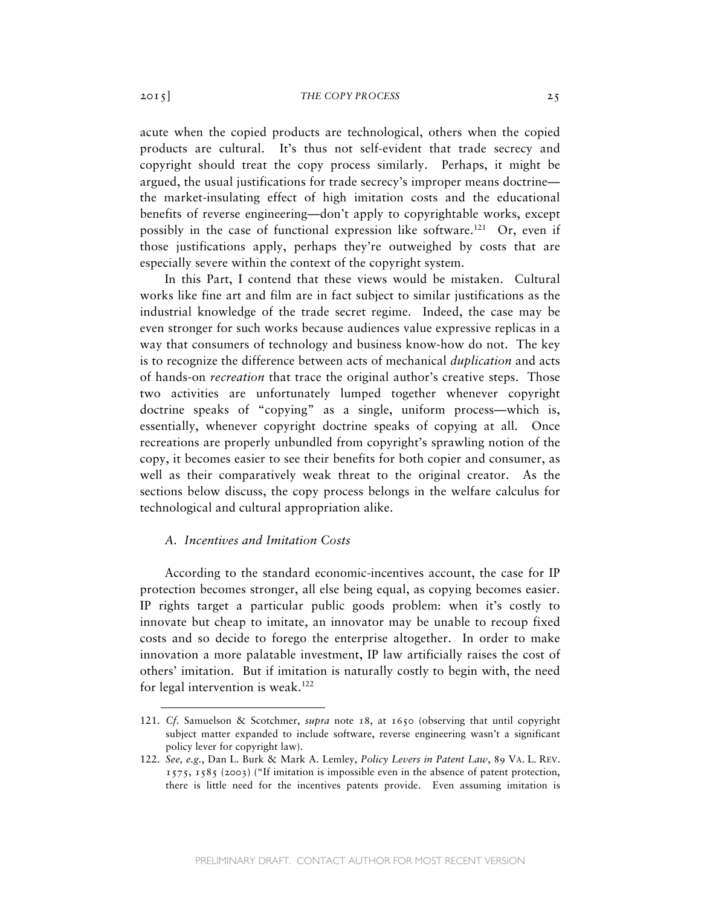#### 2015] *THE COPY PROCESS* 25

acute when the copied products are technological, others when the copied products are cultural. It's thus not self-evident that trade secrecy and copyright should treat the copy process similarly. Perhaps, it might be argued, the usual justifications for trade secrecy's improper means doctrine the market-insulating effect of high imitation costs and the educational benefits of reverse engineering—don't apply to copyrightable works, except possibly in the case of functional expression like software.<sup>121</sup> Or, even if those justifications apply, perhaps they're outweighed by costs that are especially severe within the context of the copyright system.

In this Part, I contend that these views would be mistaken. Cultural works like fine art and film are in fact subject to similar justifications as the industrial knowledge of the trade secret regime. Indeed, the case may be even stronger for such works because audiences value expressive replicas in a way that consumers of technology and business know-how do not. The key is to recognize the difference between acts of mechanical *duplication* and acts of hands-on *recreation* that trace the original author's creative steps. Those two activities are unfortunately lumped together whenever copyright doctrine speaks of "copying" as a single, uniform process—which is, essentially, whenever copyright doctrine speaks of copying at all. Once recreations are properly unbundled from copyright's sprawling notion of the copy, it becomes easier to see their benefits for both copier and consumer, as well as their comparatively weak threat to the original creator. As the sections below discuss, the copy process belongs in the welfare calculus for technological and cultural appropriation alike.

# *A. Incentives and Imitation Costs*

According to the standard economic-incentives account, the case for IP protection becomes stronger, all else being equal, as copying becomes easier. IP rights target a particular public goods problem: when it's costly to innovate but cheap to imitate, an innovator may be unable to recoup fixed costs and so decide to forego the enterprise altogether. In order to make innovation a more palatable investment, IP law artificially raises the cost of others' imitation. But if imitation is naturally costly to begin with, the need for legal intervention is weak.<sup>122</sup>

<sup>121.</sup> *Cf.* Samuelson & Scotchmer, *supra* note 18, at 1650 (observing that until copyright subject matter expanded to include software, reverse engineering wasn't a significant policy lever for copyright law).

<sup>122.</sup> *See, e.g.*, Dan L. Burk & Mark A. Lemley, *Policy Levers in Patent Law*, 89 VA. L. REV. 1575, 1585 (2003) ("If imitation is impossible even in the absence of patent protection, there is little need for the incentives patents provide. Even assuming imitation is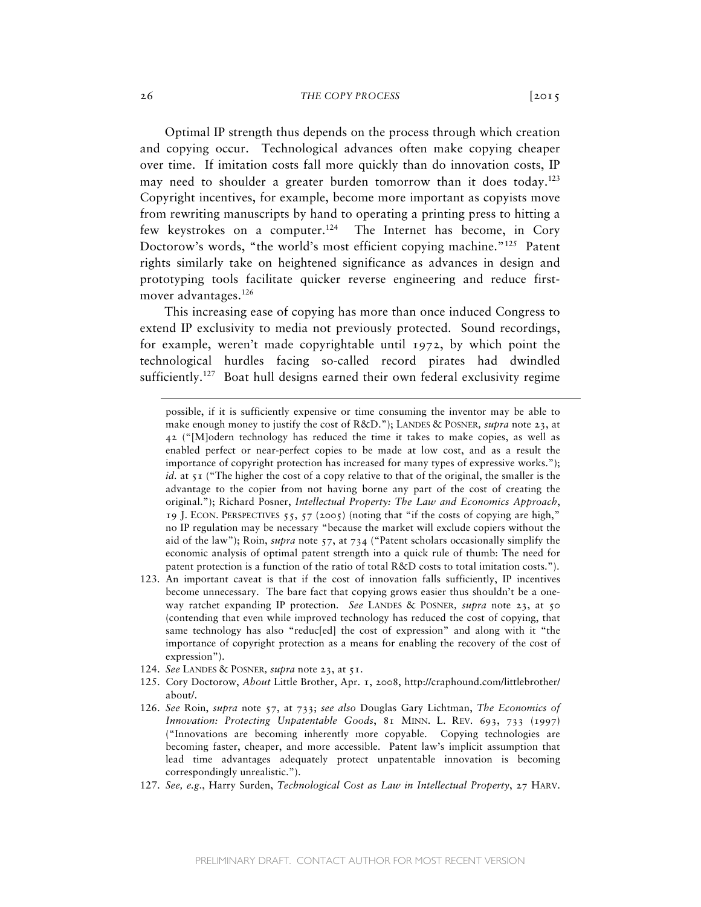Optimal IP strength thus depends on the process through which creation and copying occur. Technological advances often make copying cheaper over time. If imitation costs fall more quickly than do innovation costs, IP may need to shoulder a greater burden tomorrow than it does today.<sup>123</sup> Copyright incentives, for example, become more important as copyists move from rewriting manuscripts by hand to operating a printing press to hitting a few keystrokes on a computer.<sup>124</sup> The Internet has become, in Cory Doctorow's words, "the world's most efficient copying machine."<sup>125</sup> Patent rights similarly take on heightened significance as advances in design and prototyping tools facilitate quicker reverse engineering and reduce firstmover advantages.126

This increasing ease of copying has more than once induced Congress to extend IP exclusivity to media not previously protected. Sound recordings, for example, weren't made copyrightable until 1972, by which point the technological hurdles facing so-called record pirates had dwindled sufficiently.<sup>127</sup> Boat hull designs earned their own federal exclusivity regime

- 123. An important caveat is that if the cost of innovation falls sufficiently, IP incentives become unnecessary. The bare fact that copying grows easier thus shouldn't be a oneway ratchet expanding IP protection. *See* LANDES & POSNER*, supra* note 23, at 50 (contending that even while improved technology has reduced the cost of copying, that same technology has also "reduc[ed] the cost of expression" and along with it "the importance of copyright protection as a means for enabling the recovery of the cost of expression").
- 124. *See* LANDES & POSNER*, supra* note 23, at 51.
- 125. Cory Doctorow, *About* Little Brother, Apr. 1, 2008, http://craphound.com/littlebrother/ about/.
- 126. *See* Roin, *supra* note 57, at 733; *see also* Douglas Gary Lichtman, *The Economics of Innovation: Protecting Unpatentable Goods*, 81 MINN. L. REV. 693, 733 (1997) ("Innovations are becoming inherently more copyable. Copying technologies are becoming faster, cheaper, and more accessible. Patent law's implicit assumption that lead time advantages adequately protect unpatentable innovation is becoming correspondingly unrealistic.").
- 127. *See, e.g.*, Harry Surden, *Technological Cost as Law in Intellectual Property*, 27 HARV.

possible, if it is sufficiently expensive or time consuming the inventor may be able to make enough money to justify the cost of R&D."); LANDES & POSNER*, supra* note 23, at 42 ("[M]odern technology has reduced the time it takes to make copies, as well as enabled perfect or near-perfect copies to be made at low cost, and as a result the importance of copyright protection has increased for many types of expressive works."); *id.* at 51 ("The higher the cost of a copy relative to that of the original, the smaller is the advantage to the copier from not having borne any part of the cost of creating the original."); Richard Posner, *Intellectual Property: The Law and Economics Approach*, 19 J. ECON. PERSPECTIVES  $55$ ,  $57$  (2005) (noting that "if the costs of copying are high," no IP regulation may be necessary "because the market will exclude copiers without the aid of the law"); Roin, *supra* note 57, at 734 ("Patent scholars occasionally simplify the economic analysis of optimal patent strength into a quick rule of thumb: The need for patent protection is a function of the ratio of total R&D costs to total imitation costs.").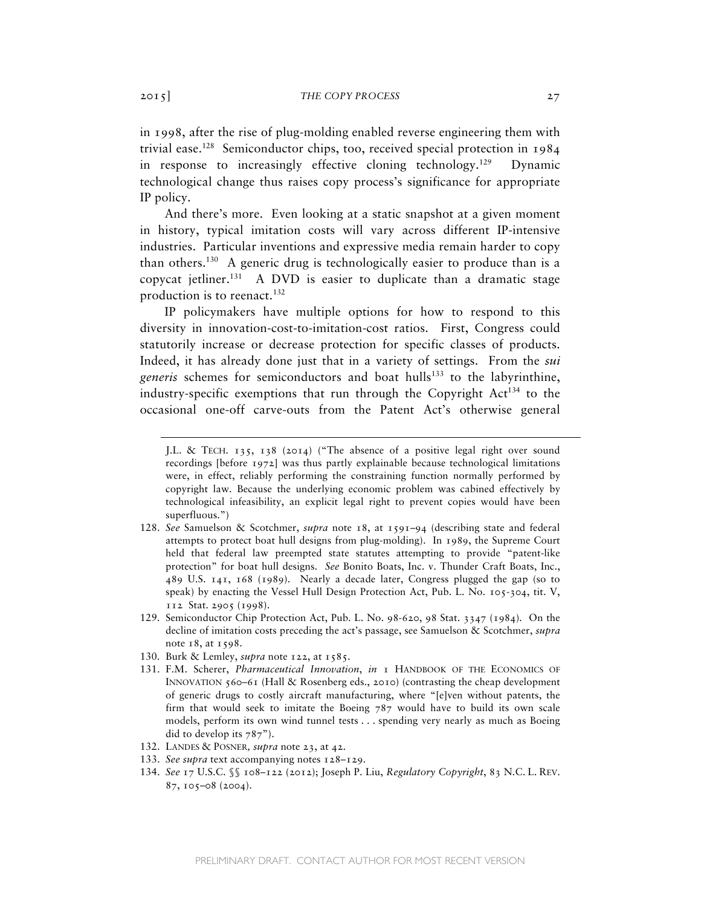in 1998, after the rise of plug-molding enabled reverse engineering them with trivial ease.<sup>128</sup> Semiconductor chips, too, received special protection in  $1984$ in response to increasingly effective cloning technology.<sup>129</sup> Dynamic technological change thus raises copy process's significance for appropriate IP policy.

And there's more. Even looking at a static snapshot at a given moment in history, typical imitation costs will vary across different IP-intensive industries. Particular inventions and expressive media remain harder to copy than others.130 A generic drug is technologically easier to produce than is a copycat jetliner.<sup>131</sup> A DVD is easier to duplicate than a dramatic stage production is to reenact.<sup>132</sup>

IP policymakers have multiple options for how to respond to this diversity in innovation-cost-to-imitation-cost ratios. First, Congress could statutorily increase or decrease protection for specific classes of products. Indeed, it has already done just that in a variety of settings. From the *sui generis* schemes for semiconductors and boat hulls<sup>133</sup> to the labyrinthine, industry-specific exemptions that run through the Copyright  $Act^{134}$  to the occasional one-off carve-outs from the Patent Act's otherwise general

- 128. *See* Samuelson & Scotchmer, *supra* note 18, at 1591–94 (describing state and federal attempts to protect boat hull designs from plug-molding). In 1989, the Supreme Court held that federal law preempted state statutes attempting to provide "patent-like protection" for boat hull designs. *See* Bonito Boats, Inc. v. Thunder Craft Boats, Inc., 489 U.S. 141, 168 (1989). Nearly a decade later, Congress plugged the gap (so to speak) by enacting the Vessel Hull Design Protection Act, Pub. L. No. 105-304, tit. V, 112 Stat. 2905 (1998).
- 129. Semiconductor Chip Protection Act, Pub. L. No. 98-620, 98 Stat. 3347 (1984)*.* On the decline of imitation costs preceding the act's passage, see Samuelson & Scotchmer, *supra* note 18, at 1598.
- 130. Burk & Lemley, *supra* note 122, at 1585.
- 131. F.M. Scherer, *Pharmaceutical Innovation*, *in* 1 HANDBOOK OF THE ECONOMICS OF INNOVATION  $560-61$  (Hall & Rosenberg eds., 2010) (contrasting the cheap development of generic drugs to costly aircraft manufacturing, where "[e]ven without patents, the firm that would seek to imitate the Boeing 787 would have to build its own scale models, perform its own wind tunnel tests . . . spending very nearly as much as Boeing did to develop its 787").
- 132. LANDES & POSNER*, supra* note 23, at 42.
- 133. *See supra* text accompanying notes 128–129.
- 134. *See* 17 U.S.C. §§ 108–122 (2012); Joseph P. Liu, *Regulatory Copyright*, 83 N.C. L. REV. 87, 105–08 (2004).

J.L. & TECH. 135, 138 (2014) ("The absence of a positive legal right over sound recordings [before 1972] was thus partly explainable because technological limitations were, in effect, reliably performing the constraining function normally performed by copyright law. Because the underlying economic problem was cabined effectively by technological infeasibility, an explicit legal right to prevent copies would have been superfluous.")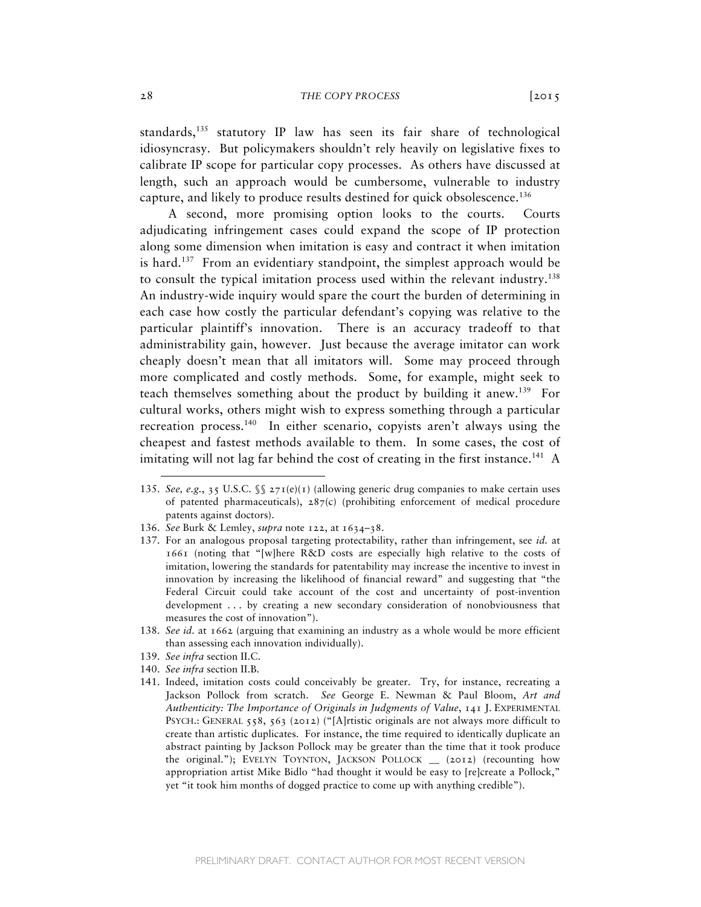standards,<sup>135</sup> statutory IP law has seen its fair share of technological idiosyncrasy. But policymakers shouldn't rely heavily on legislative fixes to calibrate IP scope for particular copy processes. As others have discussed at length, such an approach would be cumbersome, vulnerable to industry capture, and likely to produce results destined for quick obsolescence.136

 A second, more promising option looks to the courts. Courts adjudicating infringement cases could expand the scope of IP protection along some dimension when imitation is easy and contract it when imitation is hard.<sup>137</sup> From an evidentiary standpoint, the simplest approach would be to consult the typical imitation process used within the relevant industry.138 An industry-wide inquiry would spare the court the burden of determining in each case how costly the particular defendant's copying was relative to the particular plaintiff's innovation. There is an accuracy tradeoff to that administrability gain, however. Just because the average imitator can work cheaply doesn't mean that all imitators will. Some may proceed through more complicated and costly methods. Some, for example, might seek to teach themselves something about the product by building it anew.139 For cultural works, others might wish to express something through a particular recreation process.140 In either scenario, copyists aren't always using the cheapest and fastest methods available to them. In some cases, the cost of imitating will not lag far behind the cost of creating in the first instance.<sup>141</sup> A

139. *See infra* section II.C.

- 140. *See infra* section II.B.
- 141. Indeed, imitation costs could conceivably be greater. Try, for instance, recreating a Jackson Pollock from scratch. *See* George E. Newman & Paul Bloom, *Art and Authenticity: The Importance of Originals in Judgments of Value*, 141 J. EXPERIMENTAL PSYCH.: GENERAL 558, 563 (2012) ("[A]rtistic originals are not always more difficult to create than artistic duplicates. For instance, the time required to identically duplicate an abstract painting by Jackson Pollock may be greater than the time that it took produce the original."); EVELYN TOYNTON, JACKSON POLLOCK \_\_ (2012) (recounting how appropriation artist Mike Bidlo "had thought it would be easy to [re]create a Pollock," yet "it took him months of dogged practice to come up with anything credible").

<sup>135.</sup> *See, e.g.*, 35 U.S.C. §§ 271(e)(1) (allowing generic drug companies to make certain uses of patented pharmaceuticals),  $287(c)$  (prohibiting enforcement of medical procedure patents against doctors).

<sup>136.</sup> *See* Burk & Lemley, *supra* note 122, at 1634–38.

<sup>137.</sup> For an analogous proposal targeting protectability, rather than infringement, see *id.* at 1661 (noting that "[w]here R&D costs are especially high relative to the costs of imitation, lowering the standards for patentability may increase the incentive to invest in innovation by increasing the likelihood of financial reward" and suggesting that "the Federal Circuit could take account of the cost and uncertainty of post-invention development . . . by creating a new secondary consideration of nonobviousness that measures the cost of innovation").

<sup>138.</sup> *See id.* at 1662 (arguing that examining an industry as a whole would be more efficient than assessing each innovation individually).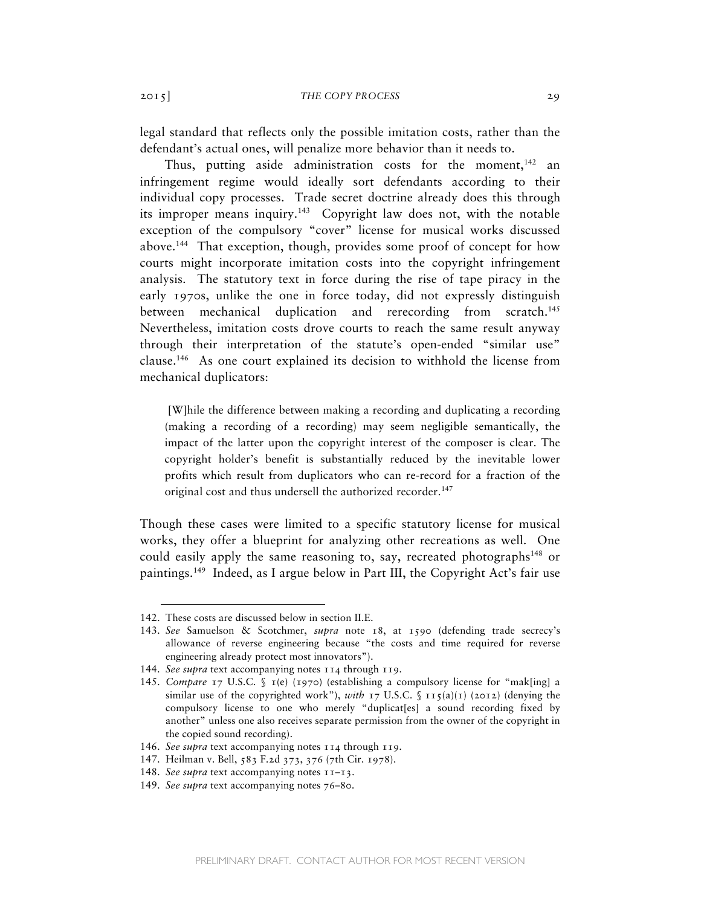legal standard that reflects only the possible imitation costs, rather than the defendant's actual ones, will penalize more behavior than it needs to.

Thus, putting aside administration costs for the moment,  $142$  an infringement regime would ideally sort defendants according to their individual copy processes. Trade secret doctrine already does this through its improper means inquiry.<sup>143</sup> Copyright law does not, with the notable exception of the compulsory "cover" license for musical works discussed above.144 That exception, though, provides some proof of concept for how courts might incorporate imitation costs into the copyright infringement analysis. The statutory text in force during the rise of tape piracy in the early 1970s, unlike the one in force today, did not expressly distinguish between mechanical duplication and rerecording from scratch.<sup>145</sup> Nevertheless, imitation costs drove courts to reach the same result anyway through their interpretation of the statute's open-ended "similar use" clause.146 As one court explained its decision to withhold the license from mechanical duplicators:

[W]hile the difference between making a recording and duplicating a recording (making a recording of a recording) may seem negligible semantically, the impact of the latter upon the copyright interest of the composer is clear. The copyright holder's benefit is substantially reduced by the inevitable lower profits which result from duplicators who can re-record for a fraction of the original cost and thus undersell the authorized recorder.<sup>147</sup>

Though these cases were limited to a specific statutory license for musical works, they offer a blueprint for analyzing other recreations as well. One could easily apply the same reasoning to, say, recreated photographs<sup>148</sup> or paintings.149 Indeed, as I argue below in Part III, the Copyright Act's fair use

<sup>142.</sup> These costs are discussed below in section II.E.

<sup>143.</sup> *See* Samuelson & Scotchmer, *supra* note 18, at 1590 (defending trade secrecy's allowance of reverse engineering because "the costs and time required for reverse engineering already protect most innovators").

<sup>144.</sup> *See supra* text accompanying notes 114 through 119.

<sup>145.</sup> *Compare* 17 U.S.C. § 1(e) (1970) (establishing a compulsory license for "mak[ing] a similar use of the copyrighted work"), *with* 17 U.S.C.  $\int$  115(a)(1) (2012) (denying the compulsory license to one who merely "duplicat[es] a sound recording fixed by another" unless one also receives separate permission from the owner of the copyright in the copied sound recording).

<sup>146.</sup> *See supra* text accompanying notes 114 through 119.

<sup>147.</sup> Heilman v. Bell, 583 F.2d 373, 376 (7th Cir. 1978).

<sup>148.</sup> *See supra* text accompanying notes 11–13.

<sup>149.</sup> *See supra* text accompanying notes 76–80.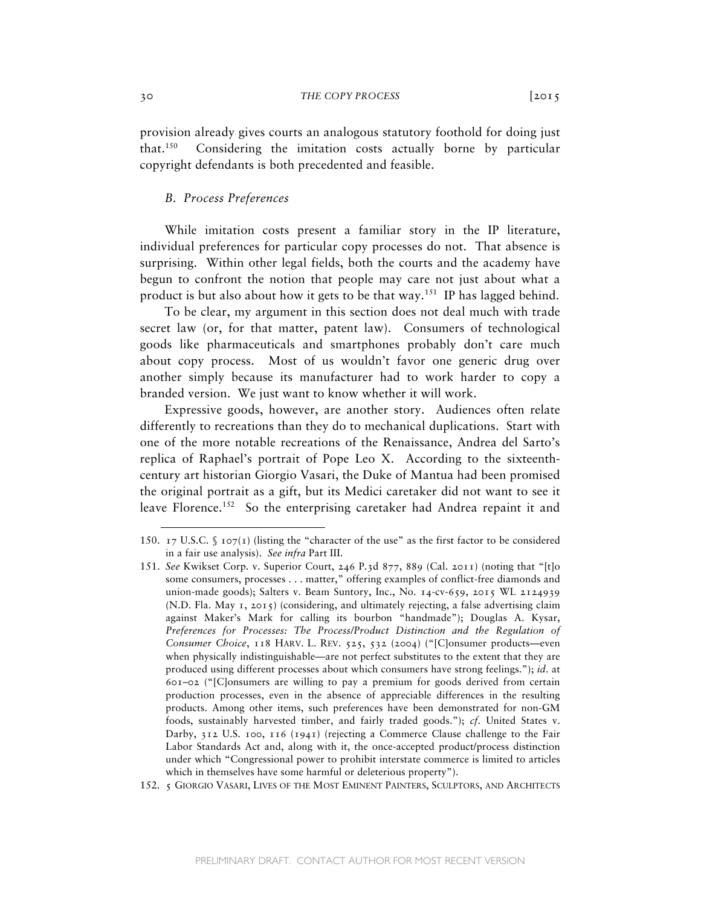provision already gives courts an analogous statutory foothold for doing just that.150 Considering the imitation costs actually borne by particular copyright defendants is both precedented and feasible.

# *B. Process Preferences*

While imitation costs present a familiar story in the IP literature, individual preferences for particular copy processes do not. That absence is surprising. Within other legal fields, both the courts and the academy have begun to confront the notion that people may care not just about what a product is but also about how it gets to be that way.<sup>151</sup> IP has lagged behind.

To be clear, my argument in this section does not deal much with trade secret law (or, for that matter, patent law). Consumers of technological goods like pharmaceuticals and smartphones probably don't care much about copy process. Most of us wouldn't favor one generic drug over another simply because its manufacturer had to work harder to copy a branded version. We just want to know whether it will work.

Expressive goods, however, are another story. Audiences often relate differently to recreations than they do to mechanical duplications. Start with one of the more notable recreations of the Renaissance, Andrea del Sarto's replica of Raphael's portrait of Pope Leo X. According to the sixteenthcentury art historian Giorgio Vasari, the Duke of Mantua had been promised the original portrait as a gift, but its Medici caretaker did not want to see it leave Florence.<sup>152</sup> So the enterprising caretaker had Andrea repaint it and

152. 5 GIORGIO VASARI, LIVES OF THE MOST EMINENT PAINTERS, SCULPTORS, AND ARCHITECTS

<sup>150. 17</sup> U.S.C.  $\int$  107(1) (listing the "character of the use" as the first factor to be considered in a fair use analysis). *See infra* Part III.

<sup>151.</sup> *See* Kwikset Corp. v. Superior Court, 246 P.3d 877, 889 (Cal. 2011) (noting that "[t]o some consumers, processes . . . matter," offering examples of conflict-free diamonds and union-made goods); Salters v. Beam Suntory, Inc., No. 14-cv-659, 2015 WL 2124939 (N.D. Fla. May 1, 2015) (considering, and ultimately rejecting, a false advertising claim against Maker's Mark for calling its bourbon "handmade"); Douglas A. Kysar, Preferences for Processes: The Process/Product Distinction and the Regulation of *Consumer Choice*, 118 HARV. L. REV. 525, 532 (2004) ("[C]onsumer products—even when physically indistinguishable—are not perfect substitutes to the extent that they are produced using different processes about which consumers have strong feelings."); *id*. at 601–02 ("[C]onsumers are willing to pay a premium for goods derived from certain production processes, even in the absence of appreciable differences in the resulting products. Among other items, such preferences have been demonstrated for non-GM foods, sustainably harvested timber, and fairly traded goods."); *cf.* United States v. Darby, 312 U.S. 100, 116 (1941) (rejecting a Commerce Clause challenge to the Fair Labor Standards Act and, along with it, the once-accepted product/process distinction under which "Congressional power to prohibit interstate commerce is limited to articles which in themselves have some harmful or deleterious property").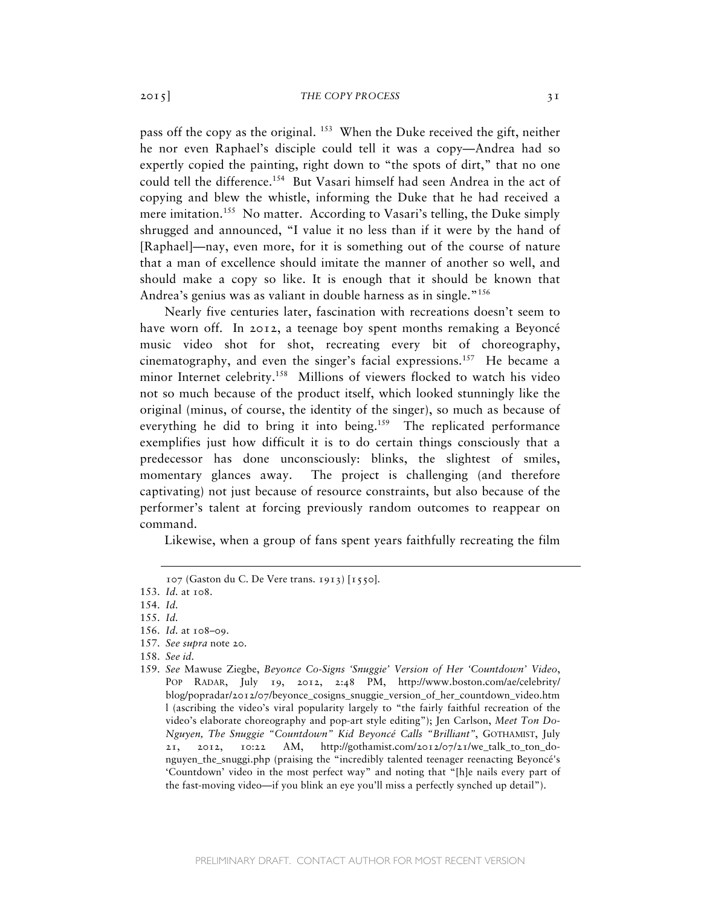pass off the copy as the original. <sup>153</sup> When the Duke received the gift, neither he nor even Raphael's disciple could tell it was a copy—Andrea had so expertly copied the painting, right down to "the spots of dirt," that no one could tell the difference.<sup>154</sup> But Vasari himself had seen Andrea in the act of copying and blew the whistle, informing the Duke that he had received a mere imitation.<sup>155</sup> No matter. According to Vasari's telling, the Duke simply shrugged and announced, "I value it no less than if it were by the hand of [Raphael]—nay, even more, for it is something out of the course of nature that a man of excellence should imitate the manner of another so well, and should make a copy so like. It is enough that it should be known that Andrea's genius was as valiant in double harness as in single."<sup>156</sup>

Nearly five centuries later, fascination with recreations doesn't seem to have worn off. In 2012, a teenage boy spent months remaking a Beyoncé music video shot for shot, recreating every bit of choreography, cinematography, and even the singer's facial expressions.157 He became a minor Internet celebrity.<sup>158</sup> Millions of viewers flocked to watch his video not so much because of the product itself, which looked stunningly like the original (minus, of course, the identity of the singer), so much as because of everything he did to bring it into being.<sup>159</sup> The replicated performance exemplifies just how difficult it is to do certain things consciously that a predecessor has done unconsciously: blinks, the slightest of smiles, momentary glances away. The project is challenging (and therefore captivating) not just because of resource constraints, but also because of the performer's talent at forcing previously random outcomes to reappear on command.

Likewise, when a group of fans spent years faithfully recreating the film

 $\overline{a}$ 

157. *See supra* note 20.

<sup>107</sup> (Gaston du C. De Vere trans. 1913) [1550].

<sup>153.</sup> *Id.* at 108.

<sup>154.</sup> *Id.*

<sup>155.</sup> *Id.*

<sup>156.</sup> *Id.* at 108–09.

<sup>158.</sup> *See id.*

<sup>159.</sup> *See* Mawuse Ziegbe, *Beyonce Co-Signs 'Snuggie' Version of Her 'Countdown' Video*, POP RADAR, July 19, 2012, 2:48 PM, http://www.boston.com/ae/celebrity/ blog/popradar/2012/07/beyonce\_cosigns\_snuggie\_version\_of\_her\_countdown\_video.htm l (ascribing the video's viral popularity largely to "the fairly faithful recreation of the video's elaborate choreography and pop-art style editing"); Jen Carlson, *Meet Ton Do-Nguyen, The Snuggie "Countdown" Kid Beyoncé Calls "Brilliant"*, GOTHAMIST, July 21, 2012, 10:22 AM, http://gothamist.com/2012/07/21/we\_talk\_to\_ton\_donguyen\_the\_snuggi.php (praising the "incredibly talented teenager reenacting Beyoncé's 'Countdown' video in the most perfect way" and noting that "[h]e nails every part of the fast-moving video—if you blink an eye you'll miss a perfectly synched up detail").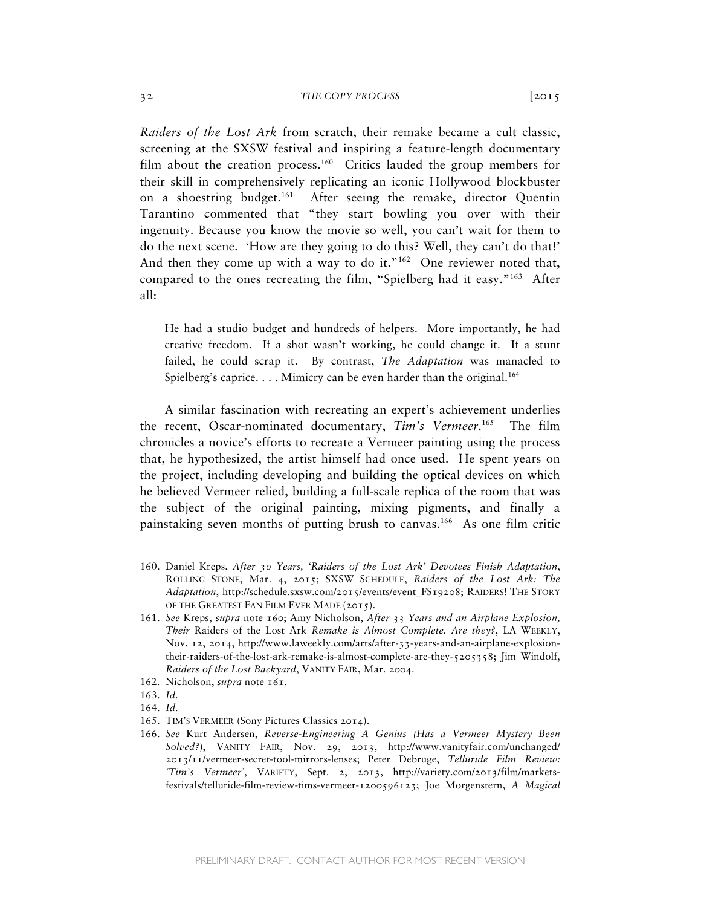*Raiders of the Lost Ark* from scratch, their remake became a cult classic, screening at the SXSW festival and inspiring a feature-length documentary film about the creation process.<sup>160</sup> Critics lauded the group members for their skill in comprehensively replicating an iconic Hollywood blockbuster on a shoestring budget.<sup>161</sup> After seeing the remake, director Quentin Tarantino commented that "they start bowling you over with their ingenuity. Because you know the movie so well, you can't wait for them to do the next scene. 'How are they going to do this? Well, they can't do that!' And then they come up with a way to do it." $162$  One reviewer noted that, compared to the ones recreating the film, "Spielberg had it easy."<sup>163</sup> After all:

He had a studio budget and hundreds of helpers. More importantly, he had creative freedom. If a shot wasn't working, he could change it. If a stunt failed, he could scrap it. By contrast, *The Adaptation* was manacled to Spielberg's caprice.  $\dots$  Mimicry can be even harder than the original.<sup>164</sup>

A similar fascination with recreating an expert's achievement underlies the recent, Oscar-nominated documentary, *Tim's Vermeer*. 165 The film chronicles a novice's efforts to recreate a Vermeer painting using the process that, he hypothesized, the artist himself had once used. He spent years on the project, including developing and building the optical devices on which he believed Vermeer relied, building a full-scale replica of the room that was the subject of the original painting, mixing pigments, and finally a painstaking seven months of putting brush to canvas.166 As one film critic

<sup>160.</sup> Daniel Kreps, *After 30 Years, 'Raiders of the Lost Ark' Devotees Finish Adaptation*, ROLLING STONE, Mar. 4, 2015; SXSW SCHEDULE, *Raiders of the Lost Ark: The Adaptation*, http://schedule.sxsw.com/2015/events/event\_FS19208; RAIDERS! THE STORY OF THE GREATEST FAN FILM EVER MADE (2015).

<sup>161.</sup> *See* Kreps, *supra* note 160; Amy Nicholson, *After 33 Years and an Airplane Explosion, Their* Raiders of the Lost Ark *Remake is Almost Complete. Are they?*, LA WEEKLY, Nov. 12, 2014, http://www.laweekly.com/arts/after-33-years-and-an-airplane-explosiontheir-raiders-of-the-lost-ark-remake-is-almost-complete-are-they-5205358; Jim Windolf, *Raiders of the Lost Backyard*, VANITY FAIR, Mar. 2004.

<sup>162.</sup> Nicholson, *supra* note 161.

<sup>163.</sup> *Id.*

<sup>164.</sup> *Id.*

<sup>165.</sup> TIM'S VERMEER (Sony Pictures Classics 2014).

<sup>166.</sup> *See* Kurt Andersen, *Reverse-Engineering A Genius (Has a Vermeer Mystery Been Solved?*), VANITY FAIR, Nov. 29, 2013, http://www.vanityfair.com/unchanged/ 2013/11/vermeer-secret-tool-mirrors-lenses; Peter Debruge, *Telluride Film Review: 'Tim's Vermeer'*, VARIETY, Sept. 2, 2013, http://variety.com/2013/film/marketsfestivals/telluride-film-review-tims-vermeer-1200596123; Joe Morgenstern, *A Magical*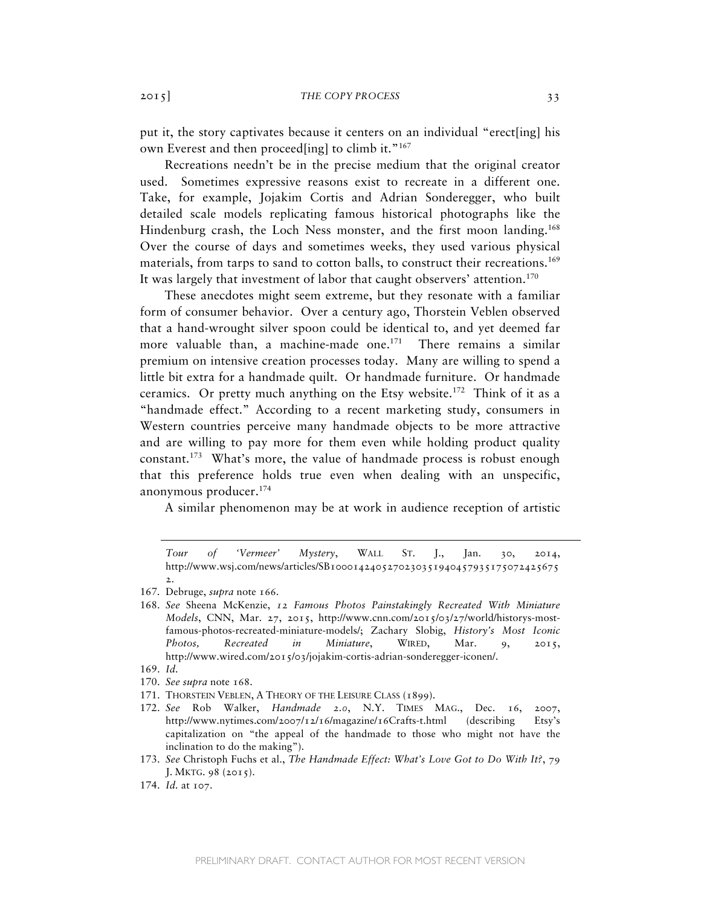put it, the story captivates because it centers on an individual "erect[ing] his own Everest and then proceed[ing] to climb it."<sup>167</sup>

Recreations needn't be in the precise medium that the original creator used. Sometimes expressive reasons exist to recreate in a different one. Take, for example, Jojakim Cortis and Adrian Sonderegger, who built detailed scale models replicating famous historical photographs like the Hindenburg crash, the Loch Ness monster, and the first moon landing.<sup>168</sup> Over the course of days and sometimes weeks, they used various physical materials, from tarps to sand to cotton balls, to construct their recreations.<sup>169</sup> It was largely that investment of labor that caught observers' attention.<sup>170</sup>

These anecdotes might seem extreme, but they resonate with a familiar form of consumer behavior. Over a century ago, Thorstein Veblen observed that a hand-wrought silver spoon could be identical to, and yet deemed far more valuable than, a machine-made one.<sup>171</sup> There remains a similar premium on intensive creation processes today. Many are willing to spend a little bit extra for a handmade quilt. Or handmade furniture. Or handmade ceramics. Or pretty much anything on the Etsy website.<sup>172</sup> Think of it as a "handmade effect." According to a recent marketing study, consumers in Western countries perceive many handmade objects to be more attractive and are willing to pay more for them even while holding product quality constant.<sup>173</sup> What's more, the value of handmade process is robust enough that this preference holds true even when dealing with an unspecific, anonymous producer.174

A similar phenomenon may be at work in audience reception of artistic

- 170. *See supra* note 168.
- 171. THORSTEIN VEBLEN, A THEORY OF THE LEISURE CLASS (1899).
- 172. *See* Rob Walker, *Handmade 2.0*, N.Y. TIMES MAG., Dec. 16, 2007, http://www.nytimes.com/2007/12/16/magazine/16Crafts-t.html (describing Etsy's capitalization on "the appeal of the handmade to those who might not have the inclination to do the making").
- 173. *See* Christoph Fuchs et al., *The Handmade Effect: What's Love Got to Do With It?*, 79 J. MKTG. 98 (2015).
- 174. *Id.* at 107.

*Tour of 'Vermeer' Mystery*, WALL ST. J., Jan. 30, 2014, http://www.wsj.com/news/articles/SB1000142405270230351940457935175072425675 2.

<sup>167.</sup> Debruge, *supra* note 166.

<sup>168.</sup> *See* Sheena McKenzie, *12 Famous Photos Painstakingly Recreated With Miniature Models*, CNN, Mar. 27, 2015, http://www.cnn.com/2015/03/27/world/historys-mostfamous-photos-recreated-miniature-models/; Zachary Slobig, *History's Most Iconic Photos, Recreated in Miniature*, WIRED, Mar. 9, 2015, http://www.wired.com/2015/03/jojakim-cortis-adrian-sonderegger-iconen/.

<sup>169.</sup> *Id.*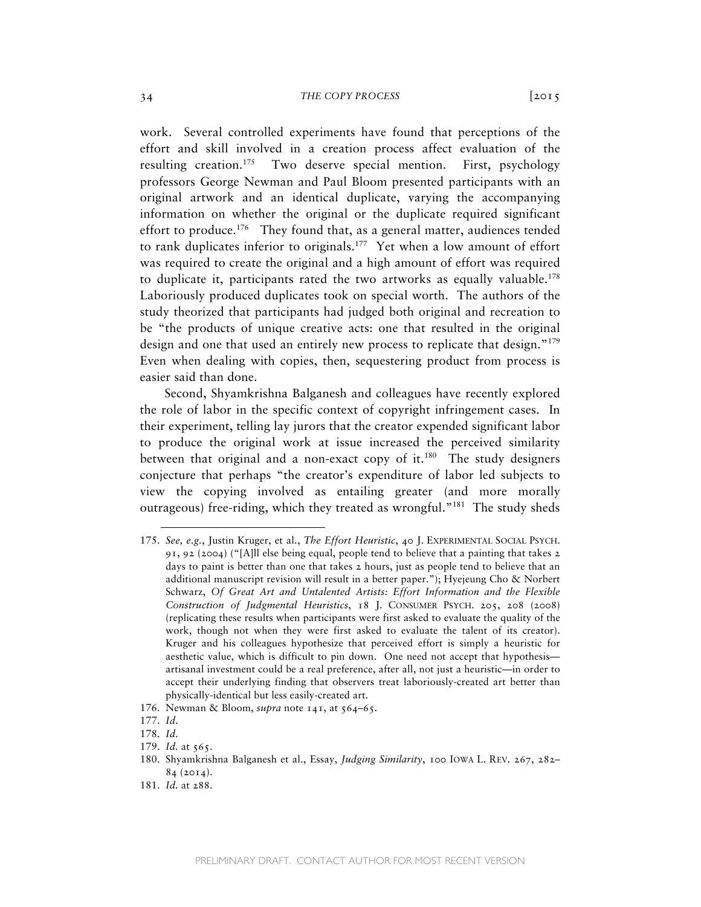work. Several controlled experiments have found that perceptions of the effort and skill involved in a creation process affect evaluation of the resulting creation.<sup>175</sup> Two deserve special mention. First, psychology professors George Newman and Paul Bloom presented participants with an original artwork and an identical duplicate, varying the accompanying information on whether the original or the duplicate required significant effort to produce.<sup>176</sup> They found that, as a general matter, audiences tended to rank duplicates inferior to originals.<sup>177</sup> Yet when a low amount of effort was required to create the original and a high amount of effort was required to duplicate it, participants rated the two artworks as equally valuable.<sup>178</sup> Laboriously produced duplicates took on special worth. The authors of the study theorized that participants had judged both original and recreation to be "the products of unique creative acts: one that resulted in the original design and one that used an entirely new process to replicate that design."<sup>179</sup> Even when dealing with copies, then, sequestering product from process is easier said than done.

Second, Shyamkrishna Balganesh and colleagues have recently explored the role of labor in the specific context of copyright infringement cases. In their experiment, telling lay jurors that the creator expended significant labor to produce the original work at issue increased the perceived similarity between that original and a non-exact copy of it.<sup>180</sup> The study designers conjecture that perhaps "the creator's expenditure of labor led subjects to view the copying involved as entailing greater (and more morally outrageous) free-riding, which they treated as wrongful."<sup>181</sup> The study sheds

<sup>175.</sup> *See, e.g.*, Justin Kruger, et al., *The Effort Heuristic*, 40 J. EXPERIMENTAL SOCIAL PSYCH. 91, 92 (2004) ("[A]ll else being equal, people tend to believe that a painting that takes 2 days to paint is better than one that takes 2 hours, just as people tend to believe that an additional manuscript revision will result in a better paper."); Hyejeung Cho & Norbert Schwarz, *Of Great Art and Untalented Artists: Effort Information and the Flexible Construction of Judgmental Heuristics*, 18 J. CONSUMER PSYCH. 205, 208 (2008) (replicating these results when participants were first asked to evaluate the quality of the work, though not when they were first asked to evaluate the talent of its creator). Kruger and his colleagues hypothesize that perceived effort is simply a heuristic for aesthetic value, which is difficult to pin down. One need not accept that hypothesis artisanal investment could be a real preference, after all, not just a heuristic—in order to accept their underlying finding that observers treat laboriously-created art better than physically-identical but less easily-created art.

<sup>176.</sup> Newman & Bloom, *supra* note 141, at 564–65.

<sup>177.</sup> *Id.*

<sup>178.</sup> *Id.*

<sup>179.</sup> *Id.* at 565.

<sup>180.</sup> Shyamkrishna Balganesh et al., Essay, *Judging Similarity*, 100 IOWA L. REV. 267, 282– 84 (2014).

<sup>181.</sup> *Id.* at 288.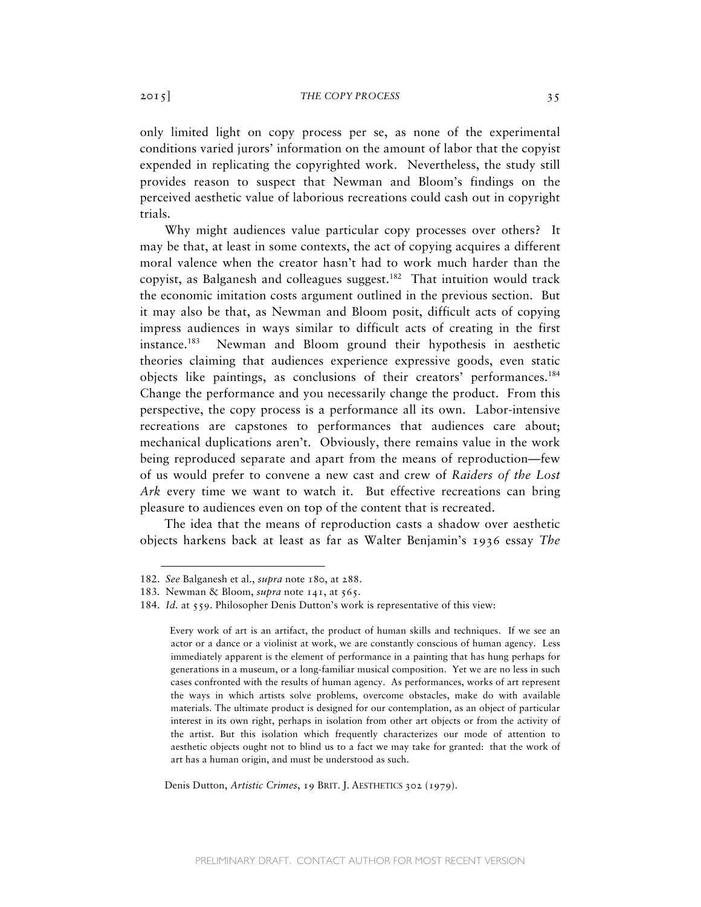only limited light on copy process per se, as none of the experimental conditions varied jurors' information on the amount of labor that the copyist expended in replicating the copyrighted work. Nevertheless, the study still provides reason to suspect that Newman and Bloom's findings on the perceived aesthetic value of laborious recreations could cash out in copyright trials.

Why might audiences value particular copy processes over others? It may be that, at least in some contexts, the act of copying acquires a different moral valence when the creator hasn't had to work much harder than the copyist, as Balganesh and colleagues suggest.<sup>182</sup> That intuition would track the economic imitation costs argument outlined in the previous section. But it may also be that, as Newman and Bloom posit, difficult acts of copying impress audiences in ways similar to difficult acts of creating in the first instance.183 Newman and Bloom ground their hypothesis in aesthetic theories claiming that audiences experience expressive goods, even static objects like paintings, as conclusions of their creators' performances.184 Change the performance and you necessarily change the product. From this perspective, the copy process is a performance all its own. Labor-intensive recreations are capstones to performances that audiences care about; mechanical duplications aren't. Obviously, there remains value in the work being reproduced separate and apart from the means of reproduction—few of us would prefer to convene a new cast and crew of *Raiders of the Lost Ark* every time we want to watch it. But effective recreations can bring pleasure to audiences even on top of the content that is recreated.

The idea that the means of reproduction casts a shadow over aesthetic objects harkens back at least as far as Walter Benjamin's 1936 essay *The* 

 $\overline{a}$ 

Denis Dutton, *Artistic Crimes*, 19 BRIT. J. AESTHETICS 302 (1979).

<sup>182.</sup> *See* Balganesh et al., *supra* note 180, at 288.

<sup>183.</sup> Newman & Bloom, *supra* note 141, at 565.

<sup>184.</sup> *Id.* at 559. Philosopher Denis Dutton's work is representative of this view:

Every work of art is an artifact, the product of human skills and techniques. If we see an actor or a dance or a violinist at work, we are constantly conscious of human agency. Less immediately apparent is the element of performance in a painting that has hung perhaps for generations in a museum, or a long-familiar musical composition. Yet we are no less in such cases confronted with the results of human agency. As performances, works of art represent the ways in which artists solve problems, overcome obstacles, make do with available materials. The ultimate product is designed for our contemplation, as an object of particular interest in its own right, perhaps in isolation from other art objects or from the activity of the artist. But this isolation which frequently characterizes our mode of attention to aesthetic objects ought not to blind us to a fact we may take for granted: that the work of art has a human origin, and must be understood as such.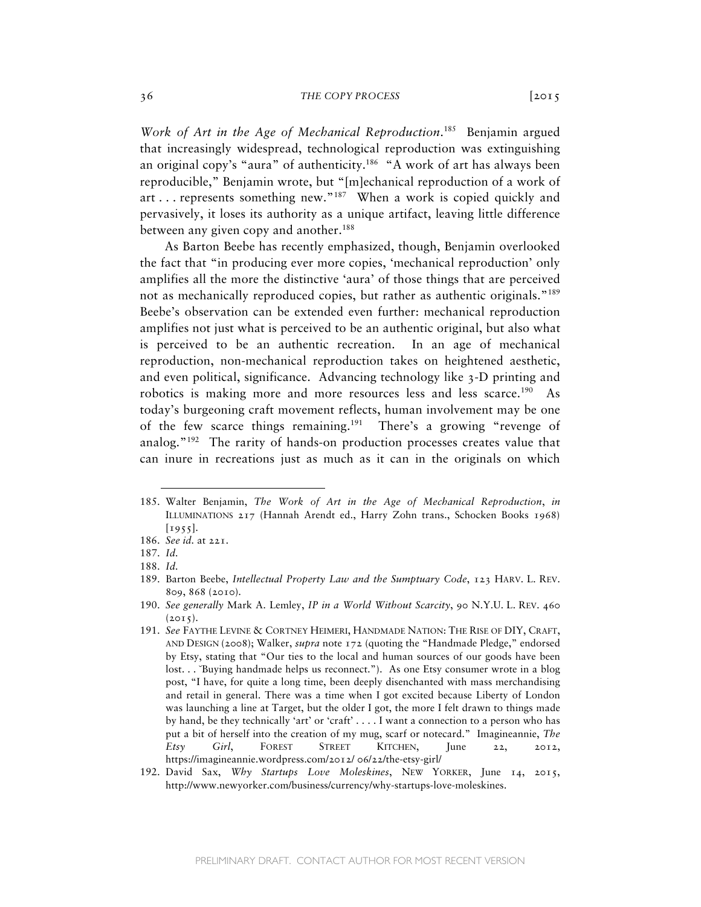*Work of Art in the Age of Mechanical Reproduction*. 185 Benjamin argued that increasingly widespread, technological reproduction was extinguishing an original copy's "aura" of authenticity.<sup>186</sup> "A work of art has always been reproducible," Benjamin wrote, but "[m]echanical reproduction of a work of art ... represents something new."<sup>187</sup> When a work is copied quickly and pervasively, it loses its authority as a unique artifact, leaving little difference between any given copy and another.<sup>188</sup>

As Barton Beebe has recently emphasized, though, Benjamin overlooked the fact that "in producing ever more copies, 'mechanical reproduction' only amplifies all the more the distinctive 'aura' of those things that are perceived not as mechanically reproduced copies, but rather as authentic originals."<sup>189</sup> Beebe's observation can be extended even further: mechanical reproduction amplifies not just what is perceived to be an authentic original, but also what is perceived to be an authentic recreation. In an age of mechanical reproduction, non-mechanical reproduction takes on heightened aesthetic, and even political, significance. Advancing technology like 3-D printing and robotics is making more and more resources less and less scarce.<sup>190</sup> As today's burgeoning craft movement reflects, human involvement may be one of the few scarce things remaining.<sup>191</sup> There's a growing "revenge of analog."192 The rarity of hands-on production processes creates value that can inure in recreations just as much as it can in the originals on which

<sup>185.</sup> Walter Benjamin, *The Work of Art in the Age of Mechanical Reproduction*, *in*  ILLUMINATIONS 217 (Hannah Arendt ed., Harry Zohn trans., Schocken Books 1968) [1955].

<sup>186.</sup> *See id.* at 221.

<sup>187.</sup> *Id.*

<sup>188.</sup> *Id.*

<sup>189.</sup> Barton Beebe, *Intellectual Property Law and the Sumptuary Code*, 123 HARV. L. REV. 809, 868 (2010).

<sup>190.</sup> *See generally* Mark A. Lemley, *IP in a World Without Scarcity*, 90 N.Y.U. L. REV. 460  $(2015)$ .

<sup>191.</sup> *See* FAYTHE LEVINE & CORTNEY HEIMERI, HANDMADE NATION: THE RISE OF DIY, CRAFT, AND DESIGN (2008); Walker, *supra* note 172 (quoting the "Handmade Pledge," endorsed by Etsy, stating that "Our ties to the local and human sources of our goods have been lost... <sup>"</sup>Buying handmade helps us reconnect."). As one Etsy consumer wrote in a blog post, "I have, for quite a long time, been deeply disenchanted with mass merchandising and retail in general. There was a time when I got excited because Liberty of London was launching a line at Target, but the older I got, the more I felt drawn to things made by hand, be they technically 'art' or 'craft' . . . . I want a connection to a person who has put a bit of herself into the creation of my mug, scarf or notecard." Imagineannie, *The Etsy Girl*, FOREST STREET KITCHEN, June 22, 2012, https://imagineannie.wordpress.com/2012/ 06/22/the-etsy-girl/

<sup>192.</sup> David Sax, *Why Startups Love Moleskines*, NEW YORKER, June 14, 2015, http://www.newyorker.com/business/currency/why-startups-love-moleskines.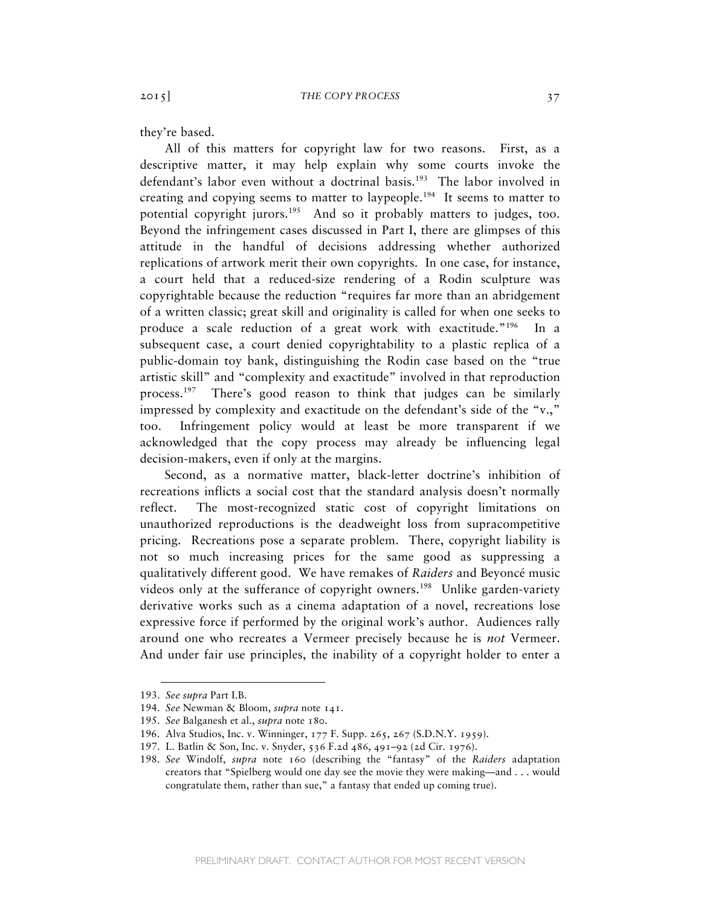they're based.

All of this matters for copyright law for two reasons. First, as a descriptive matter, it may help explain why some courts invoke the defendant's labor even without a doctrinal basis.<sup>193</sup> The labor involved in creating and copying seems to matter to laypeople.<sup>194</sup> It seems to matter to potential copyright jurors.<sup>195</sup> And so it probably matters to judges, too. Beyond the infringement cases discussed in Part I, there are glimpses of this attitude in the handful of decisions addressing whether authorized replications of artwork merit their own copyrights. In one case, for instance, a court held that a reduced-size rendering of a Rodin sculpture was copyrightable because the reduction "requires far more than an abridgement of a written classic; great skill and originality is called for when one seeks to produce a scale reduction of a great work with exactitude."196 In a subsequent case, a court denied copyrightability to a plastic replica of a public-domain toy bank, distinguishing the Rodin case based on the "true artistic skill" and "complexity and exactitude" involved in that reproduction process.<sup>197</sup> There's good reason to think that judges can be similarly impressed by complexity and exactitude on the defendant's side of the "v.," too. Infringement policy would at least be more transparent if we acknowledged that the copy process may already be influencing legal decision-makers, even if only at the margins.

Second, as a normative matter, black-letter doctrine's inhibition of recreations inflicts a social cost that the standard analysis doesn't normally reflect. The most-recognized static cost of copyright limitations on unauthorized reproductions is the deadweight loss from supracompetitive pricing. Recreations pose a separate problem. There, copyright liability is not so much increasing prices for the same good as suppressing a qualitatively different good. We have remakes of *Raiders* and Beyoncé music videos only at the sufferance of copyright owners.198Unlike garden-variety derivative works such as a cinema adaptation of a novel, recreations lose expressive force if performed by the original work's author. Audiences rally around one who recreates a Vermeer precisely because he is *not* Vermeer. And under fair use principles, the inability of a copyright holder to enter a

<sup>193.</sup> *See supra* Part I.B.

<sup>194.</sup> *See* Newman & Bloom, *supra* note 141.

<sup>195.</sup> *See* Balganesh et al., *supra* note 180.

<sup>196.</sup> Alva Studios, Inc. v. Winninger, 177 F. Supp. 265, 267 (S.D.N.Y. 1959).

<sup>197.</sup> L. Batlin & Son, Inc. v. Snyder, 536 F.2d 486, 491–92 (2d Cir. 1976).

<sup>198.</sup> *See* Windolf, *supra* note 160 (describing the "fantasy" of the *Raiders* adaptation creators that "Spielberg would one day see the movie they were making—and . . . would congratulate them, rather than sue," a fantasy that ended up coming true).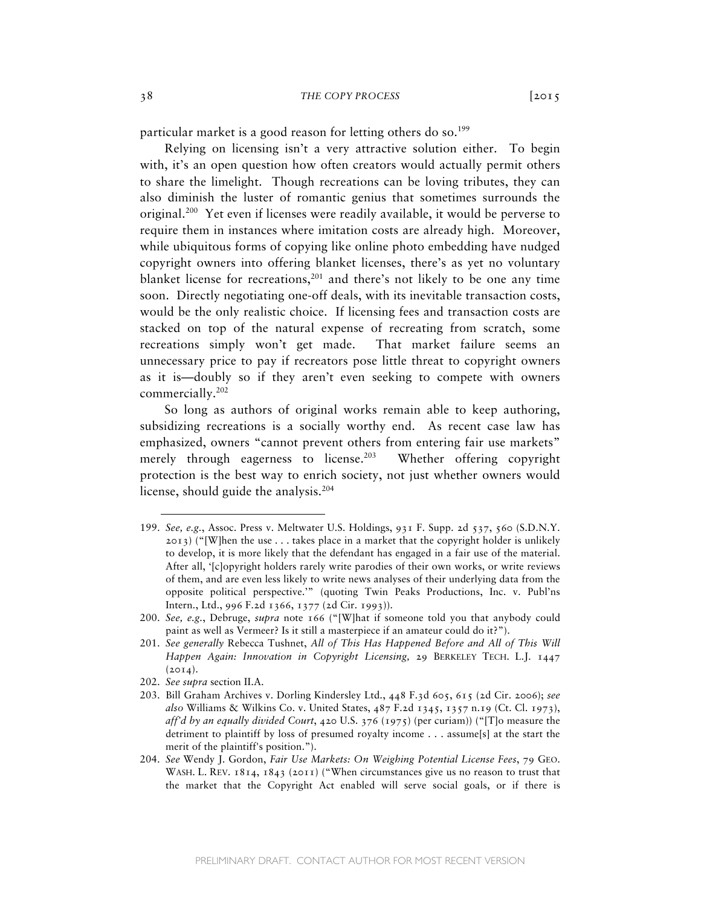particular market is a good reason for letting others do so.<sup>199</sup>

Relying on licensing isn't a very attractive solution either. To begin with, it's an open question how often creators would actually permit others to share the limelight. Though recreations can be loving tributes, they can also diminish the luster of romantic genius that sometimes surrounds the original.200 Yet even if licenses were readily available, it would be perverse to require them in instances where imitation costs are already high. Moreover, while ubiquitous forms of copying like online photo embedding have nudged copyright owners into offering blanket licenses, there's as yet no voluntary blanket license for recreations, $201$  and there's not likely to be one any time soon. Directly negotiating one-off deals, with its inevitable transaction costs, would be the only realistic choice. If licensing fees and transaction costs are stacked on top of the natural expense of recreating from scratch, some recreations simply won't get made. That market failure seems an unnecessary price to pay if recreators pose little threat to copyright owners as it is—doubly so if they aren't even seeking to compete with owners commercially.202

So long as authors of original works remain able to keep authoring, subsidizing recreations is a socially worthy end. As recent case law has emphasized, owners "cannot prevent others from entering fair use markets" merely through eagerness to license.<sup>203</sup> Whether offering copyright protection is the best way to enrich society, not just whether owners would license, should guide the analysis.<sup>204</sup>

<sup>199.</sup> *See, e.g.*, Assoc. Press v. Meltwater U.S. Holdings, 931 F. Supp. 2d 537, 560 (S.D.N.Y.  $2013$ ) ("[W]hen the use . . . takes place in a market that the copyright holder is unlikely to develop, it is more likely that the defendant has engaged in a fair use of the material. After all, '[c]opyright holders rarely write parodies of their own works, or write reviews of them, and are even less likely to write news analyses of their underlying data from the opposite political perspective.'" (quoting Twin Peaks Productions, Inc. v. Publ'ns Intern., Ltd., 996 F.2d 1366, 1377 (2d Cir. 1993)).

<sup>200.</sup> *See, e.g.*, Debruge, *supra* note 166 ("[W]hat if someone told you that anybody could paint as well as Vermeer? Is it still a masterpiece if an amateur could do it?").

<sup>201.</sup> *See generally* Rebecca Tushnet, *All of This Has Happened Before and All of This Will Happen Again: Innovation in Copyright Licensing,* 29 BERKELEY TECH. L.J. 1447  $(2014).$ 

<sup>202.</sup> *See supra* section II.A.

<sup>203.</sup> Bill Graham Archives v. Dorling Kindersley Ltd., 448 F.3d 605, 615 (2d Cir. 2006); *see also* Williams & Wilkins Co. v. United States, 487 F.2d 1345, 1357 n.19 (Ct. Cl. 1973), *aff'd by an equally divided Court*, 420 U.S. 376 (1975) (per curiam)) ("[T]o measure the detriment to plaintiff by loss of presumed royalty income . . . assume[s] at the start the merit of the plaintiff's position.").

<sup>204.</sup> *See* Wendy J. Gordon, *Fair Use Markets: On Weighing Potential License Fees*, 79 GEO. WASH. L. REV. 1814, 1843 (2011) ("When circumstances give us no reason to trust that the market that the Copyright Act enabled will serve social goals, or if there is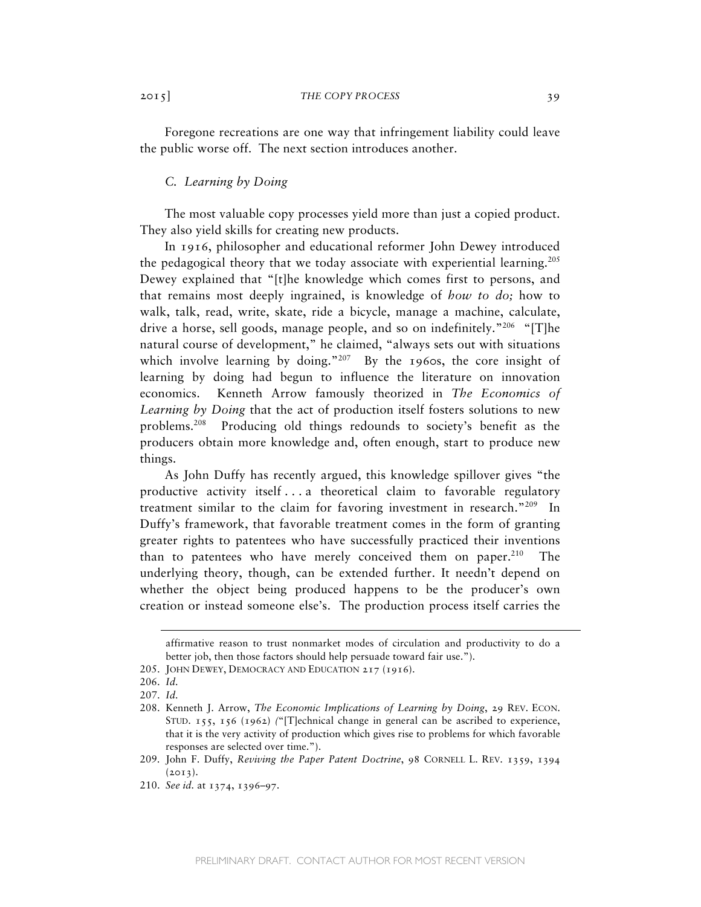Foregone recreations are one way that infringement liability could leave the public worse off. The next section introduces another.

# *C. Learning by Doing*

The most valuable copy processes yield more than just a copied product. They also yield skills for creating new products.

In 1916, philosopher and educational reformer John Dewey introduced the pedagogical theory that we today associate with experiential learning.<sup>205</sup> Dewey explained that "[t]he knowledge which comes first to persons, and that remains most deeply ingrained, is knowledge of *how to do;* how to walk, talk, read, write, skate, ride a bicycle, manage a machine, calculate, drive a horse, sell goods, manage people, and so on indefinitely."<sup>206</sup> "[T]he natural course of development," he claimed, "always sets out with situations which involve learning by doing." $207$  By the 1960s, the core insight of learning by doing had begun to influence the literature on innovation economics. Kenneth Arrow famously theorized in *The Economics of Learning by Doing* that the act of production itself fosters solutions to new problems.<sup>208</sup> Producing old things redounds to society's benefit as the producers obtain more knowledge and, often enough, start to produce new things.

As John Duffy has recently argued, this knowledge spillover gives "the productive activity itself . . . a theoretical claim to favorable regulatory treatment similar to the claim for favoring investment in research."209 In Duffy's framework, that favorable treatment comes in the form of granting greater rights to patentees who have successfully practiced their inventions than to patentees who have merely conceived them on paper. $210$  The underlying theory, though, can be extended further. It needn't depend on whether the object being produced happens to be the producer's own creation or instead someone else's. The production process itself carries the

affirmative reason to trust nonmarket modes of circulation and productivity to do a better job, then those factors should help persuade toward fair use.").

<sup>205.</sup> JOHN DEWEY, DEMOCRACY AND EDUCATION 217 (1916).

<sup>206.</sup> *Id.*

<sup>207.</sup> *Id.*

<sup>208.</sup> Kenneth J. Arrow, *The Economic Implications of Learning by Doing*, 29 REV. ECON. STUD. 155, 156 (1962) *(*"[T]echnical change in general can be ascribed to experience, that it is the very activity of production which gives rise to problems for which favorable responses are selected over time.").

<sup>209.</sup> John F. Duffy, *Reviving the Paper Patent Doctrine*, 98 CORNELL L. REV. 1359, 1394  $(2013).$ 

<sup>210.</sup> *See id.* at 1374, 1396–97.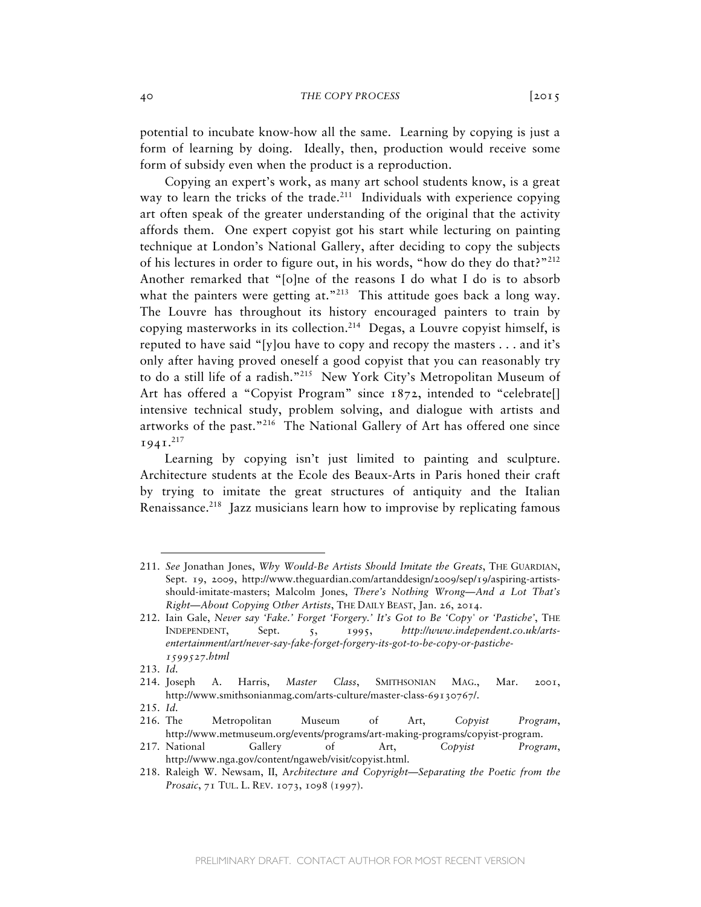potential to incubate know-how all the same. Learning by copying is just a form of learning by doing. Ideally, then, production would receive some form of subsidy even when the product is a reproduction.

Copying an expert's work, as many art school students know, is a great way to learn the tricks of the trade.<sup>211</sup> Individuals with experience copying art often speak of the greater understanding of the original that the activity affords them. One expert copyist got his start while lecturing on painting technique at London's National Gallery, after deciding to copy the subjects of his lectures in order to figure out, in his words, "how do they do that?"<sup>212</sup> Another remarked that "[o]ne of the reasons I do what I do is to absorb what the painters were getting at."<sup>213</sup> This attitude goes back a long way. The Louvre has throughout its history encouraged painters to train by copying masterworks in its collection.<sup>214</sup> Degas, a Louvre copyist himself, is reputed to have said "[y]ou have to copy and recopy the masters . . . and it's only after having proved oneself a good copyist that you can reasonably try to do a still life of a radish."215 New York City's Metropolitan Museum of Art has offered a "Copyist Program" since 1872, intended to "celebrate[] intensive technical study, problem solving, and dialogue with artists and artworks of the past."<sup>216</sup> The National Gallery of Art has offered one since  $1941.<sup>217</sup>$ 

Learning by copying isn't just limited to painting and sculpture. Architecture students at the Ecole des Beaux-Arts in Paris honed their craft by trying to imitate the great structures of antiquity and the Italian Renaissance.<sup>218</sup> Jazz musicians learn how to improvise by replicating famous

<sup>211.</sup> *See* Jonathan Jones, *Why Would-Be Artists Should Imitate the Greats*, THE GUARDIAN, Sept. 19, 2009, http://www.theguardian.com/artanddesign/2009/sep/19/aspiring-artistsshould-imitate-masters; Malcolm Jones, *There's Nothing Wrong—And a Lot That's Right—About Copying Other Artists*, THE DAILY BEAST, Jan. 26, 2014.

<sup>212.</sup> Iain Gale, *Never say 'Fake.' Forget 'Forgery.' It's Got to Be 'Copy' or 'Pastiche'*, THE INDEPENDENT, Sept. 5, 1995, *http://www.independent.co.uk/artsentertainment/art/never-say-fake-forget-forgery-its-got-to-be-copy-or-pastiche-1599527.html*

<sup>213.</sup> *Id.*

<sup>214.</sup> Joseph A. Harris, *Master Class*, SMITHSONIAN MAG., Mar. 2001, http://www.smithsonianmag.com/arts-culture/master-class-69130767/.

<sup>215.</sup> *Id.*

<sup>216.</sup> The Metropolitan Museum of Art, *Copyist Program*, http://www.metmuseum.org/events/programs/art-making-programs/copyist-program.

<sup>217.</sup> National Gallery of Art, *Copyist Program*, http://www.nga.gov/content/ngaweb/visit/copyist.html.

<sup>218.</sup> Raleigh W. Newsam, II, A*rchitecture and Copyright—Separating the Poetic from the Prosaic*, 71 TUL. L. REV. 1073, 1098 (1997).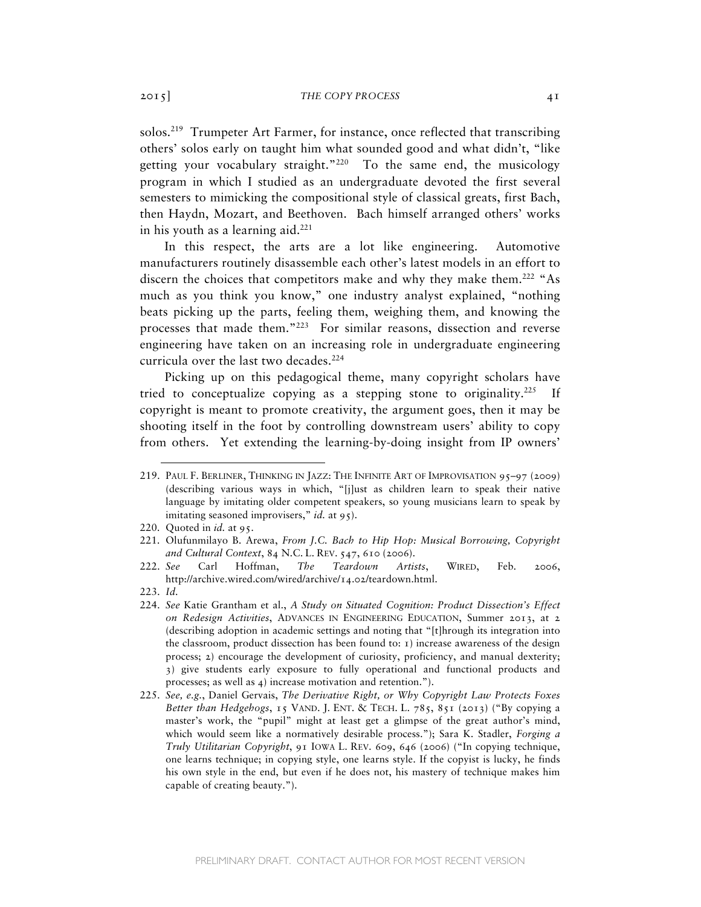solos.<sup>219</sup> Trumpeter Art Farmer, for instance, once reflected that transcribing others' solos early on taught him what sounded good and what didn't, "like getting your vocabulary straight."<sup>220</sup> To the same end, the musicology program in which I studied as an undergraduate devoted the first several semesters to mimicking the compositional style of classical greats, first Bach, then Haydn, Mozart, and Beethoven. Bach himself arranged others' works in his youth as a learning aid. $^{221}$ 

In this respect, the arts are a lot like engineering. Automotive manufacturers routinely disassemble each other's latest models in an effort to discern the choices that competitors make and why they make them.<sup>222</sup> "As much as you think you know," one industry analyst explained, "nothing beats picking up the parts, feeling them, weighing them, and knowing the processes that made them."223 For similar reasons, dissection and reverse engineering have taken on an increasing role in undergraduate engineering curricula over the last two decades.<sup>224</sup>

Picking up on this pedagogical theme, many copyright scholars have tried to conceptualize copying as a stepping stone to originality.<sup>225</sup> If copyright is meant to promote creativity, the argument goes, then it may be shooting itself in the foot by controlling downstream users' ability to copy from others. Yet extending the learning-by-doing insight from IP owners'

<sup>219.</sup> PAUL F. BERLINER, THINKING IN JAZZ: THE INFINITE ART OF IMPROVISATION 95–97 (2009) (describing various ways in which, "[j]ust as children learn to speak their native language by imitating older competent speakers, so young musicians learn to speak by imitating seasoned improvisers," *id.* at 95).

<sup>220.</sup> Quoted in *id.* at 95.

<sup>221.</sup> Olufunmilayo B. Arewa, *From J.C. Bach to Hip Hop: Musical Borrowing, Copyright and Cultural Context*, 84 N.C. L. REV. 547, 610 (2006).

<sup>222.</sup> *See* Carl Hoffman, *The Teardown Artists*, WIRED, Feb. 2006, http://archive.wired.com/wired/archive/14.02/teardown.html.

<sup>223.</sup> *Id.*

<sup>224.</sup> *See* Katie Grantham et al., *A Study on Situated Cognition: Product Dissection's Effect on Redesign Activities*, ADVANCES IN ENGINEERING EDUCATION, Summer 2013, at 2 (describing adoption in academic settings and noting that "[t]hrough its integration into the classroom, product dissection has been found to:  $\iota$ ) increase awareness of the design process; 2) encourage the development of curiosity, proficiency, and manual dexterity; 3) give students early exposure to fully operational and functional products and processes; as well as 4) increase motivation and retention.").

<sup>225.</sup> *See, e.g.*, Daniel Gervais, *The Derivative Right, or Why Copyright Law Protects Foxes Better than Hedgehogs*, 15 VAND. J. ENT. & TECH. L. 785, 851 (2013) ("By copying a master's work, the "pupil" might at least get a glimpse of the great author's mind, which would seem like a normatively desirable process."); Sara K. Stadler, *Forging a Truly Utilitarian Copyright*, 91 IOWA L. REV. 609, 646 (2006) ("In copying technique, one learns technique; in copying style, one learns style. If the copyist is lucky, he finds his own style in the end, but even if he does not, his mastery of technique makes him capable of creating beauty.").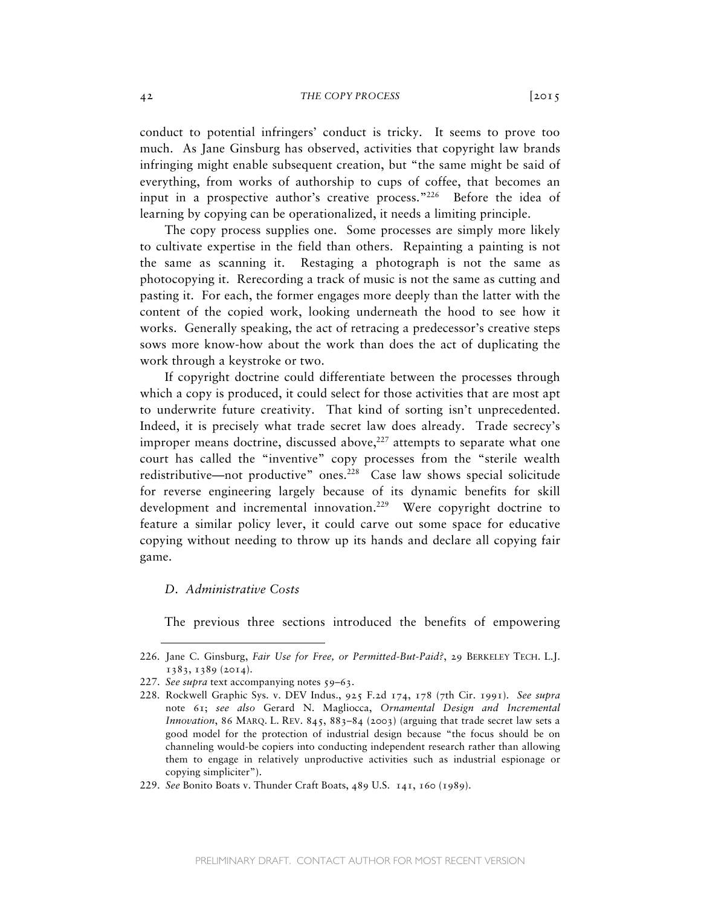conduct to potential infringers' conduct is tricky. It seems to prove too much. As Jane Ginsburg has observed, activities that copyright law brands infringing might enable subsequent creation, but "the same might be said of everything, from works of authorship to cups of coffee, that becomes an input in a prospective author's creative process."<sup>226</sup> Before the idea of learning by copying can be operationalized, it needs a limiting principle.

The copy process supplies one. Some processes are simply more likely to cultivate expertise in the field than others. Repainting a painting is not the same as scanning it. Restaging a photograph is not the same as photocopying it. Rerecording a track of music is not the same as cutting and pasting it. For each, the former engages more deeply than the latter with the content of the copied work, looking underneath the hood to see how it works. Generally speaking, the act of retracing a predecessor's creative steps sows more know-how about the work than does the act of duplicating the work through a keystroke or two.

If copyright doctrine could differentiate between the processes through which a copy is produced, it could select for those activities that are most apt to underwrite future creativity. That kind of sorting isn't unprecedented. Indeed, it is precisely what trade secret law does already. Trade secrecy's improper means doctrine, discussed above, $227$  attempts to separate what one court has called the "inventive" copy processes from the "sterile wealth redistributive—not productive" ones.<sup>228</sup> Case law shows special solicitude for reverse engineering largely because of its dynamic benefits for skill development and incremental innovation.<sup>229</sup> Were copyright doctrine to feature a similar policy lever, it could carve out some space for educative copying without needing to throw up its hands and declare all copying fair game.

### *D. Administrative Costs*

 $\overline{a}$ 

The previous three sections introduced the benefits of empowering

<sup>226.</sup> Jane C. Ginsburg, *Fair Use for Free, or Permitted-But-Paid?*, 29 BERKELEY TECH. L.J. 1383, 1389 (2014).

<sup>227.</sup> *See supra* text accompanying notes 59–63.

<sup>228.</sup> Rockwell Graphic Sys. v. DEV Indus., 925 F.2d 174, 178 (7th Cir. 1991). *See supra* note 61; *see also* Gerard N. Magliocca, *Ornamental Design and Incremental Innovation*, 86 MARQ. L. REV. 845, 883-84 (2003) (arguing that trade secret law sets a good model for the protection of industrial design because "the focus should be on channeling would-be copiers into conducting independent research rather than allowing them to engage in relatively unproductive activities such as industrial espionage or copying simpliciter").

<sup>229.</sup> *See* Bonito Boats v. Thunder Craft Boats, 489 U.S. 141, 160 (1989).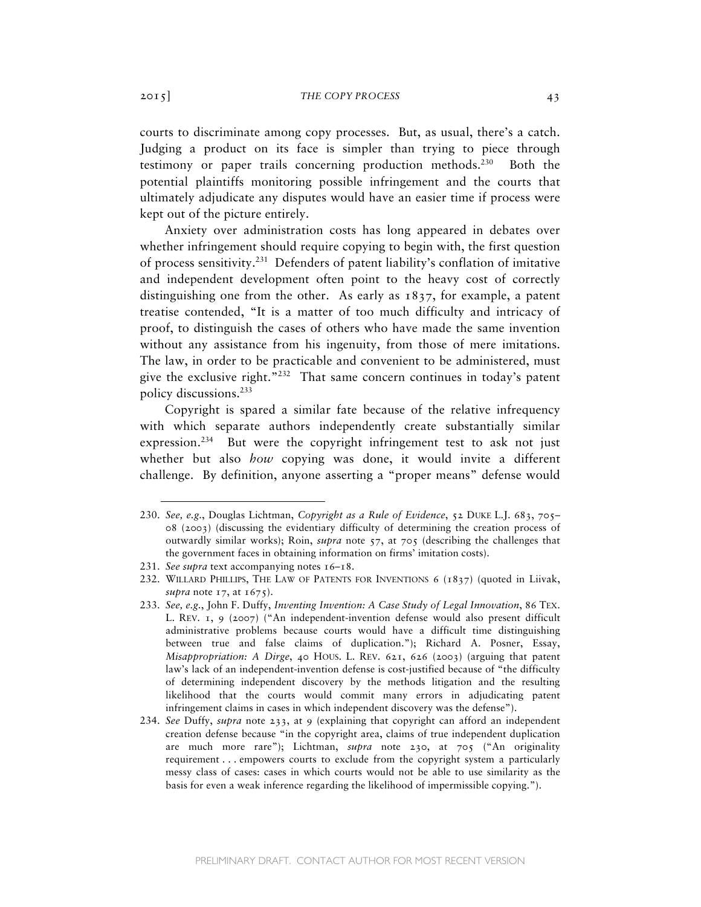courts to discriminate among copy processes. But, as usual, there's a catch. Judging a product on its face is simpler than trying to piece through testimony or paper trails concerning production methods.<sup>230</sup> Both the potential plaintiffs monitoring possible infringement and the courts that ultimately adjudicate any disputes would have an easier time if process were kept out of the picture entirely.

Anxiety over administration costs has long appeared in debates over whether infringement should require copying to begin with, the first question of process sensitivity.231 Defenders of patent liability's conflation of imitative and independent development often point to the heavy cost of correctly distinguishing one from the other. As early as 1837, for example, a patent treatise contended, "It is a matter of too much difficulty and intricacy of proof, to distinguish the cases of others who have made the same invention without any assistance from his ingenuity, from those of mere imitations. The law, in order to be practicable and convenient to be administered, must give the exclusive right."<sup>232</sup> That same concern continues in today's patent policy discussions.233

Copyright is spared a similar fate because of the relative infrequency with which separate authors independently create substantially similar expression.<sup>234</sup> But were the copyright infringement test to ask not just whether but also *how* copying was done, it would invite a different challenge. By definition, anyone asserting a "proper means" defense would

<sup>230.</sup> *See, e.g.*, Douglas Lichtman, *Copyright as a Rule of Evidence*, 52 DUKE L.J. 683, 705– 08 (2003) (discussing the evidentiary difficulty of determining the creation process of outwardly similar works); Roin, *supra* note 57, at 705 (describing the challenges that the government faces in obtaining information on firms' imitation costs).

<sup>231.</sup> *See supra* text accompanying notes 16–18.

<sup>232.</sup> WILLARD PHILLIPS, THE LAW OF PATENTS FOR INVENTIONS 6 (1837) (quoted in Liivak, *supra* note 17, at 1675).

<sup>233.</sup> *See, e.g.*, John F. Duffy, *Inventing Invention: A Case Study of Legal Innovation*, 86 TEX. L. REV. 1, 9 (2007) ("An independent-invention defense would also present difficult administrative problems because courts would have a difficult time distinguishing between true and false claims of duplication."); Richard A. Posner, Essay, *Misappropriation: A Dirge*, 40 HOUS. L. REV. 621, 626 (2003) (arguing that patent law's lack of an independent-invention defense is cost-justified because of "the difficulty of determining independent discovery by the methods litigation and the resulting likelihood that the courts would commit many errors in adjudicating patent infringement claims in cases in which independent discovery was the defense").

<sup>234.</sup> *See* Duffy, *supra* note 233, at 9 (explaining that copyright can afford an independent creation defense because "in the copyright area, claims of true independent duplication are much more rare"); Lichtman, *supra* note 230, at 705 ("An originality requirement . . . empowers courts to exclude from the copyright system a particularly messy class of cases: cases in which courts would not be able to use similarity as the basis for even a weak inference regarding the likelihood of impermissible copying.").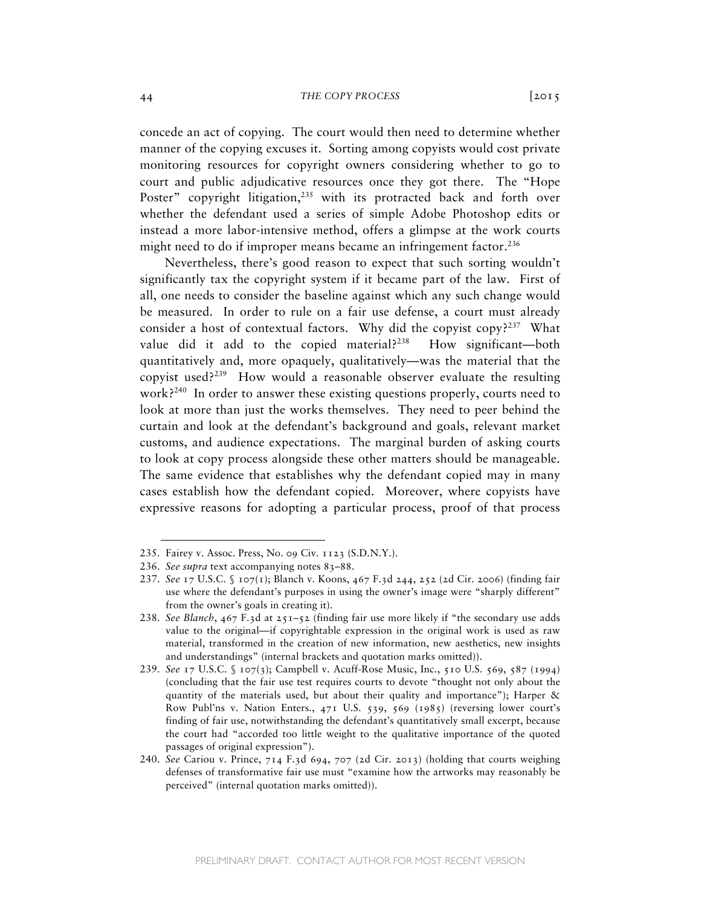concede an act of copying. The court would then need to determine whether manner of the copying excuses it. Sorting among copyists would cost private monitoring resources for copyright owners considering whether to go to court and public adjudicative resources once they got there. The "Hope Poster" copyright litigation,<sup>235</sup> with its protracted back and forth over whether the defendant used a series of simple Adobe Photoshop edits or instead a more labor-intensive method, offers a glimpse at the work courts might need to do if improper means became an infringement factor.<sup>236</sup>

 Nevertheless, there's good reason to expect that such sorting wouldn't significantly tax the copyright system if it became part of the law. First of all, one needs to consider the baseline against which any such change would be measured. In order to rule on a fair use defense, a court must already consider a host of contextual factors. Why did the copyist copy?<sup>237</sup> What value did it add to the copied material?<sup>238</sup> How significant—both quantitatively and, more opaquely, qualitatively—was the material that the copyist used? $239$  How would a reasonable observer evaluate the resulting work?<sup>240</sup> In order to answer these existing questions properly, courts need to look at more than just the works themselves. They need to peer behind the curtain and look at the defendant's background and goals, relevant market customs, and audience expectations. The marginal burden of asking courts to look at copy process alongside these other matters should be manageable. The same evidence that establishes why the defendant copied may in many cases establish how the defendant copied. Moreover, where copyists have expressive reasons for adopting a particular process, proof of that process

<sup>235.</sup> Fairey v. Assoc. Press, No. 09 Civ. 1123 (S.D.N.Y.).

<sup>236.</sup> *See supra* text accompanying notes 83–88.

<sup>237.</sup> *See* 17 U.S.C. § 107(1); Blanch v. Koons, 467 F.3d 244, 252 (2d Cir. 2006) (finding fair use where the defendant's purposes in using the owner's image were "sharply different" from the owner's goals in creating it).

<sup>238.</sup> *See Blanch*, 467 F.3d at 251–52 (finding fair use more likely if "the secondary use adds value to the original—if copyrightable expression in the original work is used as raw material, transformed in the creation of new information, new aesthetics, new insights and understandings" (internal brackets and quotation marks omitted)).

<sup>239.</sup> *See* 17 U.S.C. § 107(3); Campbell v. Acuff-Rose Music, Inc., 510 U.S. 569, 587 (1994) (concluding that the fair use test requires courts to devote "thought not only about the quantity of the materials used, but about their quality and importance"); Harper  $\&$ Row Publ'ns v. Nation Enters., 471 U.S. 539, 569 (1985) (reversing lower court's finding of fair use, notwithstanding the defendant's quantitatively small excerpt, because the court had "accorded too little weight to the qualitative importance of the quoted passages of original expression").

<sup>240.</sup> *See* Cariou v. Prince, 714 F.3d 694, 707 (2d Cir. 2013) (holding that courts weighing defenses of transformative fair use must "examine how the artworks may reasonably be perceived" (internal quotation marks omitted)).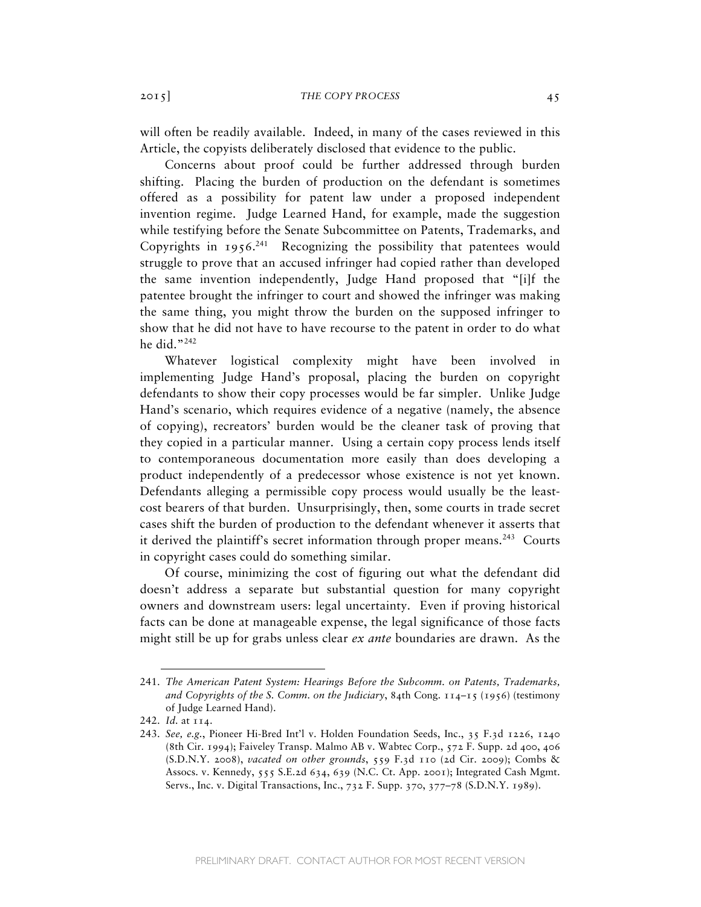will often be readily available. Indeed, in many of the cases reviewed in this Article, the copyists deliberately disclosed that evidence to the public.

Concerns about proof could be further addressed through burden shifting. Placing the burden of production on the defendant is sometimes offered as a possibility for patent law under a proposed independent invention regime. Judge Learned Hand, for example, made the suggestion while testifying before the Senate Subcommittee on Patents, Trademarks, and Copyrights in  $1956.^{241}$  Recognizing the possibility that patentees would struggle to prove that an accused infringer had copied rather than developed the same invention independently, Judge Hand proposed that "[i]f the patentee brought the infringer to court and showed the infringer was making the same thing, you might throw the burden on the supposed infringer to show that he did not have to have recourse to the patent in order to do what he did."<sup>242</sup>

Whatever logistical complexity might have been involved in implementing Judge Hand's proposal, placing the burden on copyright defendants to show their copy processes would be far simpler. Unlike Judge Hand's scenario, which requires evidence of a negative (namely, the absence of copying), recreators' burden would be the cleaner task of proving that they copied in a particular manner. Using a certain copy process lends itself to contemporaneous documentation more easily than does developing a product independently of a predecessor whose existence is not yet known. Defendants alleging a permissible copy process would usually be the leastcost bearers of that burden. Unsurprisingly, then, some courts in trade secret cases shift the burden of production to the defendant whenever it asserts that it derived the plaintiff's secret information through proper means.<sup>243</sup> Courts in copyright cases could do something similar.

Of course, minimizing the cost of figuring out what the defendant did doesn't address a separate but substantial question for many copyright owners and downstream users: legal uncertainty. Even if proving historical facts can be done at manageable expense, the legal significance of those facts might still be up for grabs unless clear *ex ante* boundaries are drawn. As the

<sup>241.</sup> *The American Patent System: Hearings Before the Subcomm. on Patents, Trademarks, and Copyrights of the S. Comm. on the Judiciary*, 84th Cong. 114–15 (1956) (testimony of Judge Learned Hand).

<sup>242.</sup> *Id.* at 114.

<sup>243.</sup> *See, e.g.*, Pioneer Hi-Bred Int'l v. Holden Foundation Seeds, Inc., 35 F.3d 1226, 1240 (8th Cir. 1994); Faiveley Transp. Malmo AB v. Wabtec Corp., 572 F. Supp. 2d 400, 406 (S.D.N.Y. 2008), *vacated on other grounds*, 559 F.3d 110 (2d Cir. 2009); Combs & Assocs. v. Kennedy, 555 S.E.2d 634, 639 (N.C. Ct. App. 2001); Integrated Cash Mgmt. Servs., Inc. v. Digital Transactions, Inc., 732 F. Supp. 370, 377–78 (S.D.N.Y. 1989).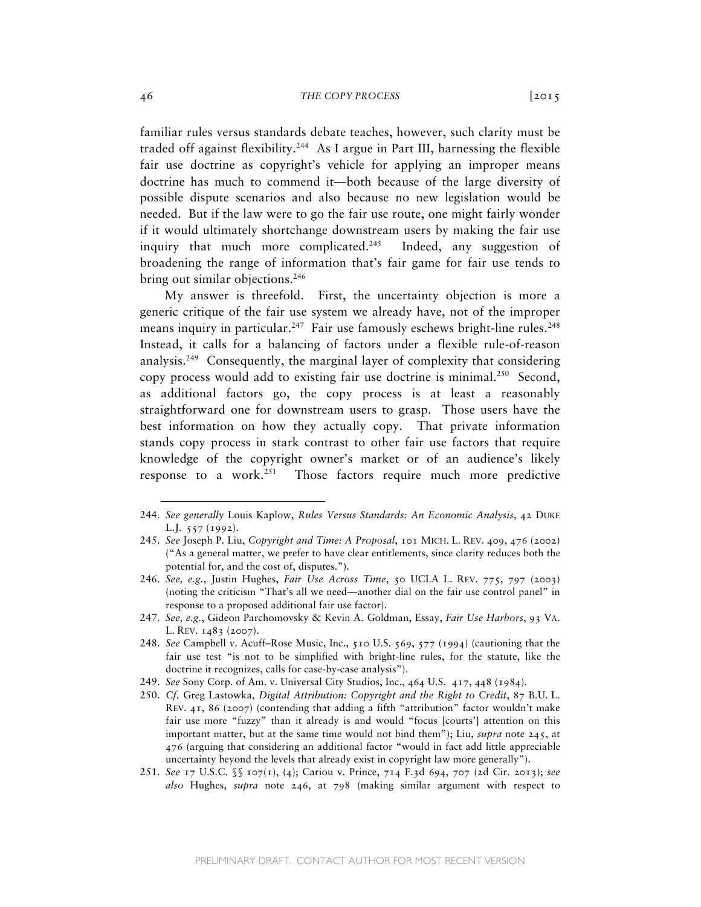familiar rules versus standards debate teaches, however, such clarity must be traded off against flexibility.<sup>244</sup> As I argue in Part III, harnessing the flexible fair use doctrine as copyright's vehicle for applying an improper means doctrine has much to commend it—both because of the large diversity of possible dispute scenarios and also because no new legislation would be needed. But if the law were to go the fair use route, one might fairly wonder if it would ultimately shortchange downstream users by making the fair use inquiry that much more complicated.<sup>245</sup> Indeed, any suggestion of broadening the range of information that's fair game for fair use tends to bring out similar objections.<sup>246</sup>

My answer is threefold. First, the uncertainty objection is more a generic critique of the fair use system we already have, not of the improper means inquiry in particular.<sup>247</sup> Fair use famously eschews bright-line rules.<sup>248</sup> Instead, it calls for a balancing of factors under a flexible rule-of-reason analysis.<sup>249</sup> Consequently, the marginal layer of complexity that considering copy process would add to existing fair use doctrine is minimal.<sup>250</sup> Second, as additional factors go, the copy process is at least a reasonably straightforward one for downstream users to grasp. Those users have the best information on how they actually copy. That private information stands copy process in stark contrast to other fair use factors that require knowledge of the copyright owner's market or of an audience's likely response to a work.<sup>251</sup> Those factors require much more predictive

<sup>244.</sup> *See generally* Louis Kaplow, *Rules Versus Standards: An Economic Analysis*, 42 DUKE L.J. 557 (1992).

<sup>245.</sup> *See* Joseph P. Liu, *Copyright and Time: A Proposal*, 101 MICH. L. REV. 409, 476 (2002) ("As a general matter, we prefer to have clear entitlements, since clarity reduces both the potential for, and the cost of, disputes.").

<sup>246.</sup> *See, e.g.*, Justin Hughes, *Fair Use Across Time*, 50 UCLA L. REV. 775, 797 (2003) (noting the criticism "That's all we need—another dial on the fair use control panel" in response to a proposed additional fair use factor).

<sup>247.</sup> *See, e.g.*, Gideon Parchomovsky & Kevin A. Goldman, Essay, *Fair Use Harbors*, 93 VA. L. REV. 1483 (2007).

<sup>248.</sup> *See* Campbell v. Acuff–Rose Music, Inc., 510 U.S. 569, 577 (1994) (cautioning that the fair use test "is not to be simplified with bright-line rules, for the statute, like the doctrine it recognizes, calls for case-by-case analysis").

<sup>249.</sup> *See* Sony Corp. of Am. v. Universal City Studios, Inc., 464 U.S. 417, 448 (1984).

<sup>250.</sup> *Cf.* Greg Lastowka, *Digital Attribution: Copyright and the Right to Credit*, 87 B.U. L. REV. 41, 86 (2007) (contending that adding a fifth "attribution" factor wouldn't make fair use more "fuzzy" than it already is and would "focus [courts'] attention on this important matter, but at the same time would not bind them"); Liu, *supra* note 245, at 476 (arguing that considering an additional factor "would in fact add little appreciable uncertainty beyond the levels that already exist in copyright law more generally").

<sup>251.</sup> *See* 17 U.S.C. §§ 107(1), (4); Cariou v. Prince, 714 F.3d 694, 707 (2d Cir. 2013); *see also* Hughes, *supra* note 246, at 798 (making similar argument with respect to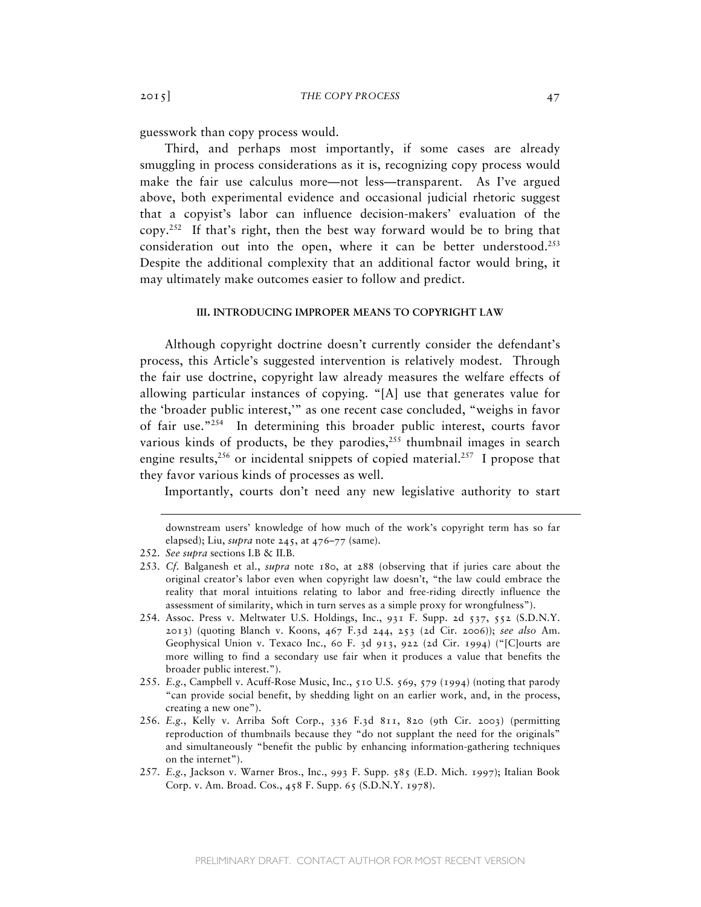guesswork than copy process would.

Third, and perhaps most importantly, if some cases are already smuggling in process considerations as it is, recognizing copy process would make the fair use calculus more—not less—transparent. As I've argued above, both experimental evidence and occasional judicial rhetoric suggest that a copyist's labor can influence decision-makers' evaluation of the  $copy.^{252}$  If that's right, then the best way forward would be to bring that consideration out into the open, where it can be better understood.<sup>253</sup> Despite the additional complexity that an additional factor would bring, it may ultimately make outcomes easier to follow and predict.

# **III. INTRODUCING IMPROPER MEANS TO COPYRIGHT LAW**

Although copyright doctrine doesn't currently consider the defendant's process, this Article's suggested intervention is relatively modest. Through the fair use doctrine, copyright law already measures the welfare effects of allowing particular instances of copying. "[A] use that generates value for the 'broader public interest,'" as one recent case concluded, "weighs in favor of fair use."254 In determining this broader public interest, courts favor various kinds of products, be they parodies,  $255$  thumbnail images in search engine results,  $256$  or incidental snippets of copied material.  $257$  I propose that they favor various kinds of processes as well.

Importantly, courts don't need any new legislative authority to start

- 253. *Cf.* Balganesh et al., *supra* note 180, at 288 (observing that if juries care about the original creator's labor even when copyright law doesn't, "the law could embrace the reality that moral intuitions relating to labor and free-riding directly influence the assessment of similarity, which in turn serves as a simple proxy for wrongfulness").
- 254. Assoc. Press v. Meltwater U.S. Holdings, Inc., 931 F. Supp. 2d 537, 552 (S.D.N.Y. 2013) (quoting Blanch v. Koons, 467 F.3d 244, 253 (2d Cir. 2006)); *see also* Am. Geophysical Union v. Texaco Inc., 60 F. 3d 913, 922 (2d Cir. 1994) ("[C]ourts are more willing to find a secondary use fair when it produces a value that benefits the broader public interest.").
- 255. *E.g.*, Campbell v. Acuff-Rose Music, Inc., 510 U.S. 569, 579 (1994) (noting that parody "can provide social benefit, by shedding light on an earlier work, and, in the process, creating a new one").
- 256. *E.g.*, Kelly v. Arriba Soft Corp., 336 F.3d 811, 820 (9th Cir. 2003) (permitting reproduction of thumbnails because they "do not supplant the need for the originals" and simultaneously "benefit the public by enhancing information-gathering techniques on the internet").
- 257. *E.g.*, Jackson v. Warner Bros., Inc., 993 F. Supp. 585 (E.D. Mich. 1997); Italian Book Corp. v. Am. Broad. Cos., 458 F. Supp. 65 (S.D.N.Y. 1978).

downstream users' knowledge of how much of the work's copyright term has so far elapsed); Liu, *supra* note 245, at 476–77 (same).

<sup>252.</sup> *See supra* sections I.B & II.B.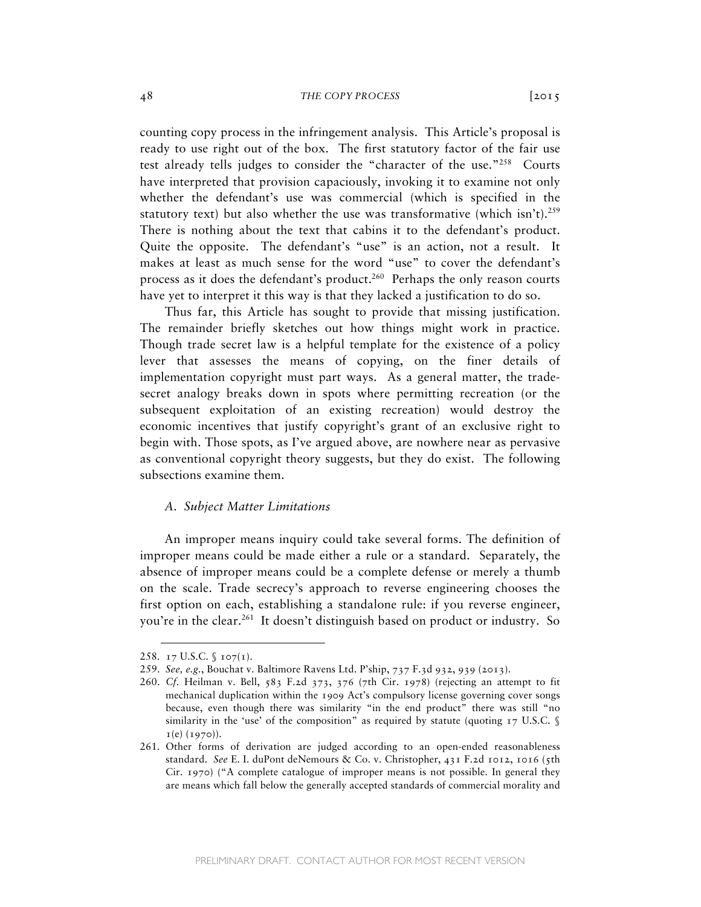counting copy process in the infringement analysis. This Article's proposal is ready to use right out of the box. The first statutory factor of the fair use test already tells judges to consider the "character of the use."258 Courts have interpreted that provision capaciously, invoking it to examine not only whether the defendant's use was commercial (which is specified in the statutory text) but also whether the use was transformative (which isn't).<sup>259</sup> There is nothing about the text that cabins it to the defendant's product. Quite the opposite. The defendant's "use" is an action, not a result. It makes at least as much sense for the word "use" to cover the defendant's process as it does the defendant's product.<sup>260</sup> Perhaps the only reason courts have yet to interpret it this way is that they lacked a justification to do so.

Thus far, this Article has sought to provide that missing justification. The remainder briefly sketches out how things might work in practice. Though trade secret law is a helpful template for the existence of a policy lever that assesses the means of copying, on the finer details of implementation copyright must part ways. As a general matter, the tradesecret analogy breaks down in spots where permitting recreation (or the subsequent exploitation of an existing recreation) would destroy the economic incentives that justify copyright's grant of an exclusive right to begin with. Those spots, as I've argued above, are nowhere near as pervasive as conventional copyright theory suggests, but they do exist. The following subsections examine them.

# *A. Subject Matter Limitations*

An improper means inquiry could take several forms. The definition of improper means could be made either a rule or a standard. Separately, the absence of improper means could be a complete defense or merely a thumb on the scale. Trade secrecy's approach to reverse engineering chooses the first option on each, establishing a standalone rule: if you reverse engineer, you're in the clear.<sup>261</sup> It doesn't distinguish based on product or industry. So

<sup>258.</sup> 17 U.S.C. § 107(1).

<sup>259.</sup> *See, e.g.*, Bouchat v. Baltimore Ravens Ltd. P'ship, 737 F.3d 932, 939 (2013).

<sup>260.</sup> *Cf.* Heilman v. Bell, 583 F.2d 373, 376 (7th Cir. 1978) (rejecting an attempt to fit mechanical duplication within the 1909 Act's compulsory license governing cover songs because, even though there was similarity "in the end product" there was still "no similarity in the 'use' of the composition" as required by statute (quoting  $17$  U.S.C. §  $I(e) (1970)$ .

<sup>261.</sup> Other forms of derivation are judged according to an open-ended reasonableness standard. *See* E. I. duPont deNemours & Co. v. Christopher, 431 F.2d 1012, 1016 (5th Cir. 1970) ("A complete catalogue of improper means is not possible. In general they are means which fall below the generally accepted standards of commercial morality and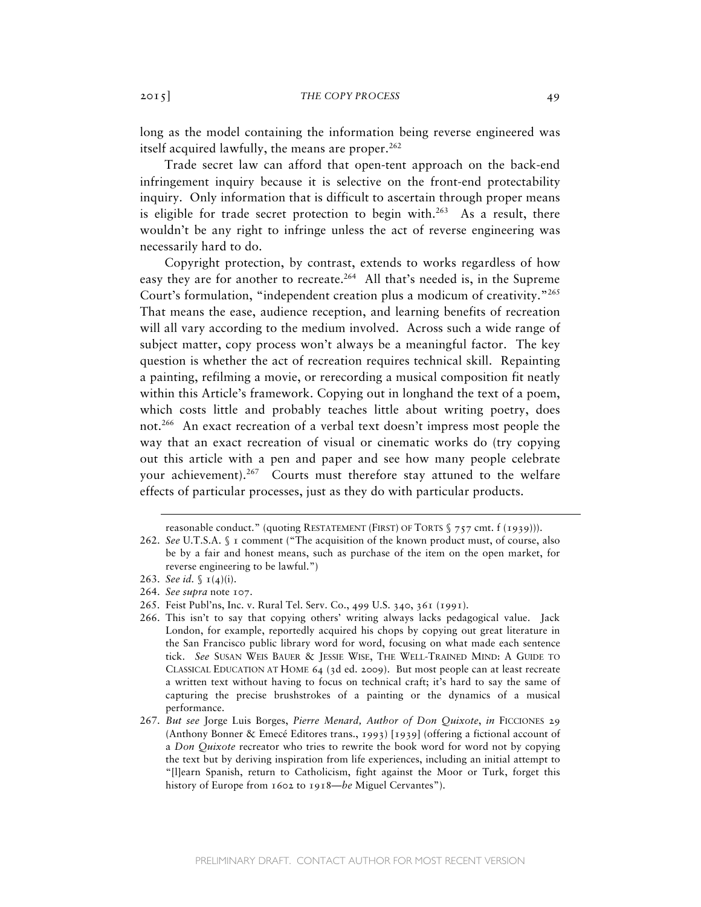long as the model containing the information being reverse engineered was itself acquired lawfully, the means are proper. $262$ 

Trade secret law can afford that open-tent approach on the back-end infringement inquiry because it is selective on the front-end protectability inquiry. Only information that is difficult to ascertain through proper means is eligible for trade secret protection to begin with.<sup>263</sup> As a result, there wouldn't be any right to infringe unless the act of reverse engineering was necessarily hard to do.

Copyright protection, by contrast, extends to works regardless of how easy they are for another to recreate.<sup>264</sup> All that's needed is, in the Supreme Court's formulation, "independent creation plus a modicum of creativity."265 That means the ease, audience reception, and learning benefits of recreation will all vary according to the medium involved. Across such a wide range of subject matter, copy process won't always be a meaningful factor. The key question is whether the act of recreation requires technical skill. Repainting a painting, refilming a movie, or rerecording a musical composition fit neatly within this Article's framework. Copying out in longhand the text of a poem, which costs little and probably teaches little about writing poetry, does not.266 An exact recreation of a verbal text doesn't impress most people the way that an exact recreation of visual or cinematic works do (try copying out this article with a pen and paper and see how many people celebrate your achievement).267Courts must therefore stay attuned to the welfare effects of particular processes, just as they do with particular products.

reasonable conduct." (quoting RESTATEMENT (FIRST) OF TORTS § 757 cmt. f (1939))).

<sup>262.</sup> *See* U.T.S.A. § 1 comment ("The acquisition of the known product must, of course, also be by a fair and honest means, such as purchase of the item on the open market, for reverse engineering to be lawful.")

<sup>263.</sup> *See id.*  $\int$   $I(4)(i)$ .

<sup>264.</sup> *See supra* note 107.

<sup>265.</sup> Feist Publ'ns, Inc. v. Rural Tel. Serv. Co., 499 U.S. 340, 361 (1991).

<sup>266.</sup> This isn't to say that copying others' writing always lacks pedagogical value. Jack London, for example, reportedly acquired his chops by copying out great literature in the San Francisco public library word for word, focusing on what made each sentence tick. *See* SUSAN WEIS BAUER & JESSIE WISE, THE WELL-TRAINED MIND: A GUIDE TO CLASSICAL EDUCATION AT HOME 64 (3d ed. 2009). But most people can at least recreate a written text without having to focus on technical craft; it's hard to say the same of capturing the precise brushstrokes of a painting or the dynamics of a musical performance.

<sup>267.</sup> *But see* Jorge Luis Borges, *Pierre Menard, Author of Don Quixote*, *in* FICCIONES 29 (Anthony Bonner & Emecé Editores trans., 1993) [1939] (offering a fictional account of a *Don Quixote* recreator who tries to rewrite the book word for word not by copying the text but by deriving inspiration from life experiences, including an initial attempt to "[l]earn Spanish, return to Catholicism, fight against the Moor or Turk, forget this history of Europe from 1602 to 1918—*be* Miguel Cervantes").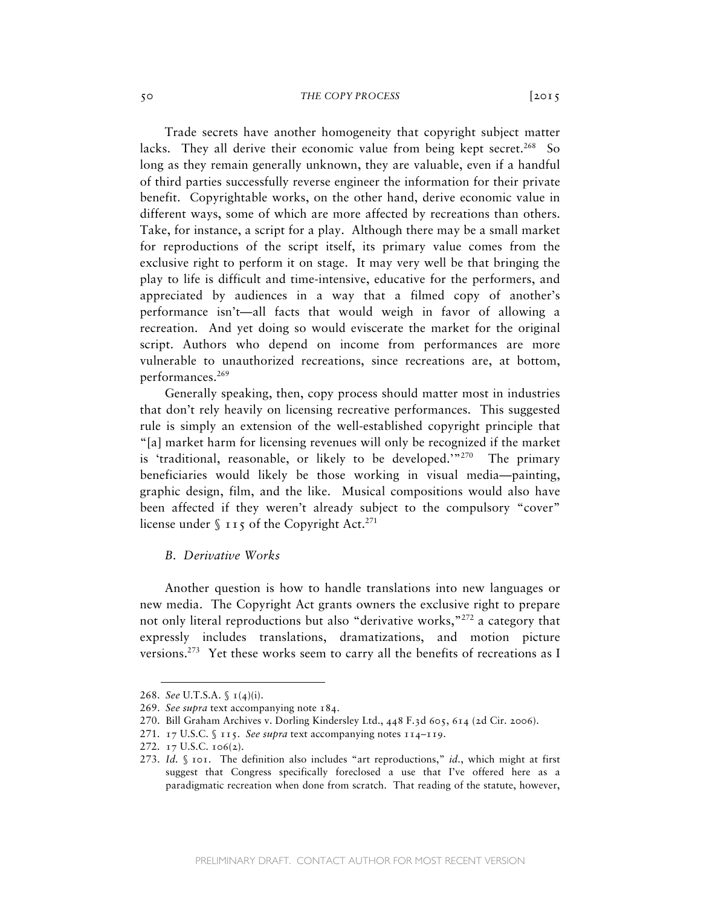Trade secrets have another homogeneity that copyright subject matter lacks. They all derive their economic value from being kept secret.<sup>268</sup> So long as they remain generally unknown, they are valuable, even if a handful of third parties successfully reverse engineer the information for their private benefit. Copyrightable works, on the other hand, derive economic value in different ways, some of which are more affected by recreations than others. Take, for instance, a script for a play. Although there may be a small market for reproductions of the script itself, its primary value comes from the exclusive right to perform it on stage. It may very well be that bringing the play to life is difficult and time-intensive, educative for the performers, and appreciated by audiences in a way that a filmed copy of another's performance isn't—all facts that would weigh in favor of allowing a recreation. And yet doing so would eviscerate the market for the original script. Authors who depend on income from performances are more vulnerable to unauthorized recreations, since recreations are, at bottom, performances.<sup>269</sup>

Generally speaking, then, copy process should matter most in industries that don't rely heavily on licensing recreative performances. This suggested rule is simply an extension of the well-established copyright principle that "[a] market harm for licensing revenues will only be recognized if the market is 'traditional, reasonable, or likely to be developed.'"270 The primary beneficiaries would likely be those working in visual media—painting, graphic design, film, and the like. Musical compositions would also have been affected if they weren't already subject to the compulsory "cover" license under  $\int$  115 of the Copyright Act.<sup>271</sup>

### *B. Derivative Works*

Another question is how to handle translations into new languages or new media. The Copyright Act grants owners the exclusive right to prepare not only literal reproductions but also "derivative works,"<sup>272</sup> a category that expressly includes translations, dramatizations, and motion picture versions.<sup>273</sup> Yet these works seem to carry all the benefits of recreations as I

<sup>268.</sup> *See* U.T.S.A. § 1(4)(i).

<sup>269.</sup> *See supra* text accompanying note 184.

<sup>270.</sup> Bill Graham Archives v. Dorling Kindersley Ltd., 448 F.3d 605, 614 (2d Cir. 2006).

<sup>271.</sup> 17 U.S.C. § 115. *See supra* text accompanying notes 114–119.

<sup>272.</sup> 17 U.S.C. 106(2).

<sup>273.</sup> *Id.* § 101. The definition also includes "art reproductions," *id.*, which might at first suggest that Congress specifically foreclosed a use that I've offered here as a paradigmatic recreation when done from scratch. That reading of the statute, however,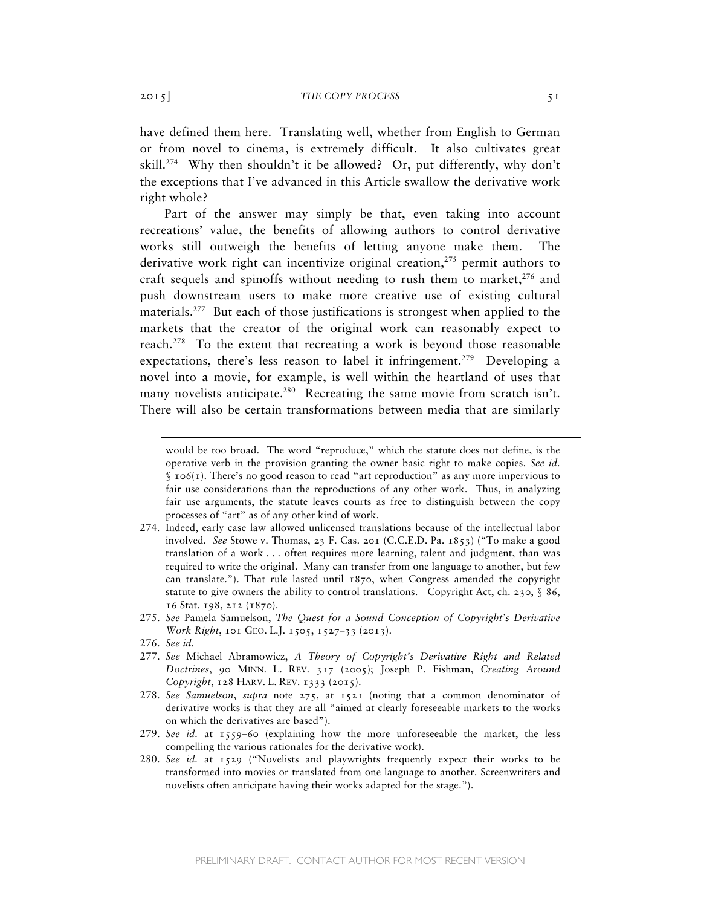have defined them here. Translating well, whether from English to German or from novel to cinema, is extremely difficult. It also cultivates great skill.<sup>274</sup> Why then shouldn't it be allowed? Or, put differently, why don't the exceptions that I've advanced in this Article swallow the derivative work right whole?

Part of the answer may simply be that, even taking into account recreations' value, the benefits of allowing authors to control derivative works still outweigh the benefits of letting anyone make them. The derivative work right can incentivize original creation, $275$  permit authors to craft sequels and spinoffs without needing to rush them to market,  $276$  and push downstream users to make more creative use of existing cultural materials.<sup>277</sup> But each of those justifications is strongest when applied to the markets that the creator of the original work can reasonably expect to reach.278 To the extent that recreating a work is beyond those reasonable expectations, there's less reason to label it infringement.<sup>279</sup> Developing a novel into a movie, for example, is well within the heartland of uses that many novelists anticipate.<sup>280</sup> Recreating the same movie from scratch isn't. There will also be certain transformations between media that are similarly

275. *See* Pamela Samuelson, *The Quest for a Sound Conception of Copyright's Derivative Work Right*, 101 GEO. L.J. 1505, 1527-33 (2013).

- 277. *See* Michael Abramowicz, *A Theory of Copyright's Derivative Right and Related Doctrines*, 90 MINN. L. REV. 317 (2005); Joseph P. Fishman, *Creating Around Copyright*, 128 HARV. L. REV. 1333 (2015).
- 278. *See Samuelson*, *supra* note 275, at 1521 (noting that a common denominator of derivative works is that they are all "aimed at clearly foreseeable markets to the works on which the derivatives are based").
- 279. *See id.* at 1559–60 (explaining how the more unforeseeable the market, the less compelling the various rationales for the derivative work).
- 280. *See id.* at 1529 ("Novelists and playwrights frequently expect their works to be transformed into movies or translated from one language to another. Screenwriters and novelists often anticipate having their works adapted for the stage.").

would be too broad. The word "reproduce," which the statute does not define, is the operative verb in the provision granting the owner basic right to make copies. *See id.*  $\int$  106(1). There's no good reason to read "art reproduction" as any more impervious to fair use considerations than the reproductions of any other work. Thus, in analyzing fair use arguments, the statute leaves courts as free to distinguish between the copy processes of "art" as of any other kind of work.

<sup>274.</sup> Indeed, early case law allowed unlicensed translations because of the intellectual labor involved. *See* Stowe v. Thomas, 23 F. Cas. 201 (C.C.E.D. Pa. 1853) ("To make a good translation of a work . . . often requires more learning, talent and judgment, than was required to write the original. Many can transfer from one language to another, but few can translate."). That rule lasted until 1870, when Congress amended the copyright statute to give owners the ability to control translations. Copyright Act, ch. 230,  $\S$  86, 16 Stat. 198, 212 (1870).

<sup>276.</sup> *See id.*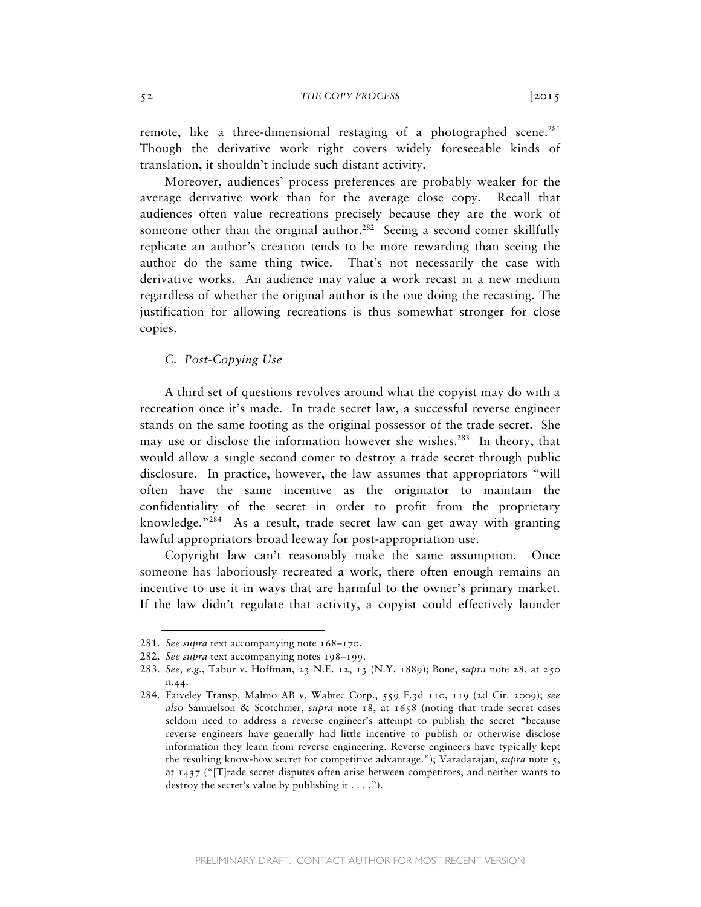remote, like a three-dimensional restaging of a photographed scene. $^{281}$ Though the derivative work right covers widely foreseeable kinds of translation, it shouldn't include such distant activity.

Moreover, audiences' process preferences are probably weaker for the average derivative work than for the average close copy. Recall that audiences often value recreations precisely because they are the work of someone other than the original author.<sup>282</sup> Seeing a second comer skillfully replicate an author's creation tends to be more rewarding than seeing the author do the same thing twice. That's not necessarily the case with derivative works. An audience may value a work recast in a new medium regardless of whether the original author is the one doing the recasting. The justification for allowing recreations is thus somewhat stronger for close copies.

# *C. Post-Copying Use*

A third set of questions revolves around what the copyist may do with a recreation once it's made. In trade secret law, a successful reverse engineer stands on the same footing as the original possessor of the trade secret. She may use or disclose the information however she wishes.<sup>283</sup> In theory, that would allow a single second comer to destroy a trade secret through public disclosure. In practice, however, the law assumes that appropriators "will often have the same incentive as the originator to maintain the confidentiality of the secret in order to profit from the proprietary knowledge."<sup>284</sup> As a result, trade secret law can get away with granting lawful appropriators broad leeway for post-appropriation use.

Copyright law can't reasonably make the same assumption. Once someone has laboriously recreated a work, there often enough remains an incentive to use it in ways that are harmful to the owner's primary market. If the law didn't regulate that activity, a copyist could effectively launder

<sup>281.</sup> *See supra* text accompanying note 168–170.

<sup>282.</sup> *See supra* text accompanying notes 198–199.

<sup>283.</sup> *See, e.g.*, Tabor v. Hoffman, 23 N.E. 12, 13 (N.Y. 1889); Bone, *supra* note 28, at 250 n.44.

<sup>284.</sup> Faiveley Transp. Malmo AB v. Wabtec Corp., 559 F.3d 110, 119 (2d Cir. 2009); *see also* Samuelson & Scotchmer, *supra* note 18, at 1658 (noting that trade secret cases seldom need to address a reverse engineer's attempt to publish the secret "because reverse engineers have generally had little incentive to publish or otherwise disclose information they learn from reverse engineering. Reverse engineers have typically kept the resulting know-how secret for competitive advantage."); Varadarajan, *supra* note 5, at 1437 ("[T]rade secret disputes often arise between competitors, and neither wants to destroy the secret's value by publishing it  $\dots$ .").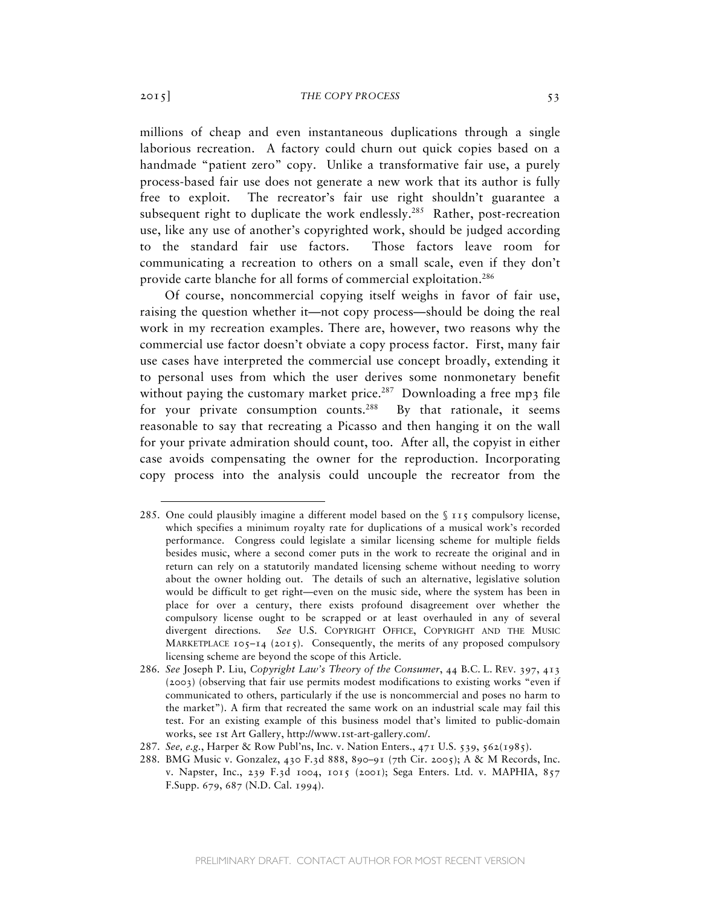millions of cheap and even instantaneous duplications through a single laborious recreation. A factory could churn out quick copies based on a handmade "patient zero" copy. Unlike a transformative fair use, a purely process-based fair use does not generate a new work that its author is fully free to exploit. The recreator's fair use right shouldn't guarantee a subsequent right to duplicate the work endlessly.<sup>285</sup> Rather, post-recreation use, like any use of another's copyrighted work, should be judged according to the standard fair use factors. Those factors leave room for communicating a recreation to others on a small scale, even if they don't provide carte blanche for all forms of commercial exploitation.<sup>286</sup>

Of course, noncommercial copying itself weighs in favor of fair use, raising the question whether it—not copy process—should be doing the real work in my recreation examples. There are, however, two reasons why the commercial use factor doesn't obviate a copy process factor. First, many fair use cases have interpreted the commercial use concept broadly, extending it to personal uses from which the user derives some nonmonetary benefit without paying the customary market price.<sup>287</sup> Downloading a free mp3 file for your private consumption counts.<sup>288</sup> By that rationale, it seems reasonable to say that recreating a Picasso and then hanging it on the wall for your private admiration should count, too. After all, the copyist in either case avoids compensating the owner for the reproduction. Incorporating copy process into the analysis could uncouple the recreator from the

<sup>285.</sup> One could plausibly imagine a different model based on the § 115 compulsory license, which specifies a minimum royalty rate for duplications of a musical work's recorded performance. Congress could legislate a similar licensing scheme for multiple fields besides music, where a second comer puts in the work to recreate the original and in return can rely on a statutorily mandated licensing scheme without needing to worry about the owner holding out. The details of such an alternative, legislative solution would be difficult to get right—even on the music side, where the system has been in place for over a century, there exists profound disagreement over whether the compulsory license ought to be scrapped or at least overhauled in any of several divergent directions. *See* U.S. COPYRIGHT OFFICE, COPYRIGHT AND THE MUSIC MARKETPLACE  $105-14$  (2015). Consequently, the merits of any proposed compulsory licensing scheme are beyond the scope of this Article.

<sup>286</sup>*. See* Joseph P. Liu, *Copyright Law's Theory of the Consumer*, 44 B.C. L. REV. 397, 413 (2003) (observing that fair use permits modest modifications to existing works "even if communicated to others, particularly if the use is noncommercial and poses no harm to the market"). A firm that recreated the same work on an industrial scale may fail this test. For an existing example of this business model that's limited to public-domain works, see 1st Art Gallery, http://www.1st-art-gallery.com/.

<sup>287.</sup> *See, e.g.*, Harper & Row Publ'ns, Inc. v. Nation Enters., 471 U.S. 539, 562(1985).

<sup>288.</sup> BMG Music v. Gonzalez, 430 F.3d 888, 890–91 (7th Cir. 2005); A & M Records, Inc. v. Napster, Inc., 239 F.3d 1004, 1015 (2001); Sega Enters. Ltd. v. MAPHIA, 857 F.Supp. 679, 687 (N.D. Cal. 1994).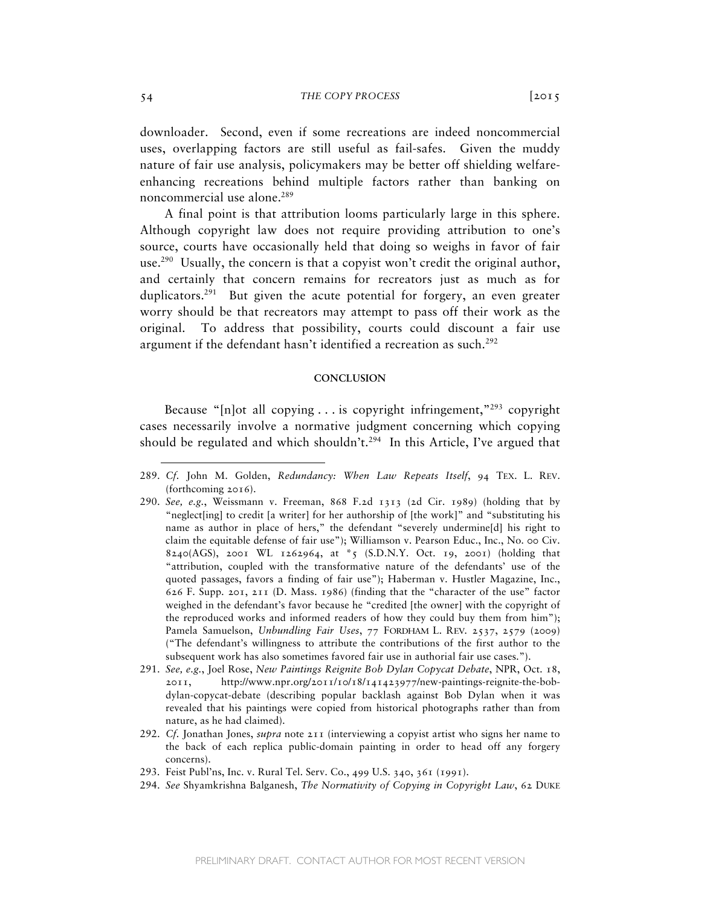downloader. Second, even if some recreations are indeed noncommercial uses, overlapping factors are still useful as fail-safes. Given the muddy nature of fair use analysis, policymakers may be better off shielding welfareenhancing recreations behind multiple factors rather than banking on noncommercial use alone.<sup>289</sup>

 A final point is that attribution looms particularly large in this sphere. Although copyright law does not require providing attribution to one's source, courts have occasionally held that doing so weighs in favor of fair use.<sup>290</sup> Usually, the concern is that a copyist won't credit the original author, and certainly that concern remains for recreators just as much as for duplicators.<sup>291</sup> But given the acute potential for forgery, an even greater worry should be that recreators may attempt to pass off their work as the original. To address that possibility, courts could discount a fair use argument if the defendant hasn't identified a recreation as such.<sup>292</sup>

### **CONCLUSION**

Because " $[n]$ ot all copying . . . is copyright infringement,"<sup>293</sup> copyright cases necessarily involve a normative judgment concerning which copying should be regulated and which shouldn't.<sup>294</sup> In this Article, I've argued that

- 293. Feist Publ'ns, Inc. v. Rural Tel. Serv. Co., 499 U.S. 340, 361 (1991).
- 294. *See* Shyamkrishna Balganesh, *The Normativity of Copying in Copyright Law*, 62 DUKE

<sup>289.</sup> *Cf.* John M. Golden, *Redundancy: When Law Repeats Itself*, 94 TEX. L. REV. (forthcoming 2016).

<sup>290.</sup> *See, e.g.*, Weissmann v. Freeman, 868 F.2d 1313 (2d Cir. 1989) (holding that by "neglect[ing] to credit [a writer] for her authorship of [the work]" and "substituting his name as author in place of hers," the defendant "severely undermine[d] his right to claim the equitable defense of fair use"); Williamson v. Pearson Educ., Inc., No. 00 Civ. 8240(AGS), 2001 WL 1262964, at \*5 (S.D.N.Y. Oct. 19, 2001) (holding that "attribution, coupled with the transformative nature of the defendants' use of the quoted passages, favors a finding of fair use"); Haberman v. Hustler Magazine, Inc., 626 F. Supp. 201, 211 (D. Mass. 1986) (finding that the "character of the use" factor weighed in the defendant's favor because he "credited [the owner] with the copyright of the reproduced works and informed readers of how they could buy them from him"); Pamela Samuelson, *Unbundling Fair Uses*, 77 FORDHAM L. REV. 2537, 2579 (2009) ("The defendant's willingness to attribute the contributions of the first author to the subsequent work has also sometimes favored fair use in authorial fair use cases.").

<sup>291.</sup> *See, e.g.*, Joel Rose, *New Paintings Reignite Bob Dylan Copycat Debate*, NPR, Oct. 18, 2011, http://www.npr.org/2011/10/18/141423977/new-paintings-reignite-the-bobdylan-copycat-debate (describing popular backlash against Bob Dylan when it was revealed that his paintings were copied from historical photographs rather than from nature, as he had claimed).

<sup>292.</sup> *Cf.* Jonathan Jones, *supra* note 211 (interviewing a copyist artist who signs her name to the back of each replica public-domain painting in order to head off any forgery concerns).